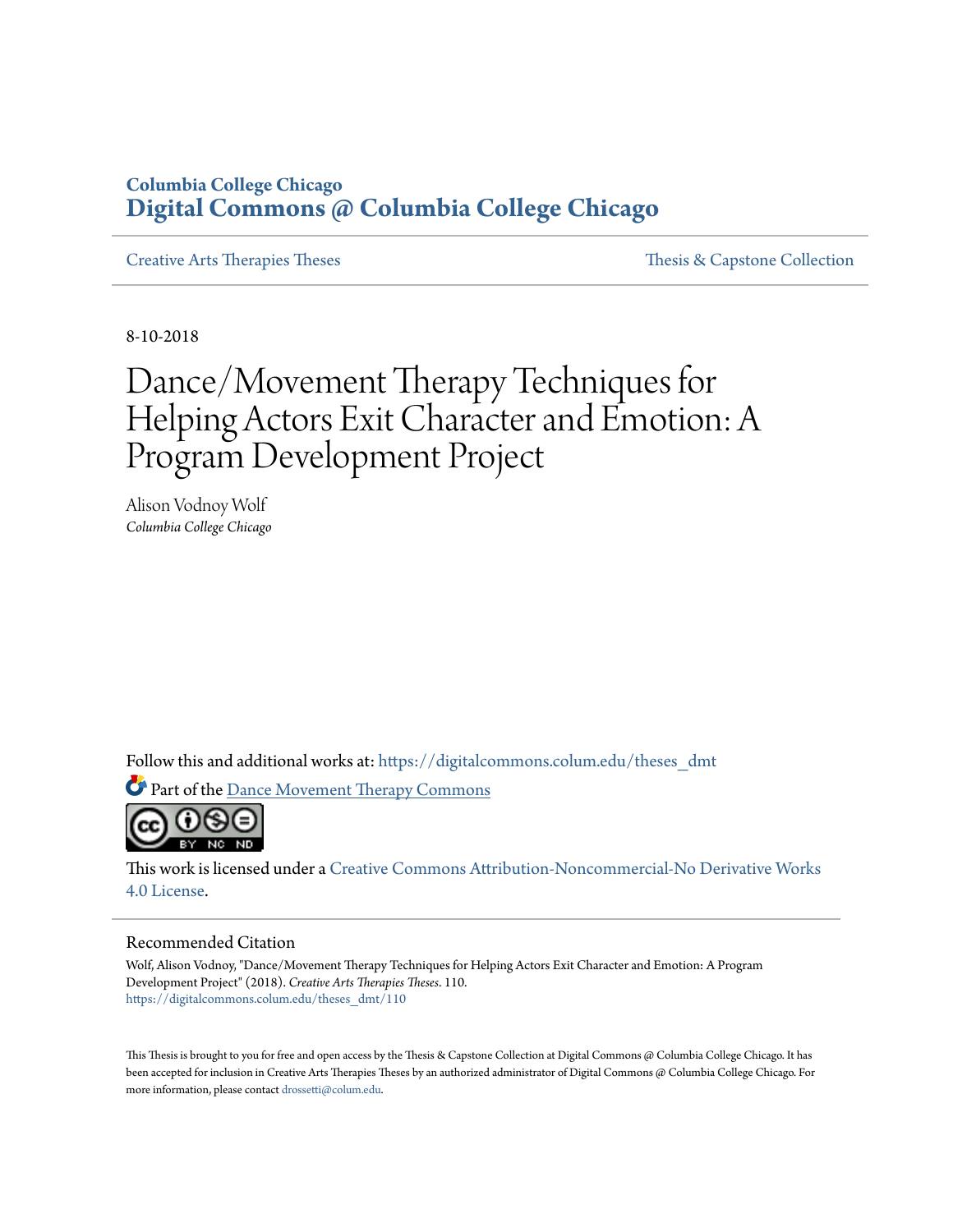# **Columbia College Chicago [Digital Commons @ Columbia College Chicago](https://digitalcommons.colum.edu?utm_source=digitalcommons.colum.edu%2Ftheses_dmt%2F110&utm_medium=PDF&utm_campaign=PDFCoverPages)**

[Creative Arts Therapies Theses](https://digitalcommons.colum.edu/theses_dmt?utm_source=digitalcommons.colum.edu%2Ftheses_dmt%2F110&utm_medium=PDF&utm_campaign=PDFCoverPages) [Thesis & Capstone Collection](https://digitalcommons.colum.edu/thesiscoll?utm_source=digitalcommons.colum.edu%2Ftheses_dmt%2F110&utm_medium=PDF&utm_campaign=PDFCoverPages)

8-10-2018

# Dance/Movement Therapy Techniques for Helping Actors Exit Character and Emotion: A Program Development Project

Alison Vodnoy Wolf *Columbia College Chicago*

Follow this and additional works at: [https://digitalcommons.colum.edu/theses\\_dmt](https://digitalcommons.colum.edu/theses_dmt?utm_source=digitalcommons.colum.edu%2Ftheses_dmt%2F110&utm_medium=PDF&utm_campaign=PDFCoverPages)

Part of the [Dance Movement Therapy Commons](http://network.bepress.com/hgg/discipline/1150?utm_source=digitalcommons.colum.edu%2Ftheses_dmt%2F110&utm_medium=PDF&utm_campaign=PDFCoverPages)



This work is licensed under a [Creative Commons Attribution-Noncommercial-No Derivative Works](http://creativecommons.org/licenses/by-nc-nd/4.0/) [4.0 License.](http://creativecommons.org/licenses/by-nc-nd/4.0/)

#### Recommended Citation

Wolf, Alison Vodnoy, "Dance/Movement Therapy Techniques for Helping Actors Exit Character and Emotion: A Program Development Project" (2018). *Creative Arts Therapies Theses*. 110. [https://digitalcommons.colum.edu/theses\\_dmt/110](https://digitalcommons.colum.edu/theses_dmt/110?utm_source=digitalcommons.colum.edu%2Ftheses_dmt%2F110&utm_medium=PDF&utm_campaign=PDFCoverPages)

This Thesis is brought to you for free and open access by the Thesis & Capstone Collection at Digital Commons @ Columbia College Chicago. It has been accepted for inclusion in Creative Arts Therapies Theses by an authorized administrator of Digital Commons @ Columbia College Chicago. For more information, please contact [drossetti@colum.edu.](mailto:drossetti@colum.edu)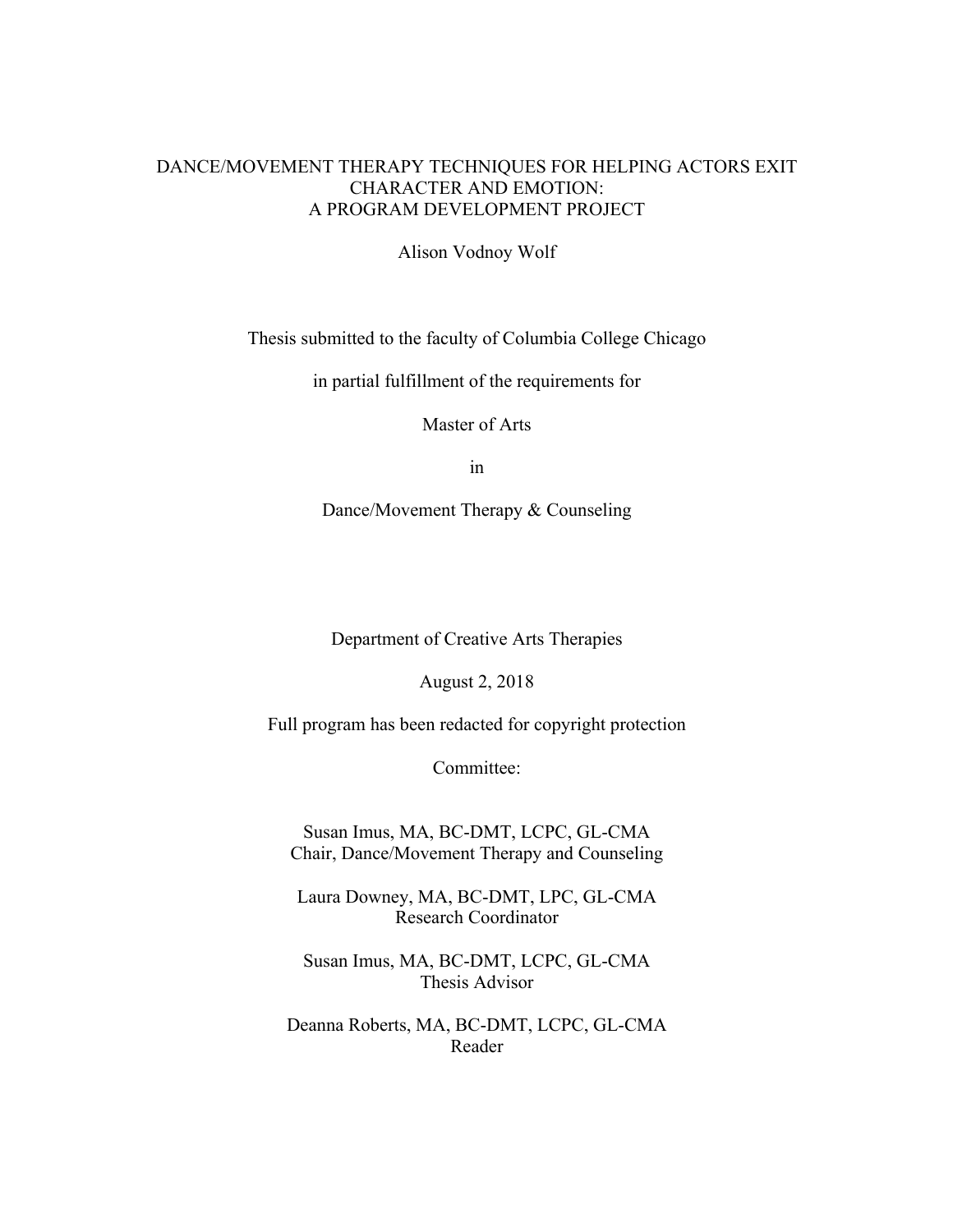# DANCE/MOVEMENT THERAPY TECHNIQUES FOR HELPING ACTORS EXIT CHARACTER AND EMOTION: A PROGRAM DEVELOPMENT PROJECT

Alison Vodnoy Wolf

Thesis submitted to the faculty of Columbia College Chicago

in partial fulfillment of the requirements for

Master of Arts

in

Dance/Movement Therapy & Counseling

Department of Creative Arts Therapies

August 2, 2018

Full program has been redacted for copyright protection

Committee:

Susan Imus, MA, BC-DMT, LCPC, GL-CMA Chair, Dance/Movement Therapy and Counseling

Laura Downey, MA, BC-DMT, LPC, GL-CMA Research Coordinator

Susan Imus, MA, BC-DMT, LCPC, GL-CMA Thesis Advisor

Deanna Roberts, MA, BC-DMT, LCPC, GL-CMA Reader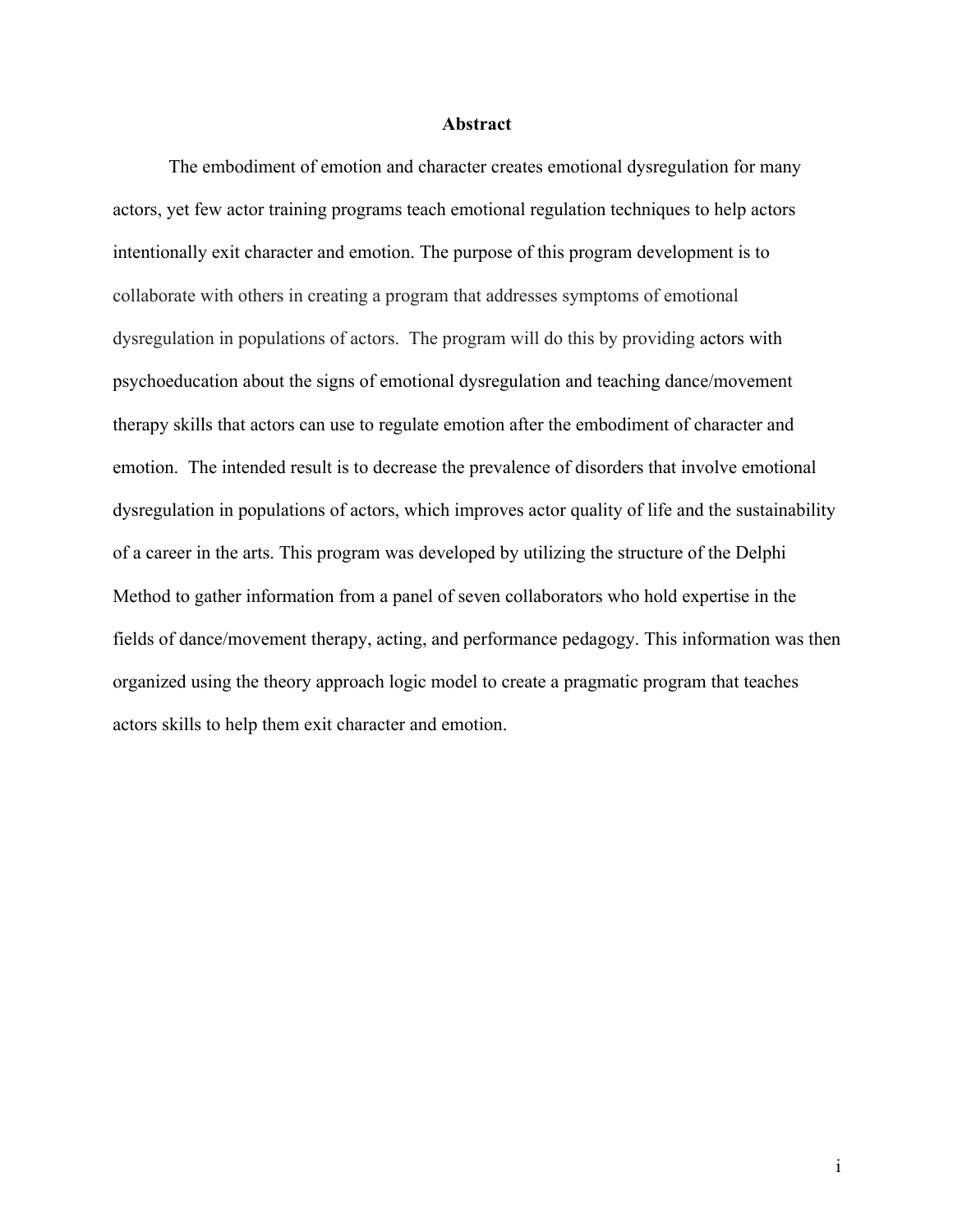#### **Abstract**

The embodiment of emotion and character creates emotional dysregulation for many actors, yet few actor training programs teach emotional regulation techniques to help actors intentionally exit character and emotion. The purpose of this program development is to collaborate with others in creating a program that addresses symptoms of emotional dysregulation in populations of actors. The program will do this by providing actors with psychoeducation about the signs of emotional dysregulation and teaching dance/movement therapy skills that actors can use to regulate emotion after the embodiment of character and emotion. The intended result is to decrease the prevalence of disorders that involve emotional dysregulation in populations of actors, which improves actor quality of life and the sustainability of a career in the arts. This program was developed by utilizing the structure of the Delphi Method to gather information from a panel of seven collaborators who hold expertise in the fields of dance/movement therapy, acting, and performance pedagogy. This information was then organized using the theory approach logic model to create a pragmatic program that teaches actors skills to help them exit character and emotion.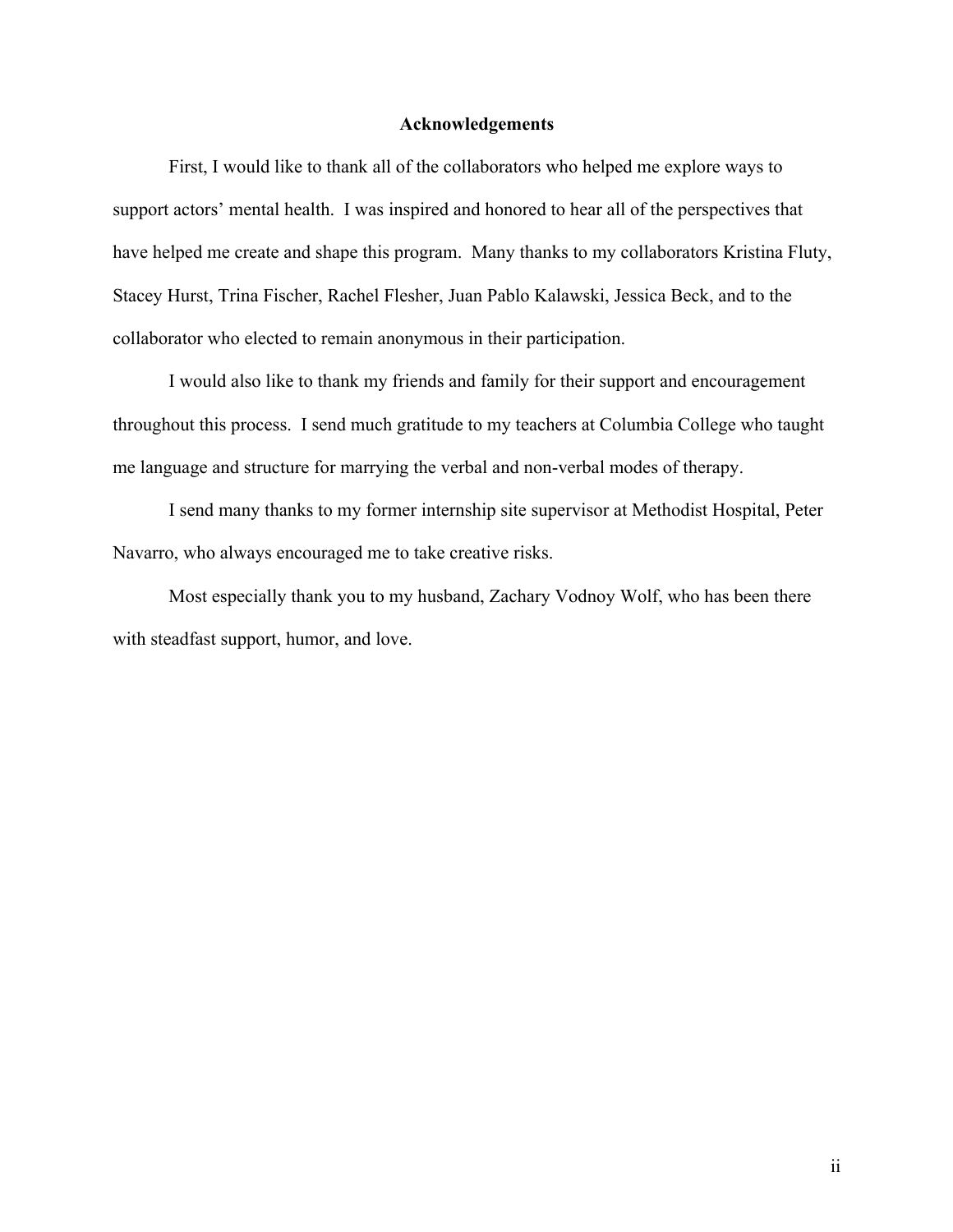# **Acknowledgements**

First, I would like to thank all of the collaborators who helped me explore ways to support actors' mental health. I was inspired and honored to hear all of the perspectives that have helped me create and shape this program. Many thanks to my collaborators Kristina Fluty, Stacey Hurst, Trina Fischer, Rachel Flesher, Juan Pablo Kalawski, Jessica Beck, and to the collaborator who elected to remain anonymous in their participation.

I would also like to thank my friends and family for their support and encouragement throughout this process. I send much gratitude to my teachers at Columbia College who taught me language and structure for marrying the verbal and non-verbal modes of therapy.

I send many thanks to my former internship site supervisor at Methodist Hospital, Peter Navarro, who always encouraged me to take creative risks.

Most especially thank you to my husband, Zachary Vodnoy Wolf, who has been there with steadfast support, humor, and love.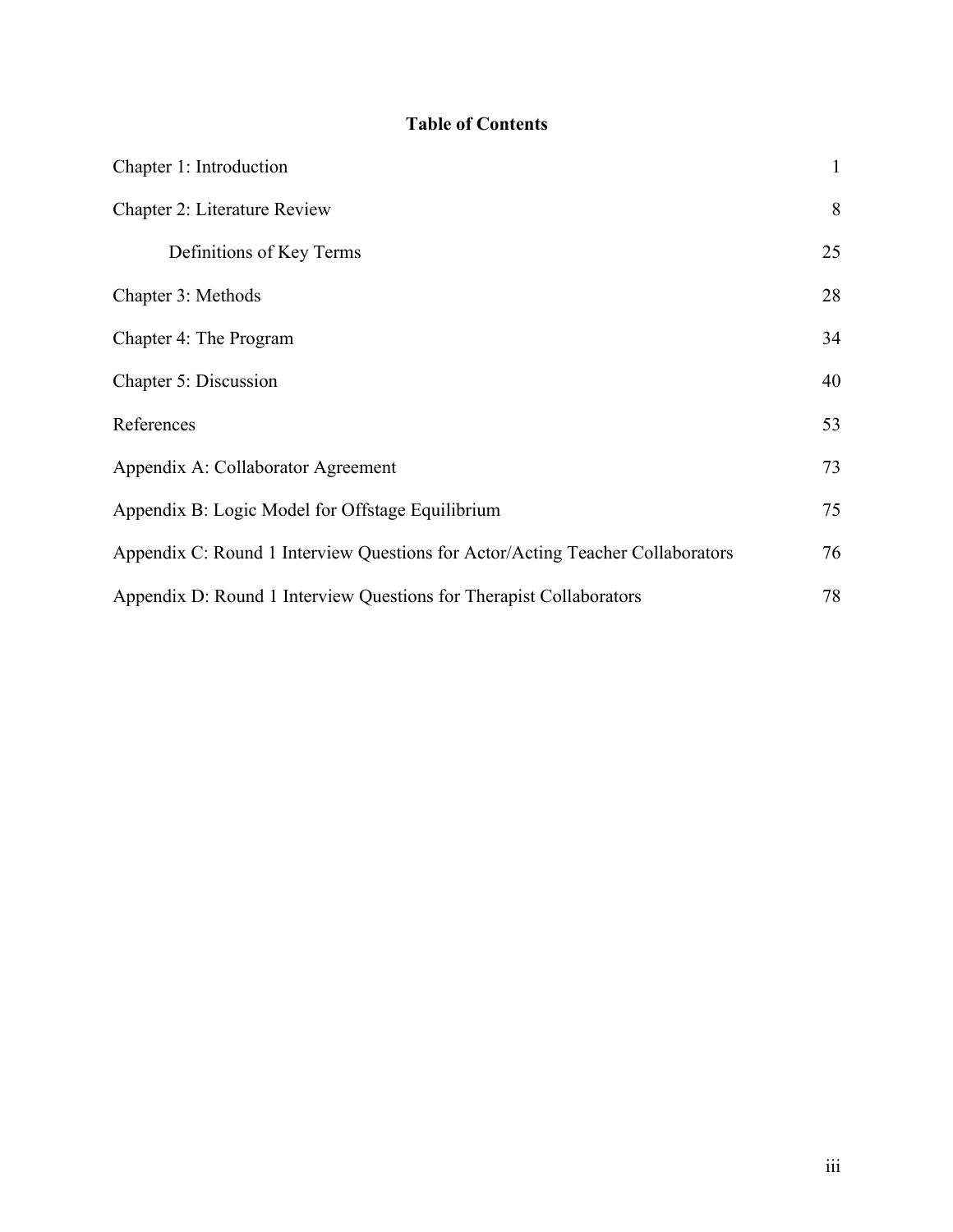# **Table of Contents**

| Chapter 1: Introduction                                                        | $\mathbf{1}$ |
|--------------------------------------------------------------------------------|--------------|
| Chapter 2: Literature Review                                                   | 8            |
| Definitions of Key Terms                                                       | 25           |
| Chapter 3: Methods                                                             | 28           |
| Chapter 4: The Program                                                         | 34           |
| Chapter 5: Discussion                                                          | 40           |
| References                                                                     | 53           |
| Appendix A: Collaborator Agreement                                             | 73           |
| Appendix B: Logic Model for Offstage Equilibrium                               | 75           |
| Appendix C: Round 1 Interview Questions for Actor/Acting Teacher Collaborators | 76           |
| Appendix D: Round 1 Interview Questions for Therapist Collaborators            | 78           |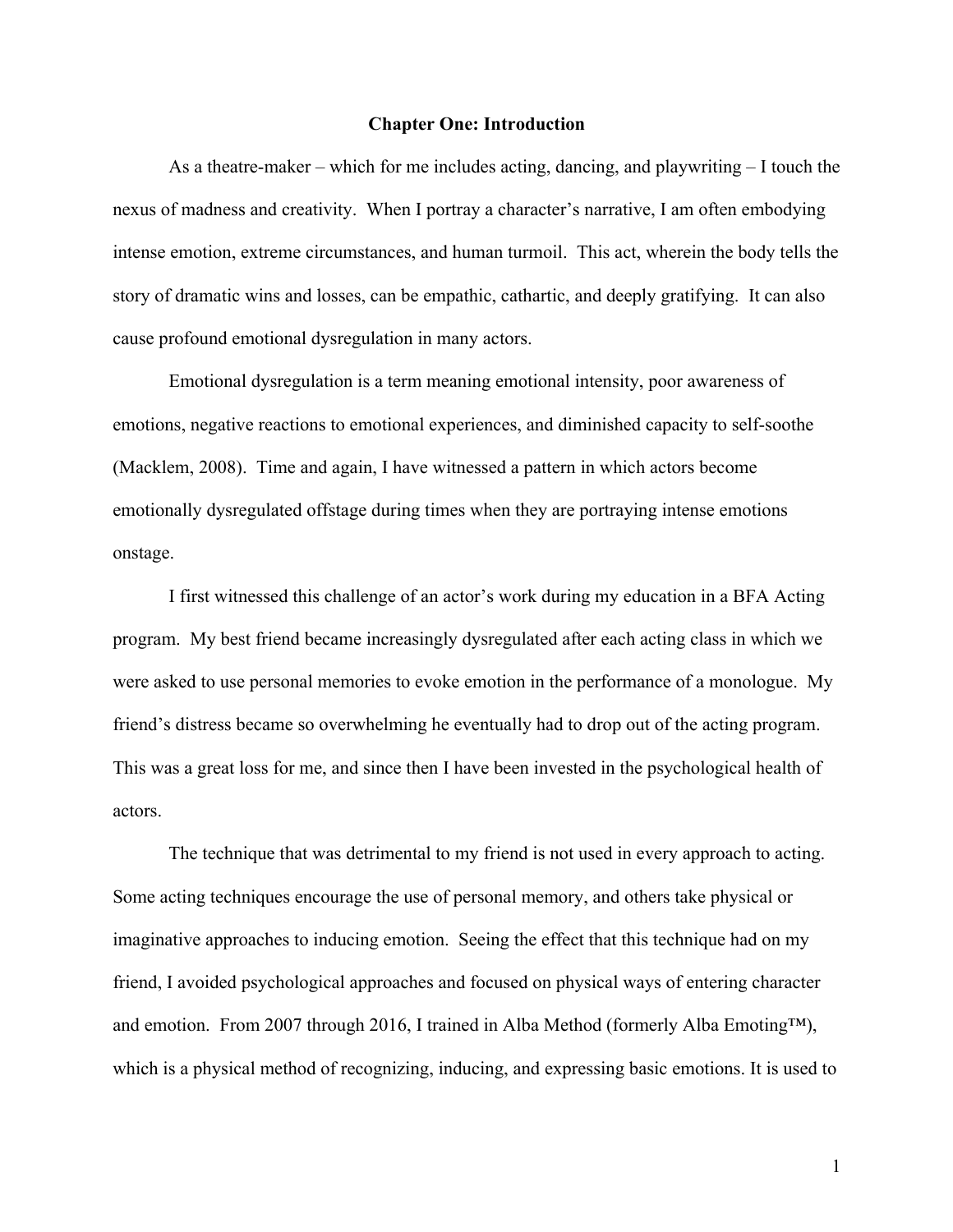#### **Chapter One: Introduction**

As a theatre-maker – which for me includes acting, dancing, and playwriting – I touch the nexus of madness and creativity. When I portray a character's narrative, I am often embodying intense emotion, extreme circumstances, and human turmoil. This act, wherein the body tells the story of dramatic wins and losses, can be empathic, cathartic, and deeply gratifying. It can also cause profound emotional dysregulation in many actors.

Emotional dysregulation is a term meaning emotional intensity, poor awareness of emotions, negative reactions to emotional experiences, and diminished capacity to self-soothe (Macklem, 2008). Time and again, I have witnessed a pattern in which actors become emotionally dysregulated offstage during times when they are portraying intense emotions onstage.

I first witnessed this challenge of an actor's work during my education in a BFA Acting program. My best friend became increasingly dysregulated after each acting class in which we were asked to use personal memories to evoke emotion in the performance of a monologue. My friend's distress became so overwhelming he eventually had to drop out of the acting program. This was a great loss for me, and since then I have been invested in the psychological health of actors.

The technique that was detrimental to my friend is not used in every approach to acting. Some acting techniques encourage the use of personal memory, and others take physical or imaginative approaches to inducing emotion. Seeing the effect that this technique had on my friend, I avoided psychological approaches and focused on physical ways of entering character and emotion. From 2007 through 2016, I trained in Alba Method (formerly Alba Emoting™), which is a physical method of recognizing, inducing, and expressing basic emotions. It is used to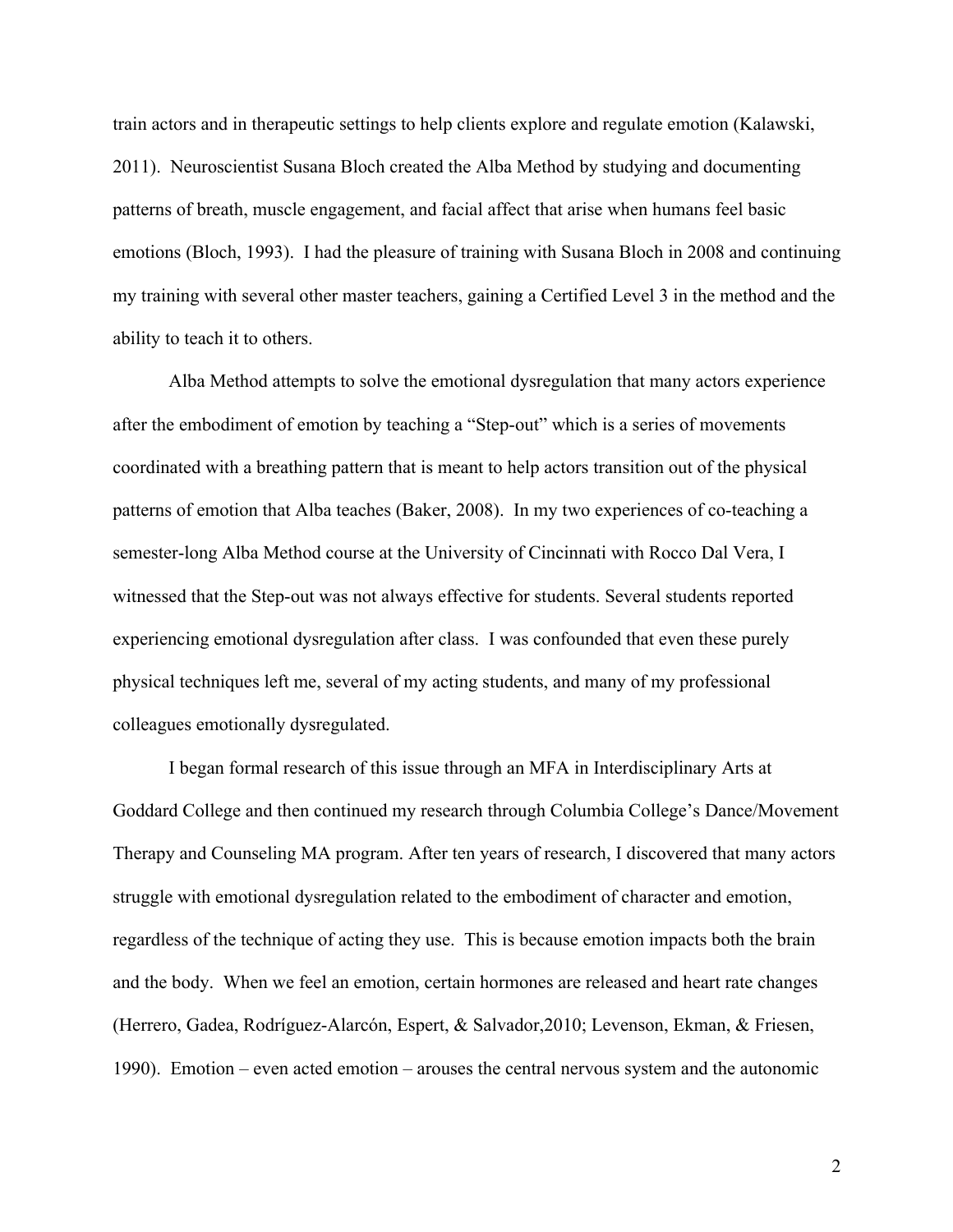train actors and in therapeutic settings to help clients explore and regulate emotion (Kalawski, 2011). Neuroscientist Susana Bloch created the Alba Method by studying and documenting patterns of breath, muscle engagement, and facial affect that arise when humans feel basic emotions (Bloch, 1993). I had the pleasure of training with Susana Bloch in 2008 and continuing my training with several other master teachers, gaining a Certified Level 3 in the method and the ability to teach it to others.

Alba Method attempts to solve the emotional dysregulation that many actors experience after the embodiment of emotion by teaching a "Step-out" which is a series of movements coordinated with a breathing pattern that is meant to help actors transition out of the physical patterns of emotion that Alba teaches (Baker, 2008). In my two experiences of co-teaching a semester-long Alba Method course at the University of Cincinnati with Rocco Dal Vera, I witnessed that the Step-out was not always effective for students. Several students reported experiencing emotional dysregulation after class. I was confounded that even these purely physical techniques left me, several of my acting students, and many of my professional colleagues emotionally dysregulated.

I began formal research of this issue through an MFA in Interdisciplinary Arts at Goddard College and then continued my research through Columbia College's Dance/Movement Therapy and Counseling MA program. After ten years of research, I discovered that many actors struggle with emotional dysregulation related to the embodiment of character and emotion, regardless of the technique of acting they use. This is because emotion impacts both the brain and the body. When we feel an emotion, certain hormones are released and heart rate changes (Herrero, Gadea, Rodríguez-Alarcón, Espert, & Salvador,2010; Levenson, Ekman, & Friesen, 1990). Emotion – even acted emotion – arouses the central nervous system and the autonomic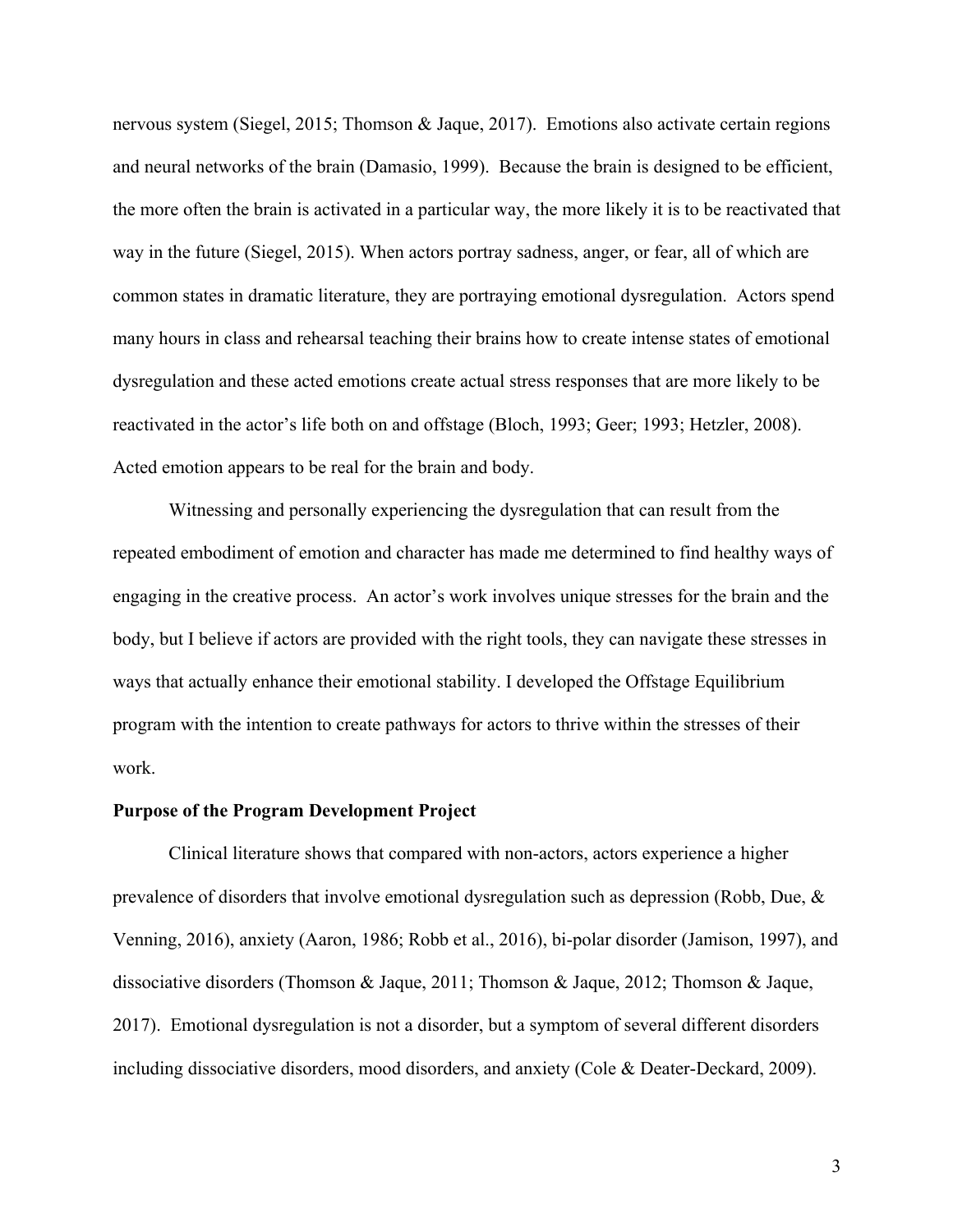nervous system (Siegel, 2015; Thomson & Jaque, 2017). Emotions also activate certain regions and neural networks of the brain (Damasio, 1999). Because the brain is designed to be efficient, the more often the brain is activated in a particular way, the more likely it is to be reactivated that way in the future (Siegel, 2015). When actors portray sadness, anger, or fear, all of which are common states in dramatic literature, they are portraying emotional dysregulation. Actors spend many hours in class and rehearsal teaching their brains how to create intense states of emotional dysregulation and these acted emotions create actual stress responses that are more likely to be reactivated in the actor's life both on and offstage (Bloch, 1993; Geer; 1993; Hetzler, 2008). Acted emotion appears to be real for the brain and body.

Witnessing and personally experiencing the dysregulation that can result from the repeated embodiment of emotion and character has made me determined to find healthy ways of engaging in the creative process. An actor's work involves unique stresses for the brain and the body, but I believe if actors are provided with the right tools, they can navigate these stresses in ways that actually enhance their emotional stability. I developed the Offstage Equilibrium program with the intention to create pathways for actors to thrive within the stresses of their work.

# **Purpose of the Program Development Project**

Clinical literature shows that compared with non-actors, actors experience a higher prevalence of disorders that involve emotional dysregulation such as depression (Robb, Due, & Venning, 2016), anxiety (Aaron, 1986; Robb et al., 2016), bi-polar disorder (Jamison, 1997), and dissociative disorders (Thomson & Jaque, 2011; Thomson & Jaque, 2012; Thomson & Jaque, 2017). Emotional dysregulation is not a disorder, but a symptom of several different disorders including dissociative disorders, mood disorders, and anxiety (Cole & Deater-Deckard, 2009).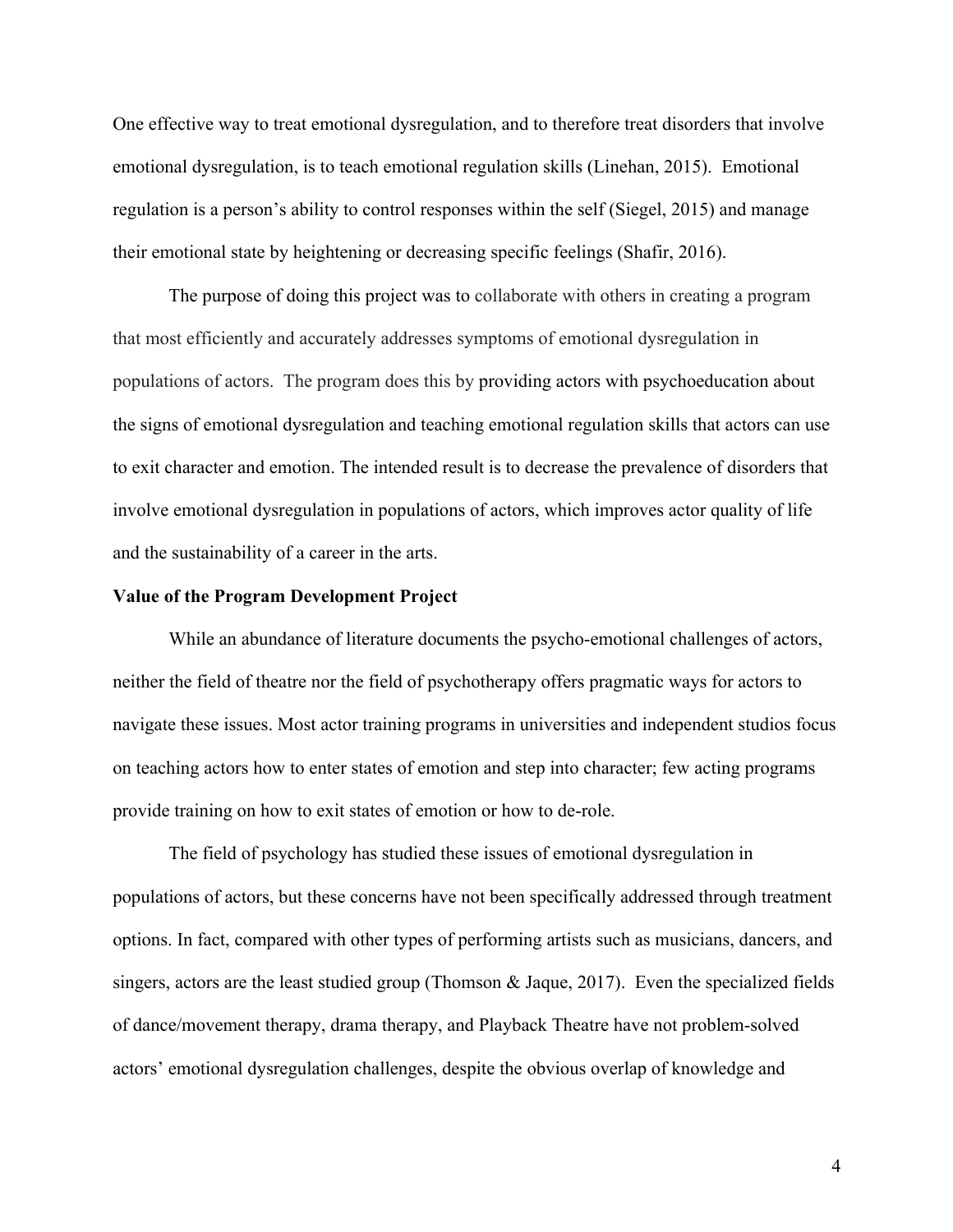One effective way to treat emotional dysregulation, and to therefore treat disorders that involve emotional dysregulation, is to teach emotional regulation skills (Linehan, 2015). Emotional regulation is a person's ability to control responses within the self (Siegel, 2015) and manage their emotional state by heightening or decreasing specific feelings (Shafir, 2016).

The purpose of doing this project was to collaborate with others in creating a program that most efficiently and accurately addresses symptoms of emotional dysregulation in populations of actors. The program does this by providing actors with psychoeducation about the signs of emotional dysregulation and teaching emotional regulation skills that actors can use to exit character and emotion. The intended result is to decrease the prevalence of disorders that involve emotional dysregulation in populations of actors, which improves actor quality of life and the sustainability of a career in the arts.

#### **Value of the Program Development Project**

While an abundance of literature documents the psycho-emotional challenges of actors, neither the field of theatre nor the field of psychotherapy offers pragmatic ways for actors to navigate these issues. Most actor training programs in universities and independent studios focus on teaching actors how to enter states of emotion and step into character; few acting programs provide training on how to exit states of emotion or how to de-role.

The field of psychology has studied these issues of emotional dysregulation in populations of actors, but these concerns have not been specifically addressed through treatment options. In fact, compared with other types of performing artists such as musicians, dancers, and singers, actors are the least studied group (Thomson & Jaque, 2017). Even the specialized fields of dance/movement therapy, drama therapy, and Playback Theatre have not problem-solved actors' emotional dysregulation challenges, despite the obvious overlap of knowledge and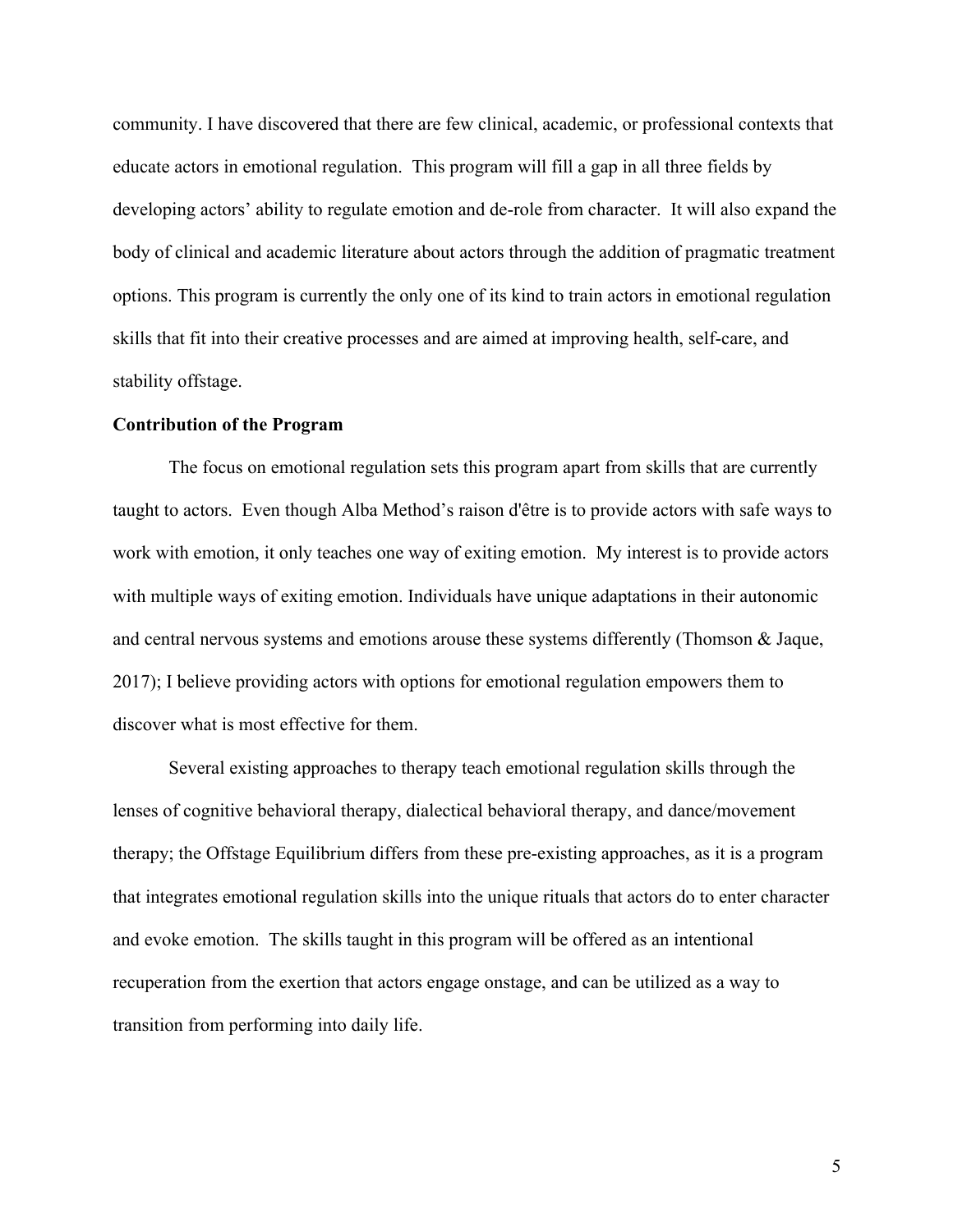community. I have discovered that there are few clinical, academic, or professional contexts that educate actors in emotional regulation. This program will fill a gap in all three fields by developing actors' ability to regulate emotion and de-role from character. It will also expand the body of clinical and academic literature about actors through the addition of pragmatic treatment options. This program is currently the only one of its kind to train actors in emotional regulation skills that fit into their creative processes and are aimed at improving health, self-care, and stability offstage.

#### **Contribution of the Program**

The focus on emotional regulation sets this program apart from skills that are currently taught to actors. Even though Alba Method's raison d'être is to provide actors with safe ways to work with emotion, it only teaches one way of exiting emotion. My interest is to provide actors with multiple ways of exiting emotion. Individuals have unique adaptations in their autonomic and central nervous systems and emotions arouse these systems differently (Thomson & Jaque, 2017); I believe providing actors with options for emotional regulation empowers them to discover what is most effective for them.

Several existing approaches to therapy teach emotional regulation skills through the lenses of cognitive behavioral therapy, dialectical behavioral therapy, and dance/movement therapy; the Offstage Equilibrium differs from these pre-existing approaches, as it is a program that integrates emotional regulation skills into the unique rituals that actors do to enter character and evoke emotion. The skills taught in this program will be offered as an intentional recuperation from the exertion that actors engage onstage, and can be utilized as a way to transition from performing into daily life.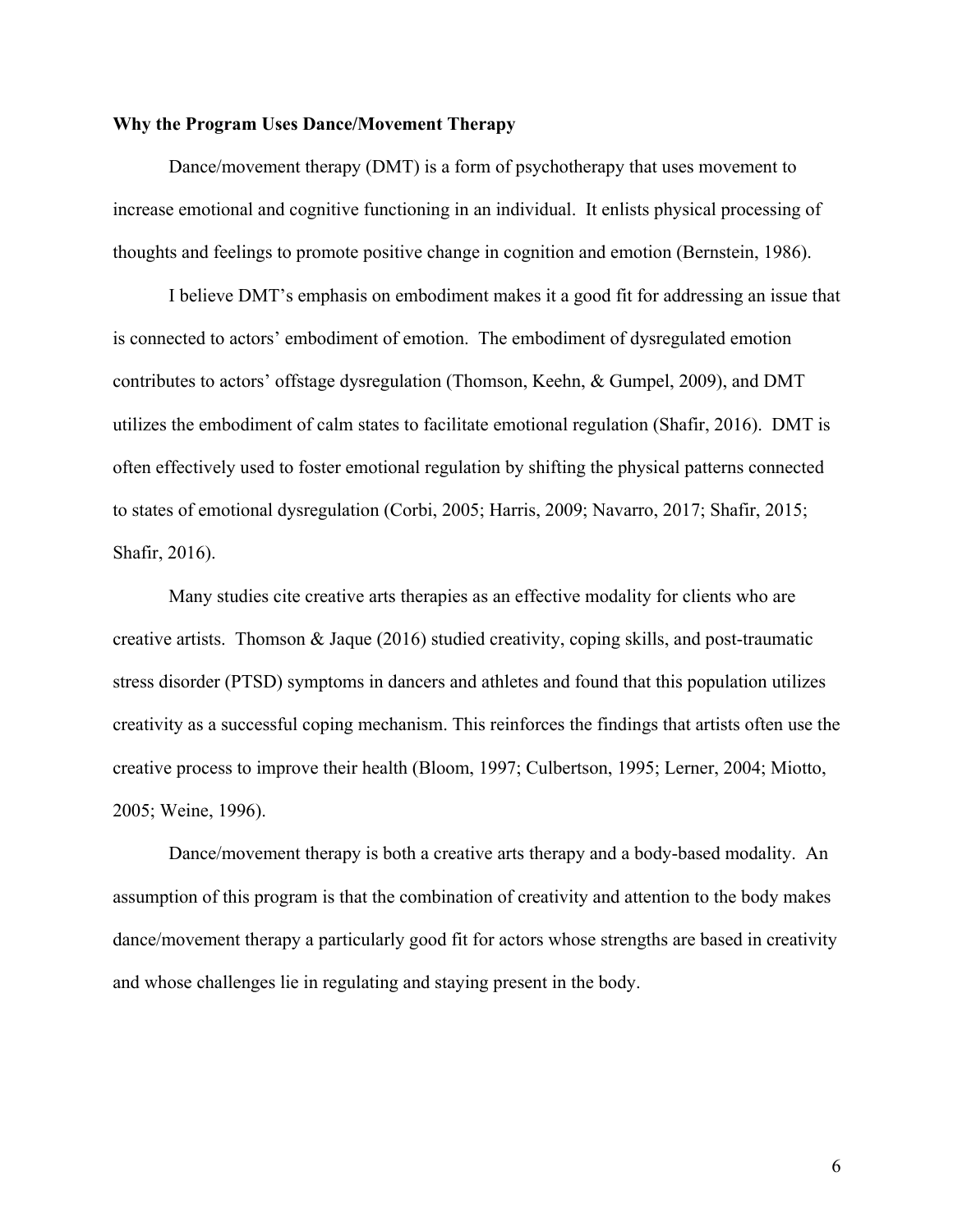# **Why the Program Uses Dance/Movement Therapy**

Dance/movement therapy (DMT) is a form of psychotherapy that uses movement to increase emotional and cognitive functioning in an individual. It enlists physical processing of thoughts and feelings to promote positive change in cognition and emotion (Bernstein, 1986).

I believe DMT's emphasis on embodiment makes it a good fit for addressing an issue that is connected to actors' embodiment of emotion. The embodiment of dysregulated emotion contributes to actors' offstage dysregulation (Thomson, Keehn, & Gumpel, 2009), and DMT utilizes the embodiment of calm states to facilitate emotional regulation (Shafir, 2016). DMT is often effectively used to foster emotional regulation by shifting the physical patterns connected to states of emotional dysregulation (Corbi, 2005; Harris, 2009; Navarro, 2017; Shafir, 2015; Shafir, 2016).

Many studies cite creative arts therapies as an effective modality for clients who are creative artists. Thomson & Jaque (2016) studied creativity, coping skills, and post-traumatic stress disorder (PTSD) symptoms in dancers and athletes and found that this population utilizes creativity as a successful coping mechanism. This reinforces the findings that artists often use the creative process to improve their health (Bloom, 1997; Culbertson, 1995; Lerner, 2004; Miotto, 2005; Weine, 1996).

Dance/movement therapy is both a creative arts therapy and a body-based modality. An assumption of this program is that the combination of creativity and attention to the body makes dance/movement therapy a particularly good fit for actors whose strengths are based in creativity and whose challenges lie in regulating and staying present in the body.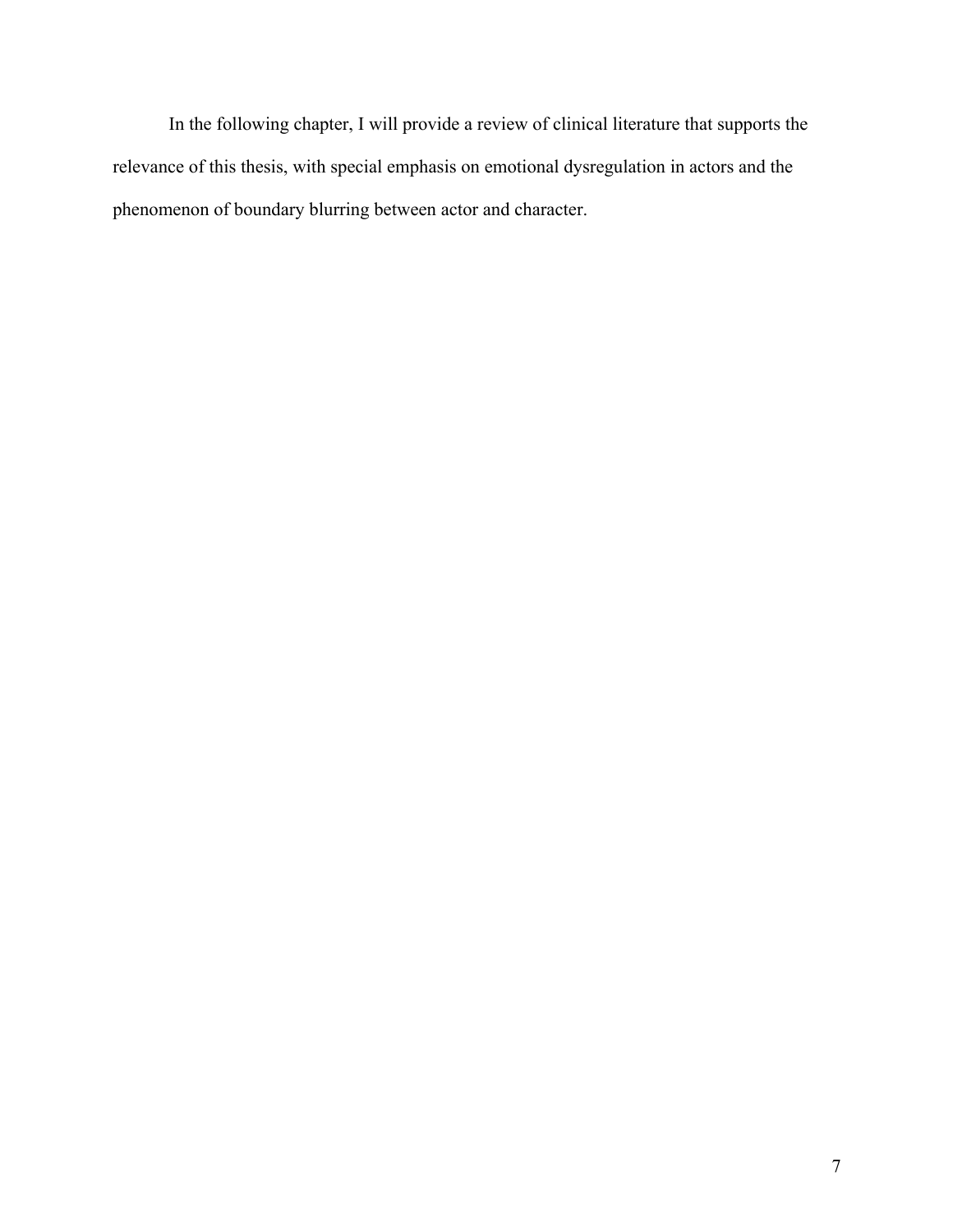In the following chapter, I will provide a review of clinical literature that supports the relevance of this thesis, with special emphasis on emotional dysregulation in actors and the phenomenon of boundary blurring between actor and character.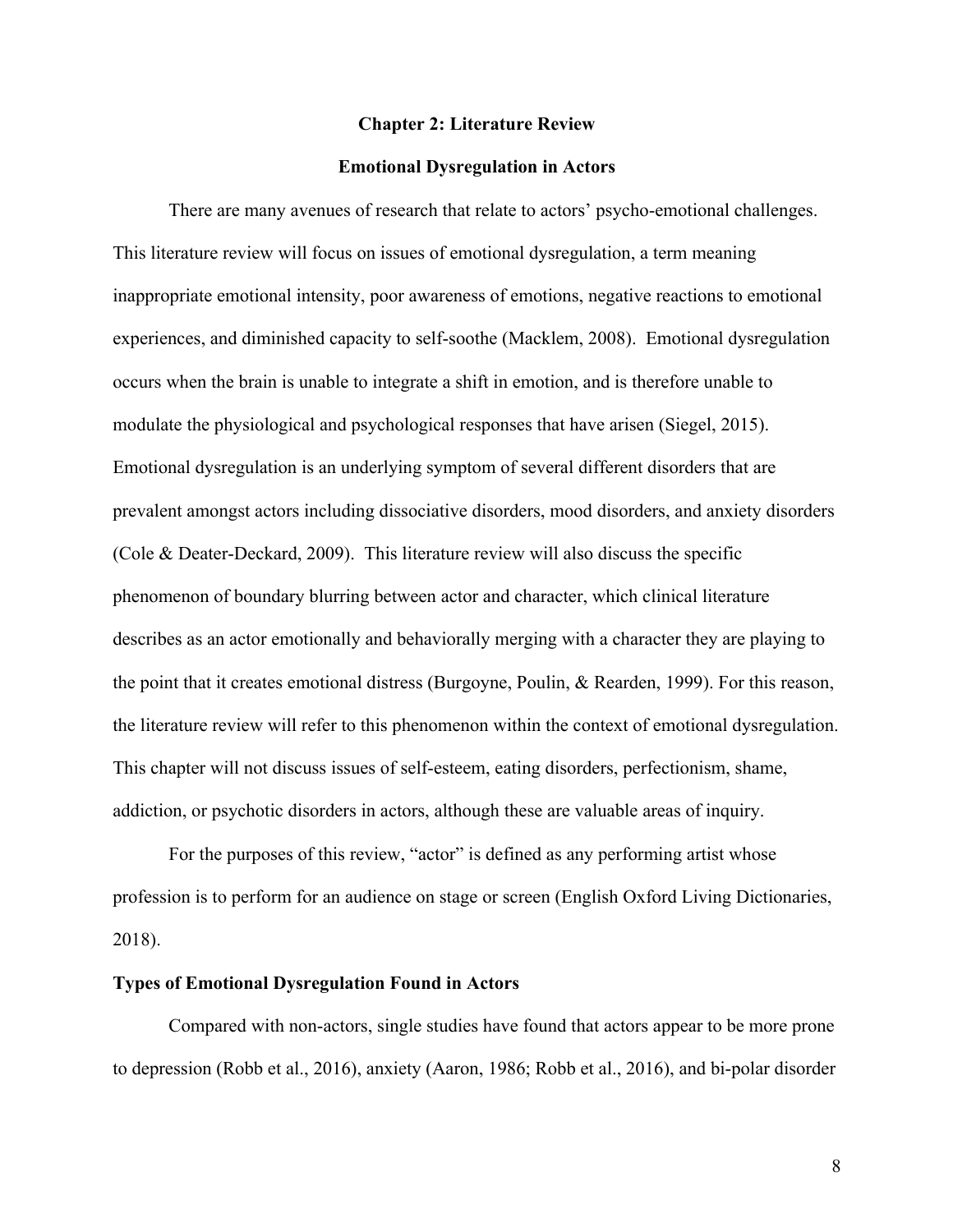#### **Chapter 2: Literature Review**

#### **Emotional Dysregulation in Actors**

There are many avenues of research that relate to actors' psycho-emotional challenges. This literature review will focus on issues of emotional dysregulation, a term meaning inappropriate emotional intensity, poor awareness of emotions, negative reactions to emotional experiences, and diminished capacity to self-soothe (Macklem, 2008). Emotional dysregulation occurs when the brain is unable to integrate a shift in emotion, and is therefore unable to modulate the physiological and psychological responses that have arisen (Siegel, 2015). Emotional dysregulation is an underlying symptom of several different disorders that are prevalent amongst actors including dissociative disorders, mood disorders, and anxiety disorders (Cole & Deater-Deckard, 2009). This literature review will also discuss the specific phenomenon of boundary blurring between actor and character, which clinical literature describes as an actor emotionally and behaviorally merging with a character they are playing to the point that it creates emotional distress (Burgoyne, Poulin, & Rearden, 1999). For this reason, the literature review will refer to this phenomenon within the context of emotional dysregulation. This chapter will not discuss issues of self-esteem, eating disorders, perfectionism, shame, addiction, or psychotic disorders in actors, although these are valuable areas of inquiry.

For the purposes of this review, "actor" is defined as any performing artist whose profession is to perform for an audience on stage or screen (English Oxford Living Dictionaries, 2018).

# **Types of Emotional Dysregulation Found in Actors**

Compared with non-actors, single studies have found that actors appear to be more prone to depression (Robb et al., 2016), anxiety (Aaron, 1986; Robb et al., 2016), and bi-polar disorder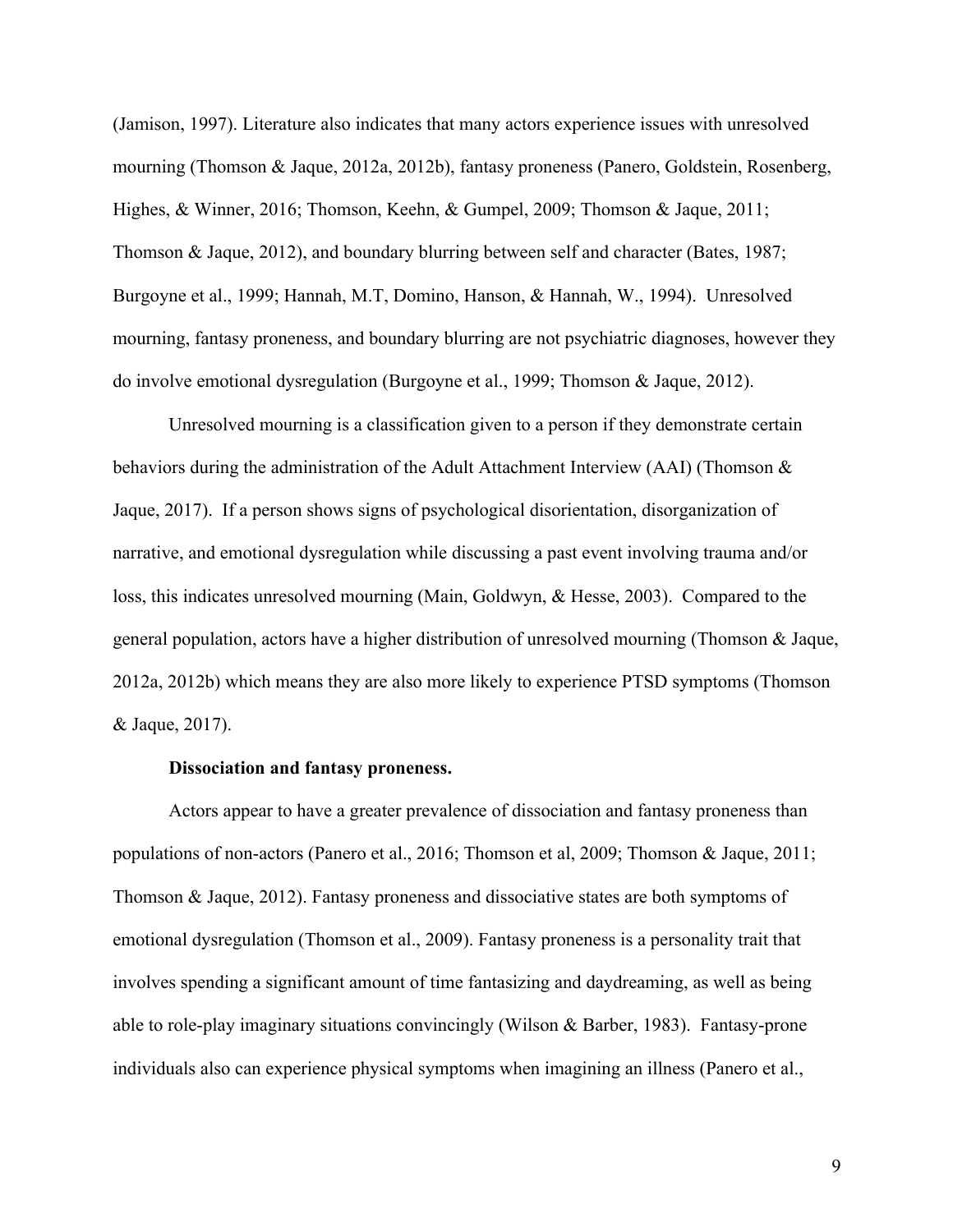(Jamison, 1997). Literature also indicates that many actors experience issues with unresolved mourning (Thomson & Jaque, 2012a, 2012b), fantasy proneness (Panero, Goldstein, Rosenberg, Highes, & Winner, 2016; Thomson, Keehn, & Gumpel, 2009; Thomson & Jaque, 2011; Thomson & Jaque, 2012), and boundary blurring between self and character (Bates, 1987; Burgoyne et al., 1999; Hannah, M.T, Domino, Hanson, & Hannah, W., 1994). Unresolved mourning, fantasy proneness, and boundary blurring are not psychiatric diagnoses, however they do involve emotional dysregulation (Burgoyne et al., 1999; Thomson & Jaque, 2012).

Unresolved mourning is a classification given to a person if they demonstrate certain behaviors during the administration of the Adult Attachment Interview (AAI) (Thomson  $\&$ Jaque, 2017). If a person shows signs of psychological disorientation, disorganization of narrative, and emotional dysregulation while discussing a past event involving trauma and/or loss, this indicates unresolved mourning (Main, Goldwyn, & Hesse, 2003). Compared to the general population, actors have a higher distribution of unresolved mourning (Thomson & Jaque, 2012a, 2012b) which means they are also more likely to experience PTSD symptoms (Thomson & Jaque, 2017).

# **Dissociation and fantasy proneness.**

Actors appear to have a greater prevalence of dissociation and fantasy proneness than populations of non-actors (Panero et al., 2016; Thomson et al, 2009; Thomson & Jaque, 2011; Thomson & Jaque, 2012). Fantasy proneness and dissociative states are both symptoms of emotional dysregulation (Thomson et al., 2009). Fantasy proneness is a personality trait that involves spending a significant amount of time fantasizing and daydreaming, as well as being able to role-play imaginary situations convincingly (Wilson & Barber, 1983). Fantasy-prone individuals also can experience physical symptoms when imagining an illness (Panero et al.,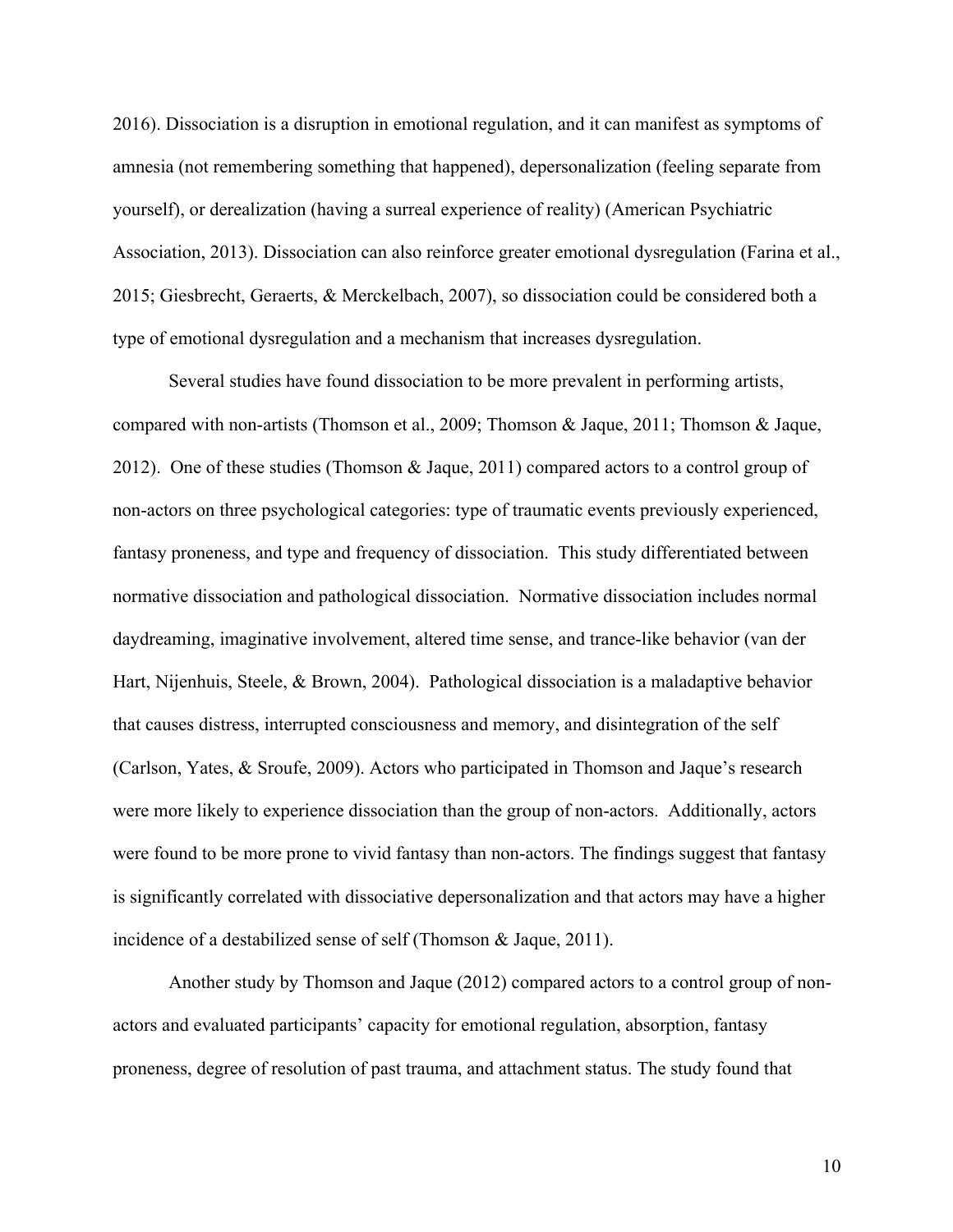2016). Dissociation is a disruption in emotional regulation, and it can manifest as symptoms of amnesia (not remembering something that happened), depersonalization (feeling separate from yourself), or derealization (having a surreal experience of reality) (American Psychiatric Association, 2013). Dissociation can also reinforce greater emotional dysregulation (Farina et al., 2015; Giesbrecht, Geraerts, & Merckelbach, 2007), so dissociation could be considered both a type of emotional dysregulation and a mechanism that increases dysregulation.

Several studies have found dissociation to be more prevalent in performing artists, compared with non-artists (Thomson et al., 2009; Thomson & Jaque, 2011; Thomson & Jaque, 2012). One of these studies (Thomson & Jaque, 2011) compared actors to a control group of non-actors on three psychological categories: type of traumatic events previously experienced, fantasy proneness, and type and frequency of dissociation. This study differentiated between normative dissociation and pathological dissociation. Normative dissociation includes normal daydreaming, imaginative involvement, altered time sense, and trance-like behavior (van der Hart, Nijenhuis, Steele, & Brown, 2004). Pathological dissociation is a maladaptive behavior that causes distress, interrupted consciousness and memory, and disintegration of the self (Carlson, Yates, & Sroufe, 2009). Actors who participated in Thomson and Jaque's research were more likely to experience dissociation than the group of non-actors. Additionally, actors were found to be more prone to vivid fantasy than non-actors. The findings suggest that fantasy is significantly correlated with dissociative depersonalization and that actors may have a higher incidence of a destabilized sense of self (Thomson & Jaque, 2011).

Another study by Thomson and Jaque (2012) compared actors to a control group of nonactors and evaluated participants' capacity for emotional regulation, absorption, fantasy proneness, degree of resolution of past trauma, and attachment status. The study found that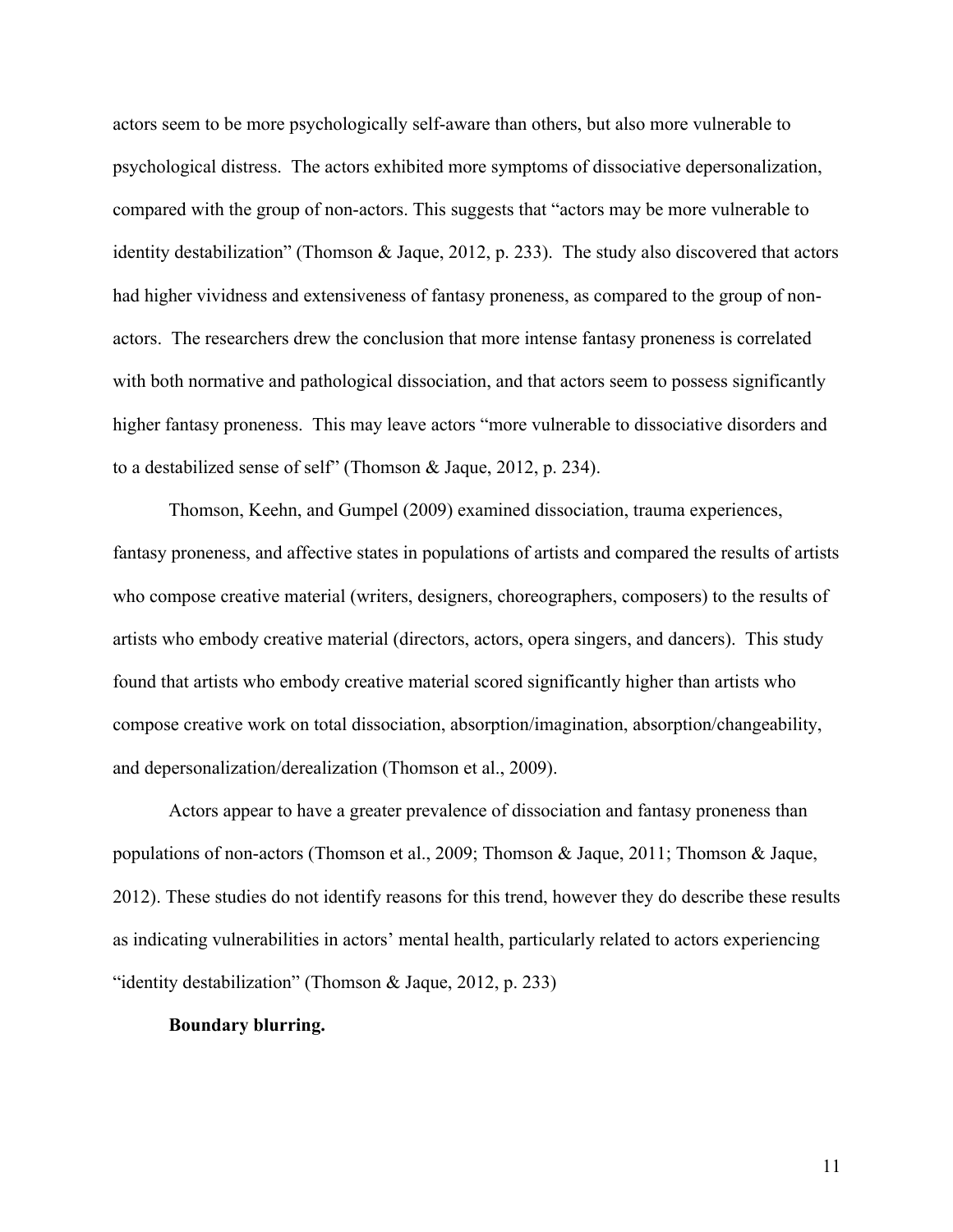actors seem to be more psychologically self-aware than others, but also more vulnerable to psychological distress. The actors exhibited more symptoms of dissociative depersonalization, compared with the group of non-actors. This suggests that "actors may be more vulnerable to identity destabilization" (Thomson & Jaque, 2012, p. 233). The study also discovered that actors had higher vividness and extensiveness of fantasy proneness, as compared to the group of nonactors. The researchers drew the conclusion that more intense fantasy proneness is correlated with both normative and pathological dissociation, and that actors seem to possess significantly higher fantasy proneness. This may leave actors "more vulnerable to dissociative disorders and to a destabilized sense of self" (Thomson & Jaque, 2012, p. 234).

Thomson, Keehn, and Gumpel (2009) examined dissociation, trauma experiences, fantasy proneness, and affective states in populations of artists and compared the results of artists who compose creative material (writers, designers, choreographers, composers) to the results of artists who embody creative material (directors, actors, opera singers, and dancers). This study found that artists who embody creative material scored significantly higher than artists who compose creative work on total dissociation, absorption/imagination, absorption/changeability, and depersonalization/derealization (Thomson et al., 2009).

Actors appear to have a greater prevalence of dissociation and fantasy proneness than populations of non-actors (Thomson et al., 2009; Thomson & Jaque, 2011; Thomson & Jaque, 2012). These studies do not identify reasons for this trend, however they do describe these results as indicating vulnerabilities in actors' mental health, particularly related to actors experiencing "identity destabilization" (Thomson & Jaque, 2012, p. 233)

# **Boundary blurring.**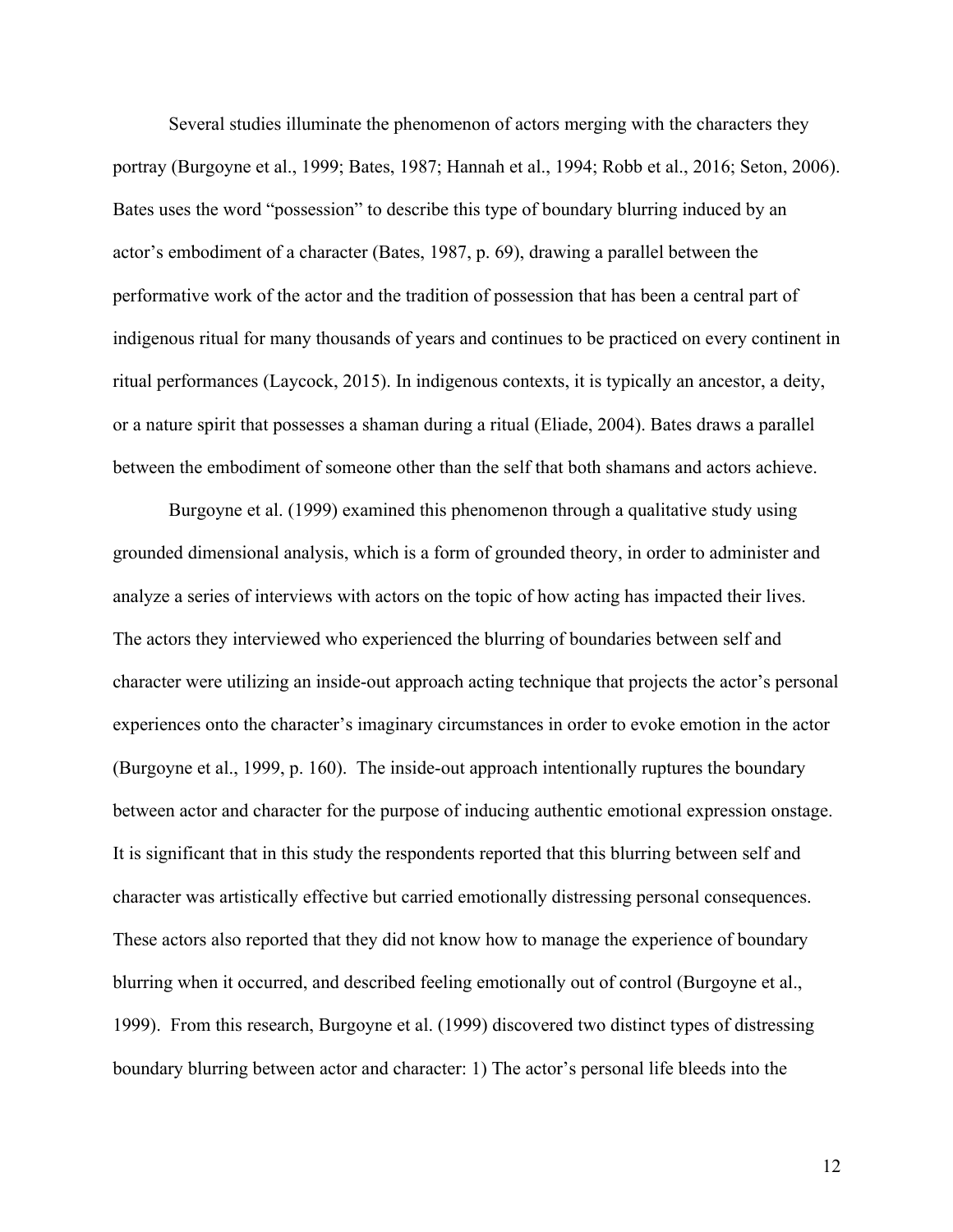Several studies illuminate the phenomenon of actors merging with the characters they portray (Burgoyne et al., 1999; Bates, 1987; Hannah et al., 1994; Robb et al., 2016; Seton, 2006). Bates uses the word "possession" to describe this type of boundary blurring induced by an actor's embodiment of a character (Bates, 1987, p. 69), drawing a parallel between the performative work of the actor and the tradition of possession that has been a central part of indigenous ritual for many thousands of years and continues to be practiced on every continent in ritual performances (Laycock, 2015). In indigenous contexts, it is typically an ancestor, a deity, or a nature spirit that possesses a shaman during a ritual (Eliade, 2004). Bates draws a parallel between the embodiment of someone other than the self that both shamans and actors achieve.

Burgoyne et al. (1999) examined this phenomenon through a qualitative study using grounded dimensional analysis, which is a form of grounded theory, in order to administer and analyze a series of interviews with actors on the topic of how acting has impacted their lives. The actors they interviewed who experienced the blurring of boundaries between self and character were utilizing an inside-out approach acting technique that projects the actor's personal experiences onto the character's imaginary circumstances in order to evoke emotion in the actor (Burgoyne et al., 1999, p. 160). The inside-out approach intentionally ruptures the boundary between actor and character for the purpose of inducing authentic emotional expression onstage. It is significant that in this study the respondents reported that this blurring between self and character was artistically effective but carried emotionally distressing personal consequences. These actors also reported that they did not know how to manage the experience of boundary blurring when it occurred, and described feeling emotionally out of control (Burgoyne et al., 1999). From this research, Burgoyne et al. (1999) discovered two distinct types of distressing boundary blurring between actor and character: 1) The actor's personal life bleeds into the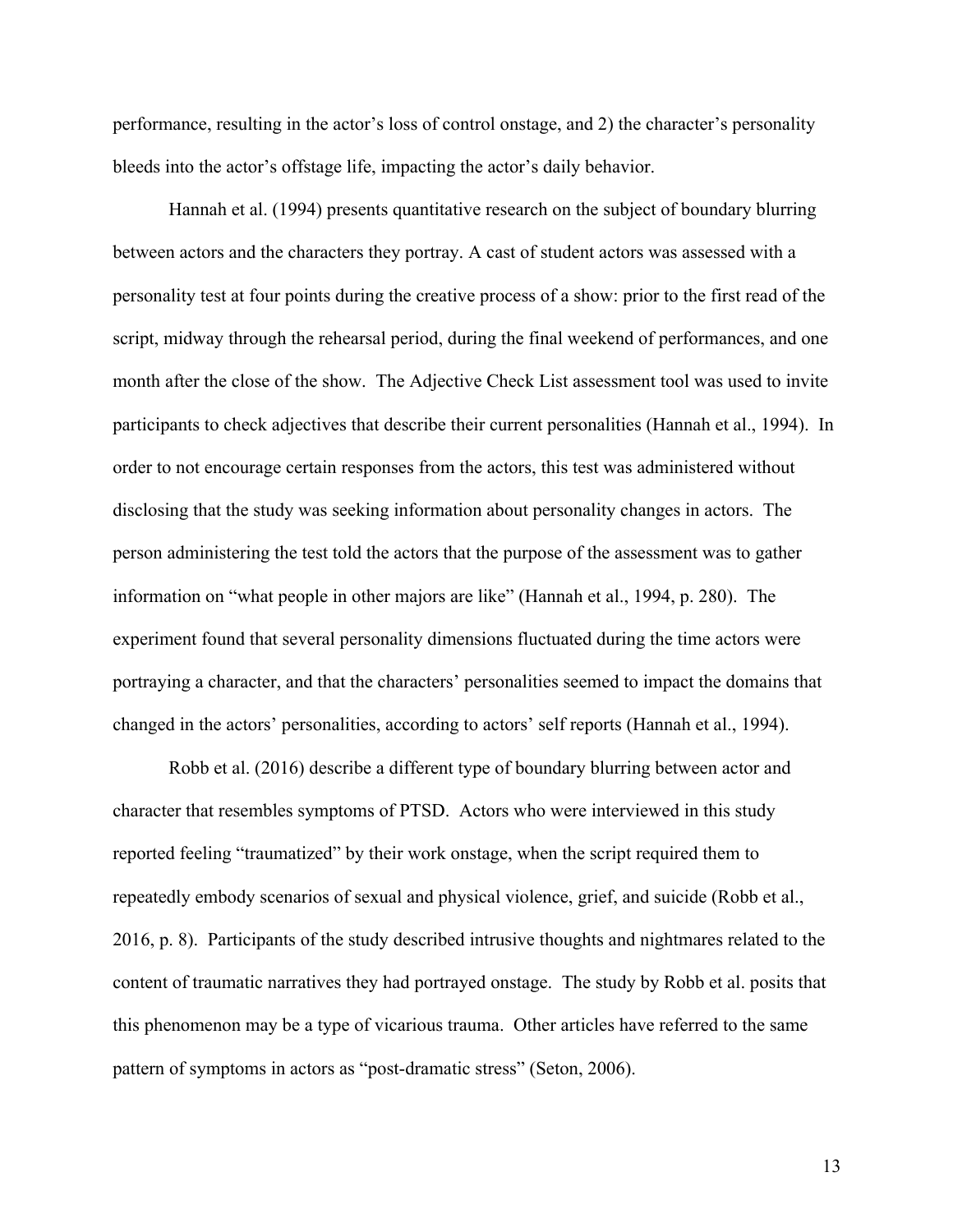performance, resulting in the actor's loss of control onstage, and 2) the character's personality bleeds into the actor's offstage life, impacting the actor's daily behavior.

Hannah et al. (1994) presents quantitative research on the subject of boundary blurring between actors and the characters they portray. A cast of student actors was assessed with a personality test at four points during the creative process of a show: prior to the first read of the script, midway through the rehearsal period, during the final weekend of performances, and one month after the close of the show. The Adjective Check List assessment tool was used to invite participants to check adjectives that describe their current personalities (Hannah et al., 1994). In order to not encourage certain responses from the actors, this test was administered without disclosing that the study was seeking information about personality changes in actors. The person administering the test told the actors that the purpose of the assessment was to gather information on "what people in other majors are like" (Hannah et al., 1994, p. 280). The experiment found that several personality dimensions fluctuated during the time actors were portraying a character, and that the characters' personalities seemed to impact the domains that changed in the actors' personalities, according to actors' self reports (Hannah et al., 1994).

Robb et al. (2016) describe a different type of boundary blurring between actor and character that resembles symptoms of PTSD. Actors who were interviewed in this study reported feeling "traumatized" by their work onstage, when the script required them to repeatedly embody scenarios of sexual and physical violence, grief, and suicide (Robb et al., 2016, p. 8). Participants of the study described intrusive thoughts and nightmares related to the content of traumatic narratives they had portrayed onstage. The study by Robb et al. posits that this phenomenon may be a type of vicarious trauma. Other articles have referred to the same pattern of symptoms in actors as "post-dramatic stress" (Seton, 2006).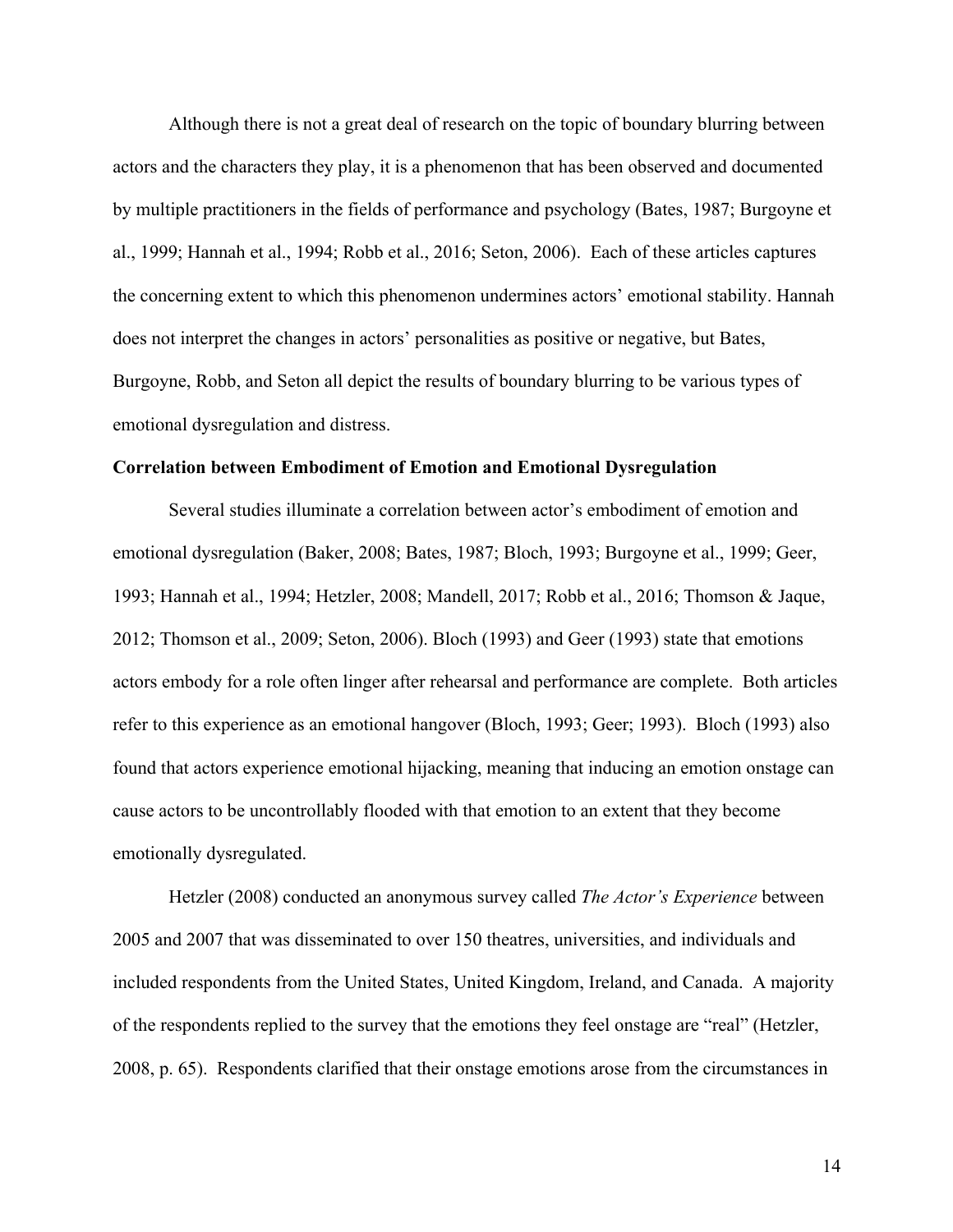Although there is not a great deal of research on the topic of boundary blurring between actors and the characters they play, it is a phenomenon that has been observed and documented by multiple practitioners in the fields of performance and psychology (Bates, 1987; Burgoyne et al., 1999; Hannah et al., 1994; Robb et al., 2016; Seton, 2006). Each of these articles captures the concerning extent to which this phenomenon undermines actors' emotional stability. Hannah does not interpret the changes in actors' personalities as positive or negative, but Bates, Burgoyne, Robb, and Seton all depict the results of boundary blurring to be various types of emotional dysregulation and distress.

#### **Correlation between Embodiment of Emotion and Emotional Dysregulation**

Several studies illuminate a correlation between actor's embodiment of emotion and emotional dysregulation (Baker, 2008; Bates, 1987; Bloch, 1993; Burgoyne et al., 1999; Geer, 1993; Hannah et al., 1994; Hetzler, 2008; Mandell, 2017; Robb et al., 2016; Thomson & Jaque, 2012; Thomson et al., 2009; Seton, 2006). Bloch (1993) and Geer (1993) state that emotions actors embody for a role often linger after rehearsal and performance are complete. Both articles refer to this experience as an emotional hangover (Bloch, 1993; Geer; 1993). Bloch (1993) also found that actors experience emotional hijacking, meaning that inducing an emotion onstage can cause actors to be uncontrollably flooded with that emotion to an extent that they become emotionally dysregulated.

Hetzler (2008) conducted an anonymous survey called *The Actor's Experience* between 2005 and 2007 that was disseminated to over 150 theatres, universities, and individuals and included respondents from the United States, United Kingdom, Ireland, and Canada. A majority of the respondents replied to the survey that the emotions they feel onstage are "real" (Hetzler, 2008, p. 65). Respondents clarified that their onstage emotions arose from the circumstances in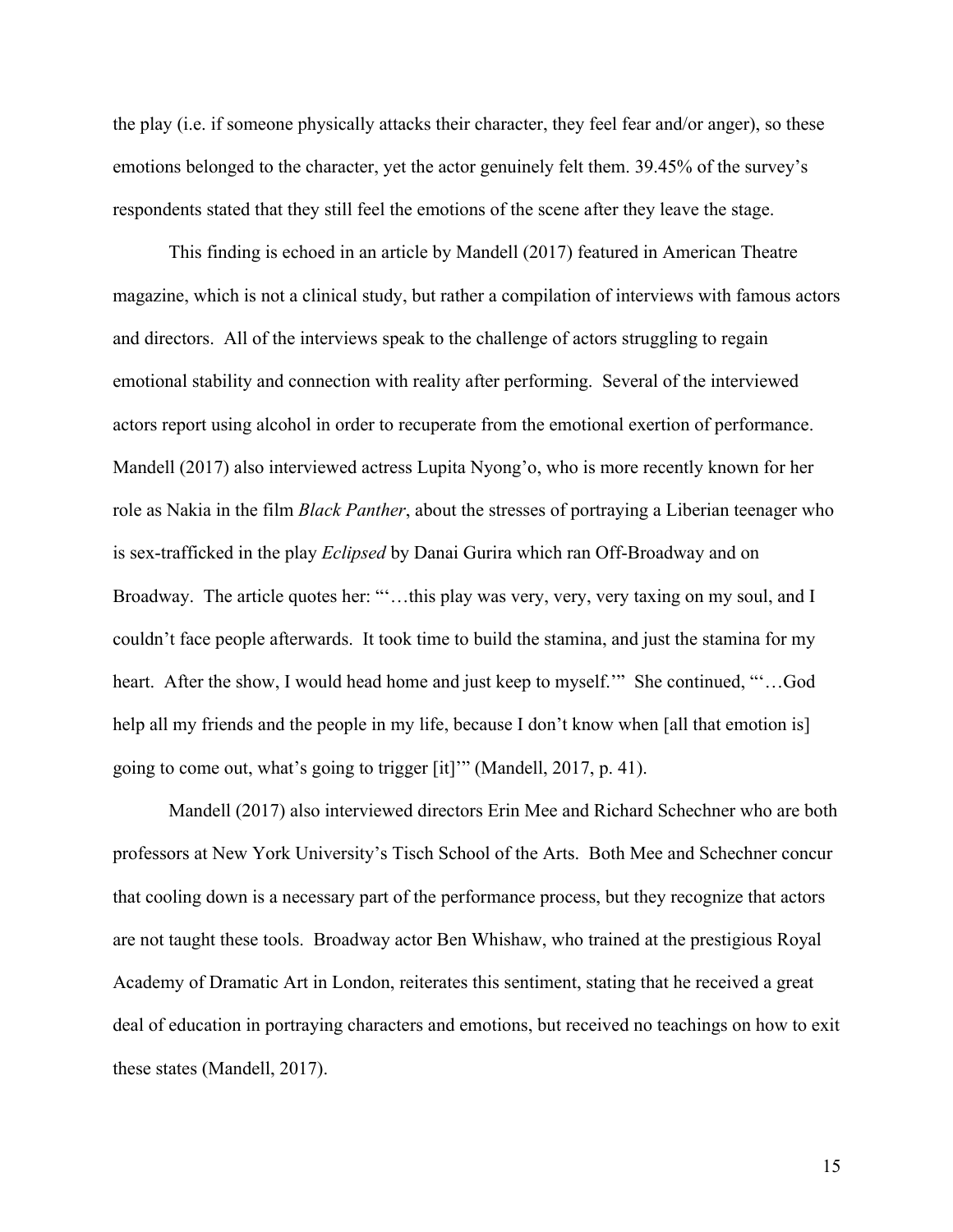the play (i.e. if someone physically attacks their character, they feel fear and/or anger), so these emotions belonged to the character, yet the actor genuinely felt them. 39.45% of the survey's respondents stated that they still feel the emotions of the scene after they leave the stage.

This finding is echoed in an article by Mandell (2017) featured in American Theatre magazine, which is not a clinical study, but rather a compilation of interviews with famous actors and directors. All of the interviews speak to the challenge of actors struggling to regain emotional stability and connection with reality after performing. Several of the interviewed actors report using alcohol in order to recuperate from the emotional exertion of performance. Mandell (2017) also interviewed actress Lupita Nyong'o, who is more recently known for her role as Nakia in the film *Black Panther*, about the stresses of portraying a Liberian teenager who is sex-trafficked in the play *Eclipsed* by Danai Gurira which ran Off-Broadway and on Broadway. The article quotes her: ""...this play was very, very, very taxing on my soul, and I couldn't face people afterwards. It took time to build the stamina, and just the stamina for my heart. After the show, I would head home and just keep to myself.'" She continued, ""...God help all my friends and the people in my life, because I don't know when [all that emotion is] going to come out, what's going to trigger [it]'" (Mandell, 2017, p. 41).

Mandell (2017) also interviewed directors Erin Mee and Richard Schechner who are both professors at New York University's Tisch School of the Arts. Both Mee and Schechner concur that cooling down is a necessary part of the performance process, but they recognize that actors are not taught these tools. Broadway actor Ben Whishaw, who trained at the prestigious Royal Academy of Dramatic Art in London, reiterates this sentiment, stating that he received a great deal of education in portraying characters and emotions, but received no teachings on how to exit these states (Mandell, 2017).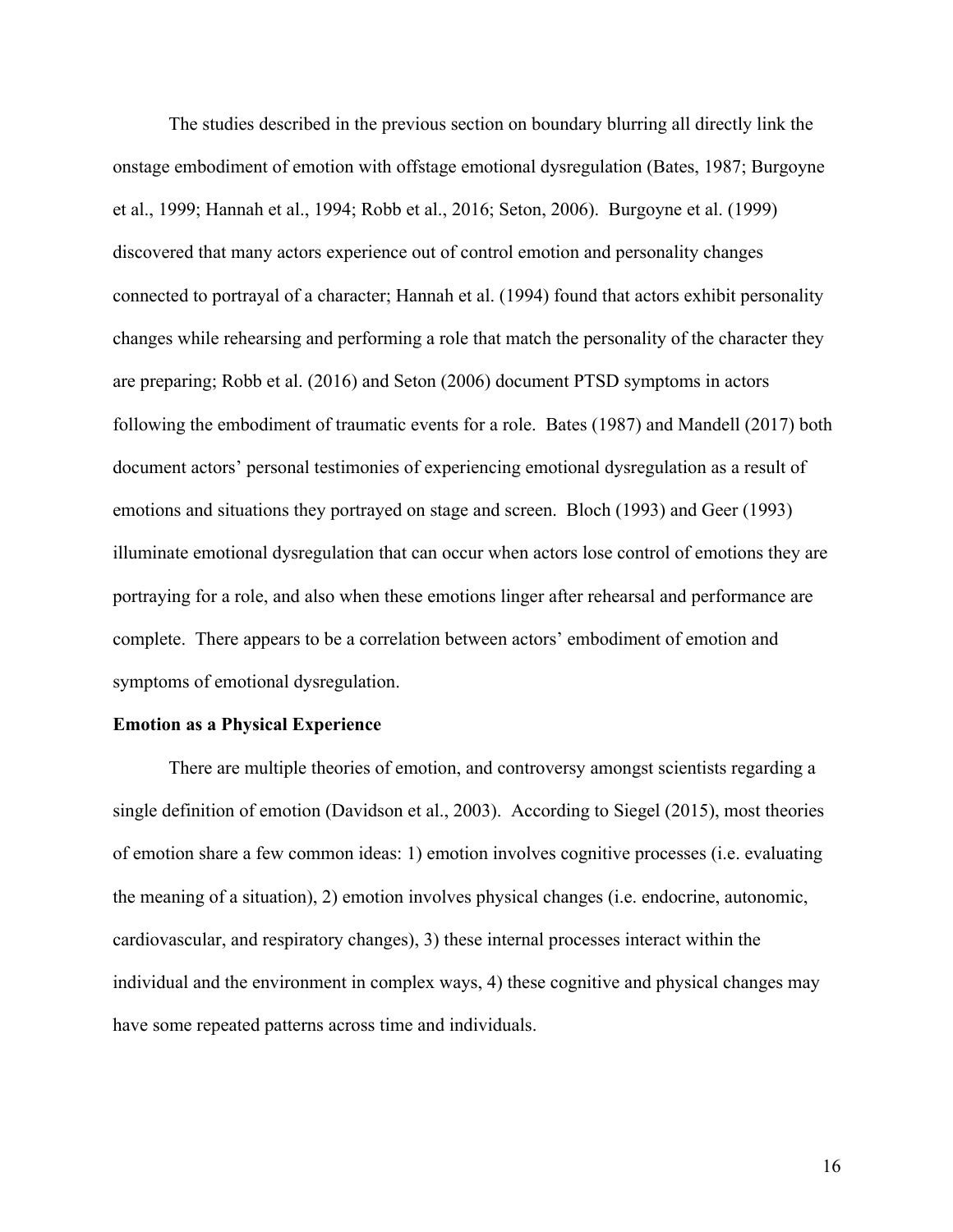The studies described in the previous section on boundary blurring all directly link the onstage embodiment of emotion with offstage emotional dysregulation (Bates, 1987; Burgoyne et al., 1999; Hannah et al., 1994; Robb et al., 2016; Seton, 2006). Burgoyne et al. (1999) discovered that many actors experience out of control emotion and personality changes connected to portrayal of a character; Hannah et al. (1994) found that actors exhibit personality changes while rehearsing and performing a role that match the personality of the character they are preparing; Robb et al. (2016) and Seton (2006) document PTSD symptoms in actors following the embodiment of traumatic events for a role. Bates (1987) and Mandell (2017) both document actors' personal testimonies of experiencing emotional dysregulation as a result of emotions and situations they portrayed on stage and screen. Bloch (1993) and Geer (1993) illuminate emotional dysregulation that can occur when actors lose control of emotions they are portraying for a role, and also when these emotions linger after rehearsal and performance are complete. There appears to be a correlation between actors' embodiment of emotion and symptoms of emotional dysregulation.

# **Emotion as a Physical Experience**

There are multiple theories of emotion, and controversy amongst scientists regarding a single definition of emotion (Davidson et al., 2003). According to Siegel (2015), most theories of emotion share a few common ideas: 1) emotion involves cognitive processes (i.e. evaluating the meaning of a situation), 2) emotion involves physical changes (i.e. endocrine, autonomic, cardiovascular, and respiratory changes), 3) these internal processes interact within the individual and the environment in complex ways, 4) these cognitive and physical changes may have some repeated patterns across time and individuals.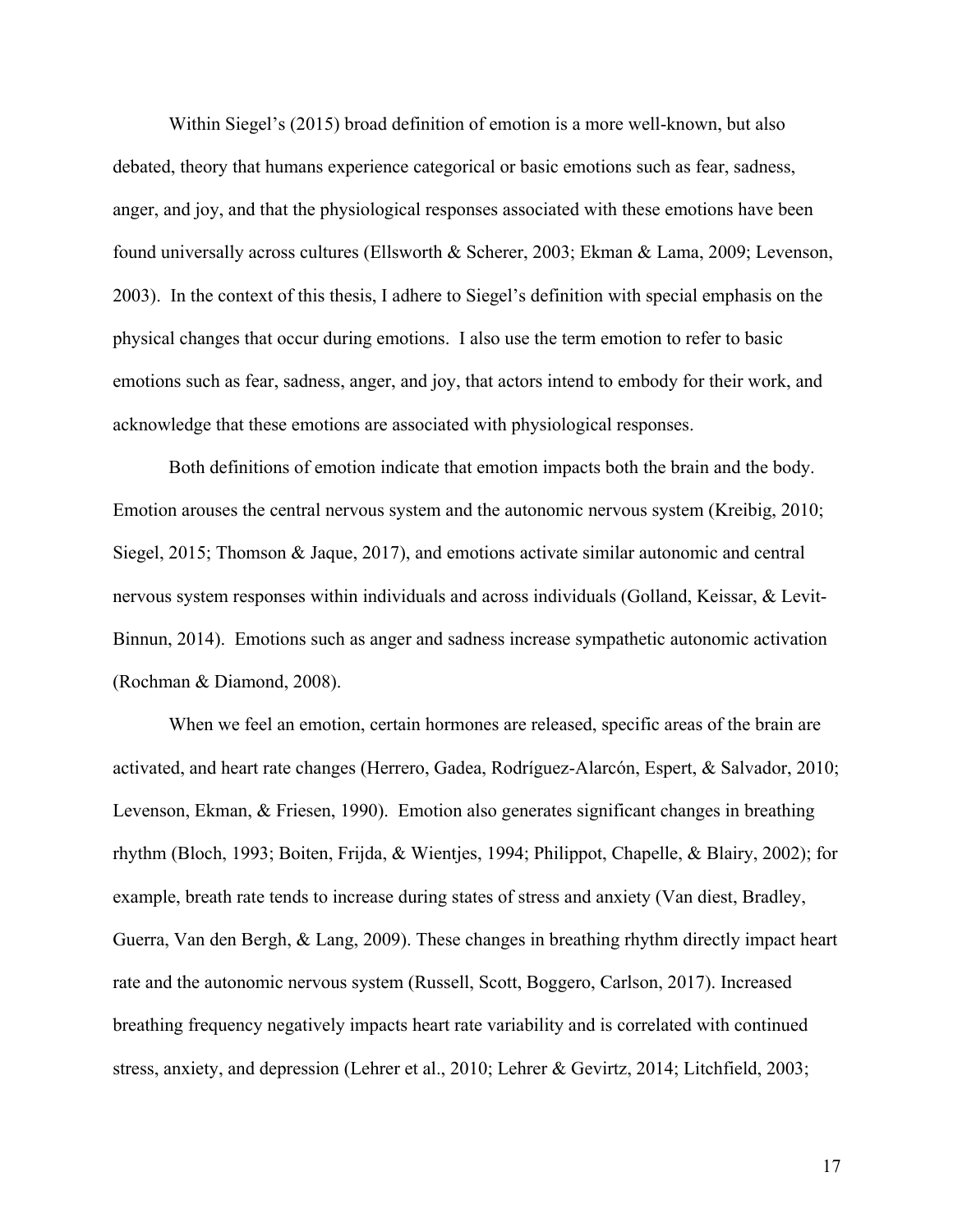Within Siegel's (2015) broad definition of emotion is a more well-known, but also debated, theory that humans experience categorical or basic emotions such as fear, sadness, anger, and joy, and that the physiological responses associated with these emotions have been found universally across cultures (Ellsworth & Scherer, 2003; Ekman & Lama, 2009; Levenson, 2003). In the context of this thesis, I adhere to Siegel's definition with special emphasis on the physical changes that occur during emotions. I also use the term emotion to refer to basic emotions such as fear, sadness, anger, and joy, that actors intend to embody for their work, and acknowledge that these emotions are associated with physiological responses.

Both definitions of emotion indicate that emotion impacts both the brain and the body. Emotion arouses the central nervous system and the autonomic nervous system (Kreibig, 2010; Siegel, 2015; Thomson & Jaque, 2017), and emotions activate similar autonomic and central nervous system responses within individuals and across individuals (Golland, Keissar, & Levit-Binnun, 2014). Emotions such as anger and sadness increase sympathetic autonomic activation (Rochman & Diamond, 2008).

When we feel an emotion, certain hormones are released, specific areas of the brain are activated, and heart rate changes (Herrero, Gadea, Rodríguez-Alarcón, Espert, & Salvador, 2010; Levenson, Ekman, & Friesen, 1990). Emotion also generates significant changes in breathing rhythm (Bloch, 1993; Boiten, Frijda, & Wientjes, 1994; Philippot, Chapelle, & Blairy, 2002); for example, breath rate tends to increase during states of stress and anxiety (Van diest, Bradley, Guerra, Van den Bergh, & Lang, 2009). These changes in breathing rhythm directly impact heart rate and the autonomic nervous system (Russell, Scott, Boggero, Carlson, 2017). Increased breathing frequency negatively impacts heart rate variability and is correlated with continued stress, anxiety, and depression (Lehrer et al., 2010; Lehrer & Gevirtz, 2014; Litchfield, 2003;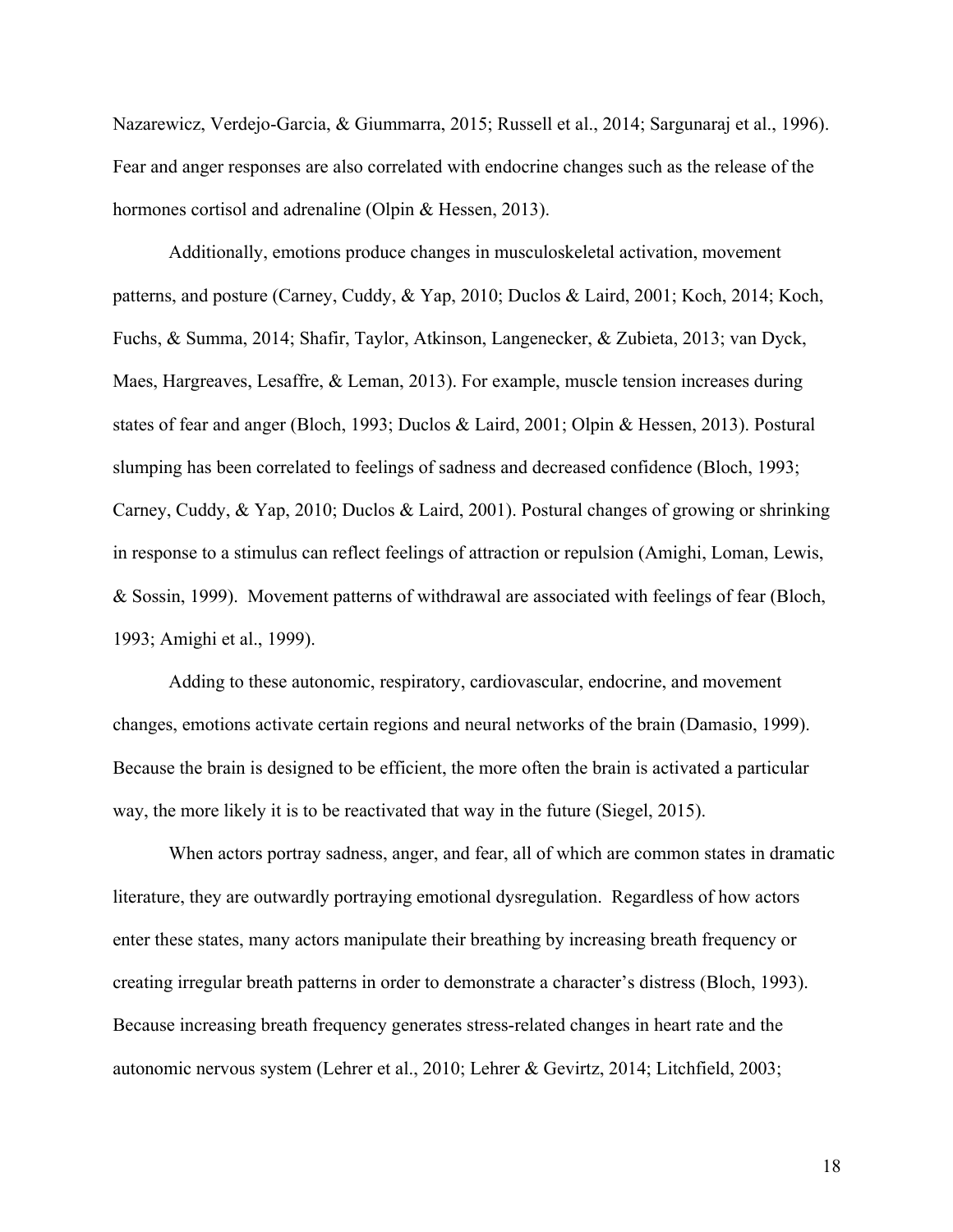Nazarewicz, Verdejo-Garcia, & Giummarra, 2015; Russell et al., 2014; Sargunaraj et al., 1996). Fear and anger responses are also correlated with endocrine changes such as the release of the hormones cortisol and adrenaline (Olpin & Hessen, 2013).

Additionally, emotions produce changes in musculoskeletal activation, movement patterns, and posture (Carney, Cuddy, & Yap, 2010; Duclos & Laird, 2001; Koch, 2014; Koch, Fuchs, & Summa, 2014; Shafir, Taylor, Atkinson, Langenecker, & Zubieta, 2013; van Dyck, Maes, Hargreaves, Lesaffre, & Leman, 2013). For example, muscle tension increases during states of fear and anger (Bloch, 1993; Duclos & Laird, 2001; Olpin & Hessen, 2013). Postural slumping has been correlated to feelings of sadness and decreased confidence (Bloch, 1993; Carney, Cuddy, & Yap, 2010; Duclos & Laird, 2001). Postural changes of growing or shrinking in response to a stimulus can reflect feelings of attraction or repulsion (Amighi, Loman, Lewis, & Sossin, 1999). Movement patterns of withdrawal are associated with feelings of fear (Bloch, 1993; Amighi et al., 1999).

Adding to these autonomic, respiratory, cardiovascular, endocrine, and movement changes, emotions activate certain regions and neural networks of the brain (Damasio, 1999). Because the brain is designed to be efficient, the more often the brain is activated a particular way, the more likely it is to be reactivated that way in the future (Siegel, 2015).

When actors portray sadness, anger, and fear, all of which are common states in dramatic literature, they are outwardly portraying emotional dysregulation. Regardless of how actors enter these states, many actors manipulate their breathing by increasing breath frequency or creating irregular breath patterns in order to demonstrate a character's distress (Bloch, 1993). Because increasing breath frequency generates stress-related changes in heart rate and the autonomic nervous system (Lehrer et al., 2010; Lehrer & Gevirtz, 2014; Litchfield, 2003;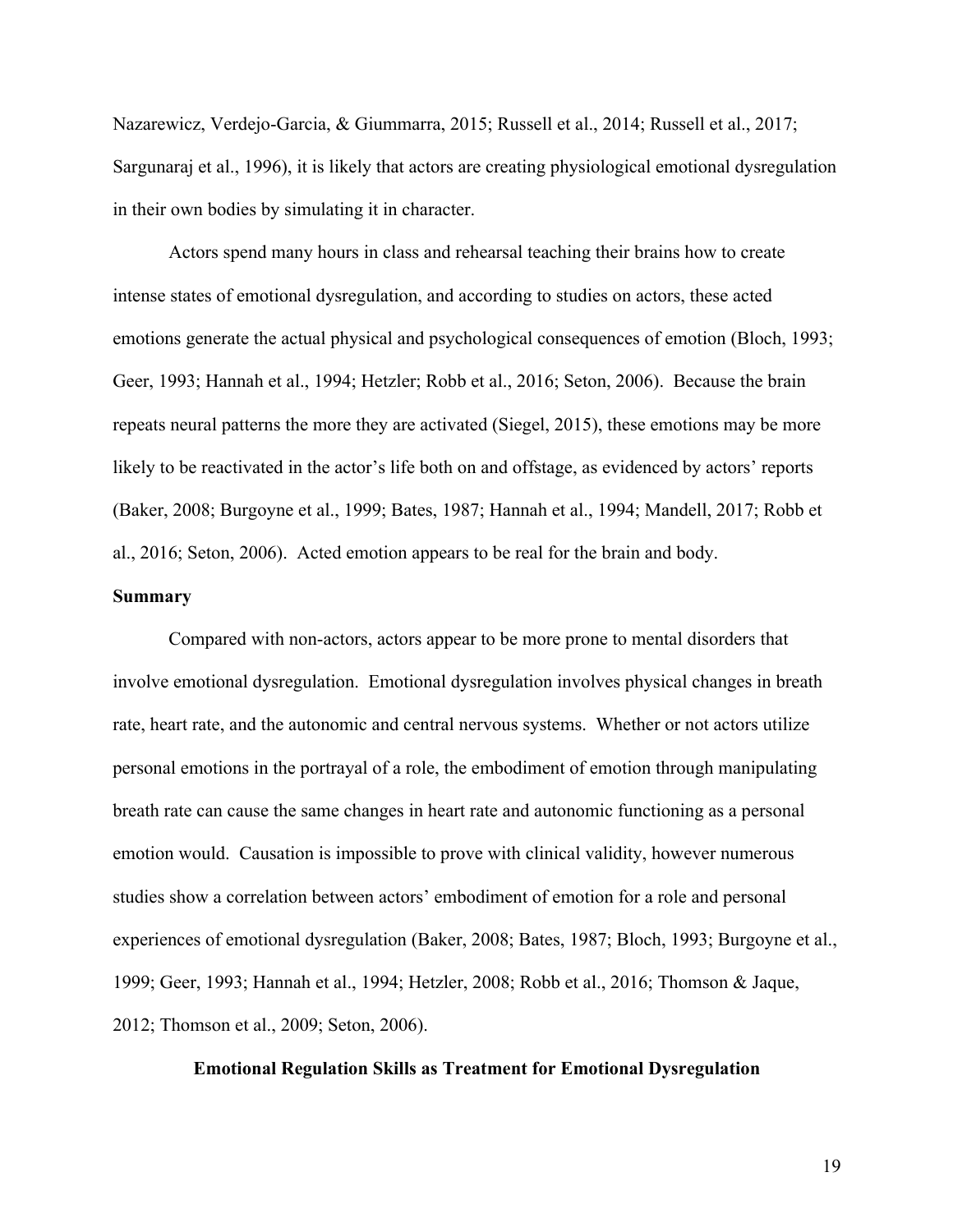Nazarewicz, Verdejo-Garcia, & Giummarra, 2015; Russell et al., 2014; Russell et al., 2017; Sargunaraj et al., 1996), it is likely that actors are creating physiological emotional dysregulation in their own bodies by simulating it in character.

Actors spend many hours in class and rehearsal teaching their brains how to create intense states of emotional dysregulation, and according to studies on actors, these acted emotions generate the actual physical and psychological consequences of emotion (Bloch, 1993; Geer, 1993; Hannah et al., 1994; Hetzler; Robb et al., 2016; Seton, 2006). Because the brain repeats neural patterns the more they are activated (Siegel, 2015), these emotions may be more likely to be reactivated in the actor's life both on and offstage, as evidenced by actors' reports (Baker, 2008; Burgoyne et al., 1999; Bates, 1987; Hannah et al., 1994; Mandell, 2017; Robb et al., 2016; Seton, 2006). Acted emotion appears to be real for the brain and body.

#### **Summary**

Compared with non-actors, actors appear to be more prone to mental disorders that involve emotional dysregulation. Emotional dysregulation involves physical changes in breath rate, heart rate, and the autonomic and central nervous systems. Whether or not actors utilize personal emotions in the portrayal of a role, the embodiment of emotion through manipulating breath rate can cause the same changes in heart rate and autonomic functioning as a personal emotion would. Causation is impossible to prove with clinical validity, however numerous studies show a correlation between actors' embodiment of emotion for a role and personal experiences of emotional dysregulation (Baker, 2008; Bates, 1987; Bloch, 1993; Burgoyne et al., 1999; Geer, 1993; Hannah et al., 1994; Hetzler, 2008; Robb et al., 2016; Thomson & Jaque, 2012; Thomson et al., 2009; Seton, 2006).

# **Emotional Regulation Skills as Treatment for Emotional Dysregulation**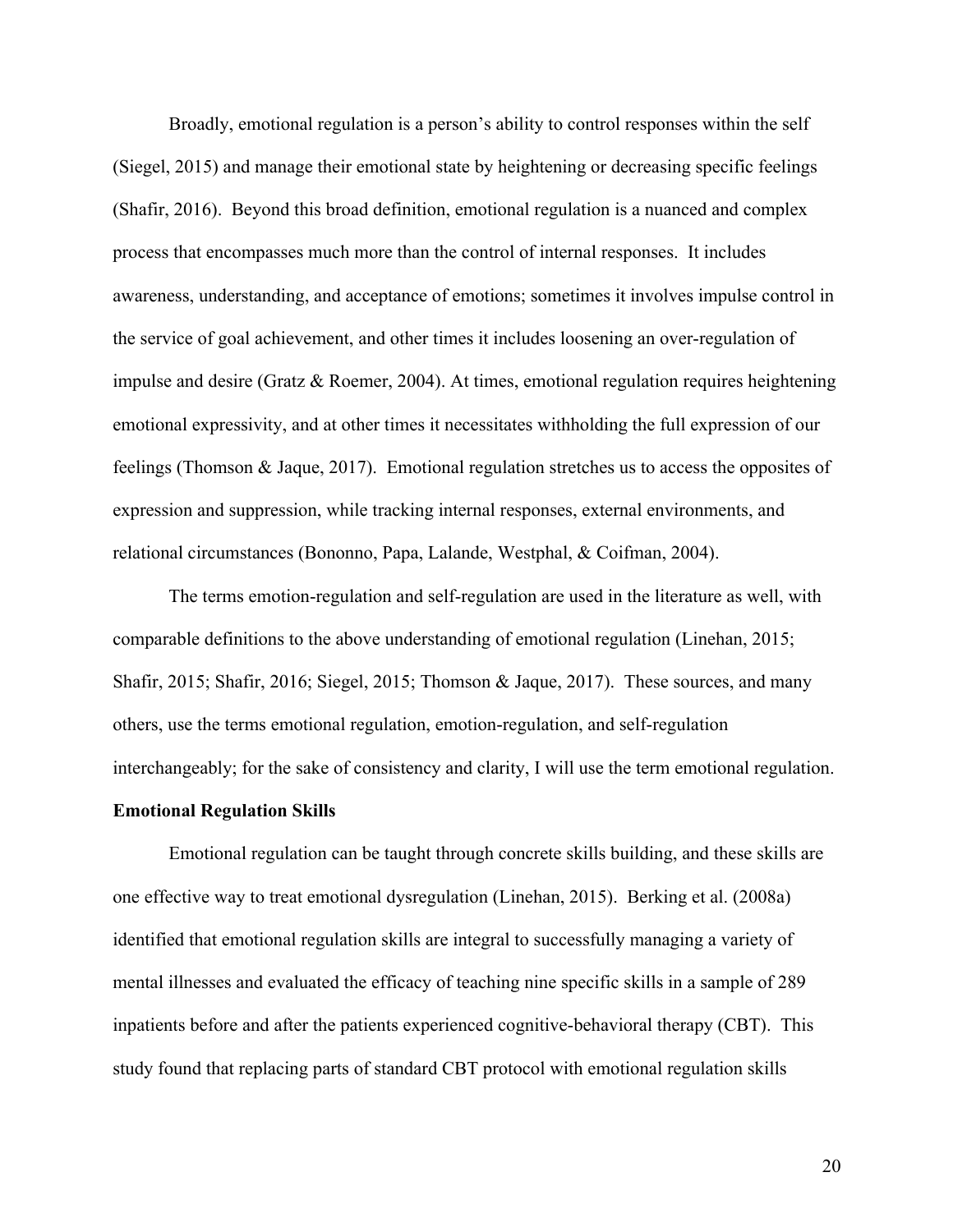Broadly, emotional regulation is a person's ability to control responses within the self (Siegel, 2015) and manage their emotional state by heightening or decreasing specific feelings (Shafir, 2016). Beyond this broad definition, emotional regulation is a nuanced and complex process that encompasses much more than the control of internal responses. It includes awareness, understanding, and acceptance of emotions; sometimes it involves impulse control in the service of goal achievement, and other times it includes loosening an over-regulation of impulse and desire (Gratz & Roemer, 2004). At times, emotional regulation requires heightening emotional expressivity, and at other times it necessitates withholding the full expression of our feelings (Thomson & Jaque, 2017). Emotional regulation stretches us to access the opposites of expression and suppression, while tracking internal responses, external environments, and relational circumstances (Bononno, Papa, Lalande, Westphal, & Coifman, 2004).

The terms emotion-regulation and self-regulation are used in the literature as well, with comparable definitions to the above understanding of emotional regulation (Linehan, 2015; Shafir, 2015; Shafir, 2016; Siegel, 2015; Thomson & Jaque, 2017). These sources, and many others, use the terms emotional regulation, emotion-regulation, and self-regulation interchangeably; for the sake of consistency and clarity, I will use the term emotional regulation.

#### **Emotional Regulation Skills**

Emotional regulation can be taught through concrete skills building, and these skills are one effective way to treat emotional dysregulation (Linehan, 2015). Berking et al. (2008a) identified that emotional regulation skills are integral to successfully managing a variety of mental illnesses and evaluated the efficacy of teaching nine specific skills in a sample of 289 inpatients before and after the patients experienced cognitive-behavioral therapy (CBT). This study found that replacing parts of standard CBT protocol with emotional regulation skills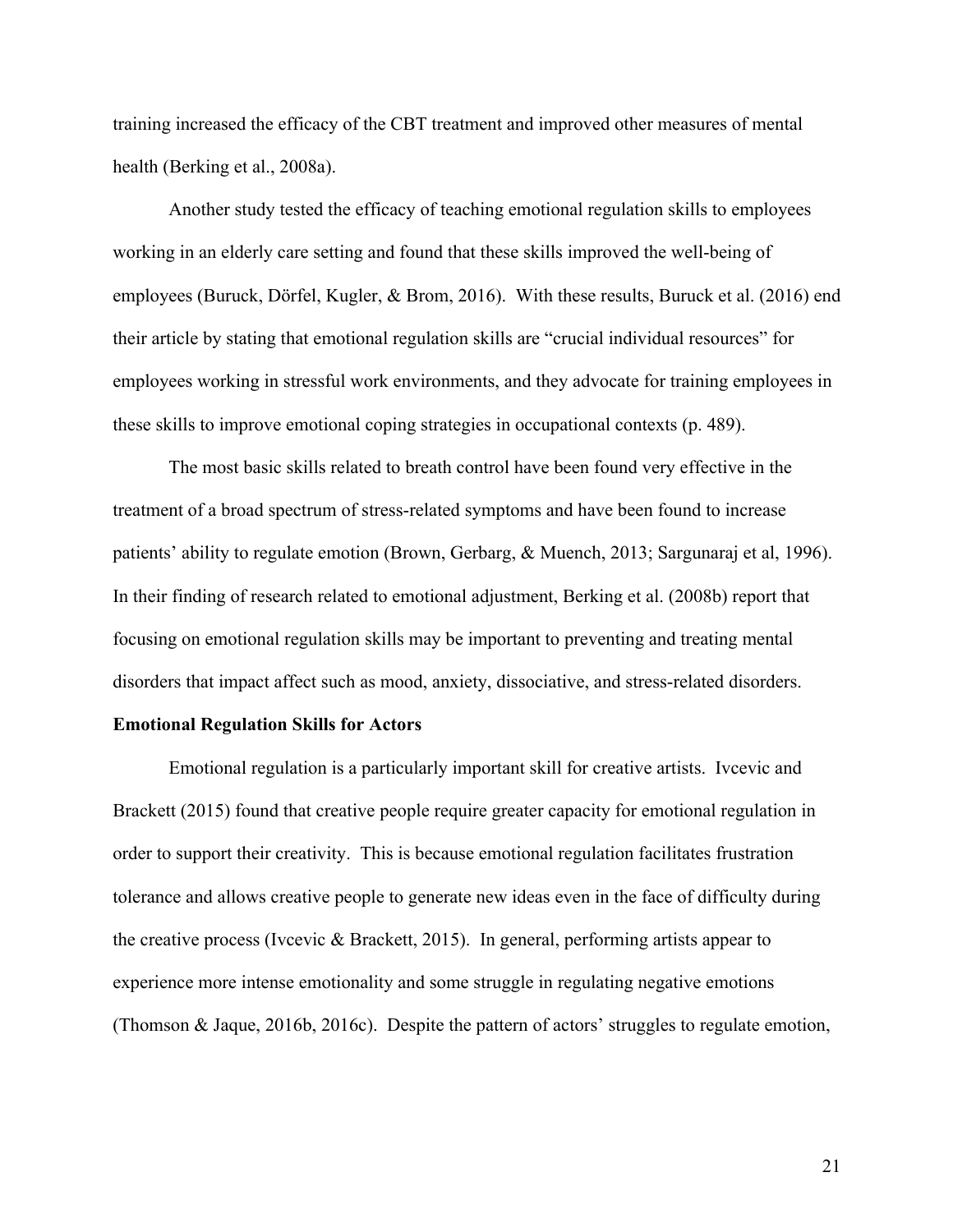training increased the efficacy of the CBT treatment and improved other measures of mental health (Berking et al., 2008a).

Another study tested the efficacy of teaching emotional regulation skills to employees working in an elderly care setting and found that these skills improved the well-being of employees (Buruck, Dörfel, Kugler, & Brom, 2016). With these results, Buruck et al. (2016) end their article by stating that emotional regulation skills are "crucial individual resources" for employees working in stressful work environments, and they advocate for training employees in these skills to improve emotional coping strategies in occupational contexts (p. 489).

The most basic skills related to breath control have been found very effective in the treatment of a broad spectrum of stress-related symptoms and have been found to increase patients' ability to regulate emotion (Brown, Gerbarg, & Muench, 2013; Sargunaraj et al, 1996). In their finding of research related to emotional adjustment, Berking et al. (2008b) report that focusing on emotional regulation skills may be important to preventing and treating mental disorders that impact affect such as mood, anxiety, dissociative, and stress-related disorders.

# **Emotional Regulation Skills for Actors**

Emotional regulation is a particularly important skill for creative artists. Ivcevic and Brackett (2015) found that creative people require greater capacity for emotional regulation in order to support their creativity. This is because emotional regulation facilitates frustration tolerance and allows creative people to generate new ideas even in the face of difficulty during the creative process (Ivcevic & Brackett, 2015). In general, performing artists appear to experience more intense emotionality and some struggle in regulating negative emotions (Thomson & Jaque, 2016b, 2016c). Despite the pattern of actors' struggles to regulate emotion,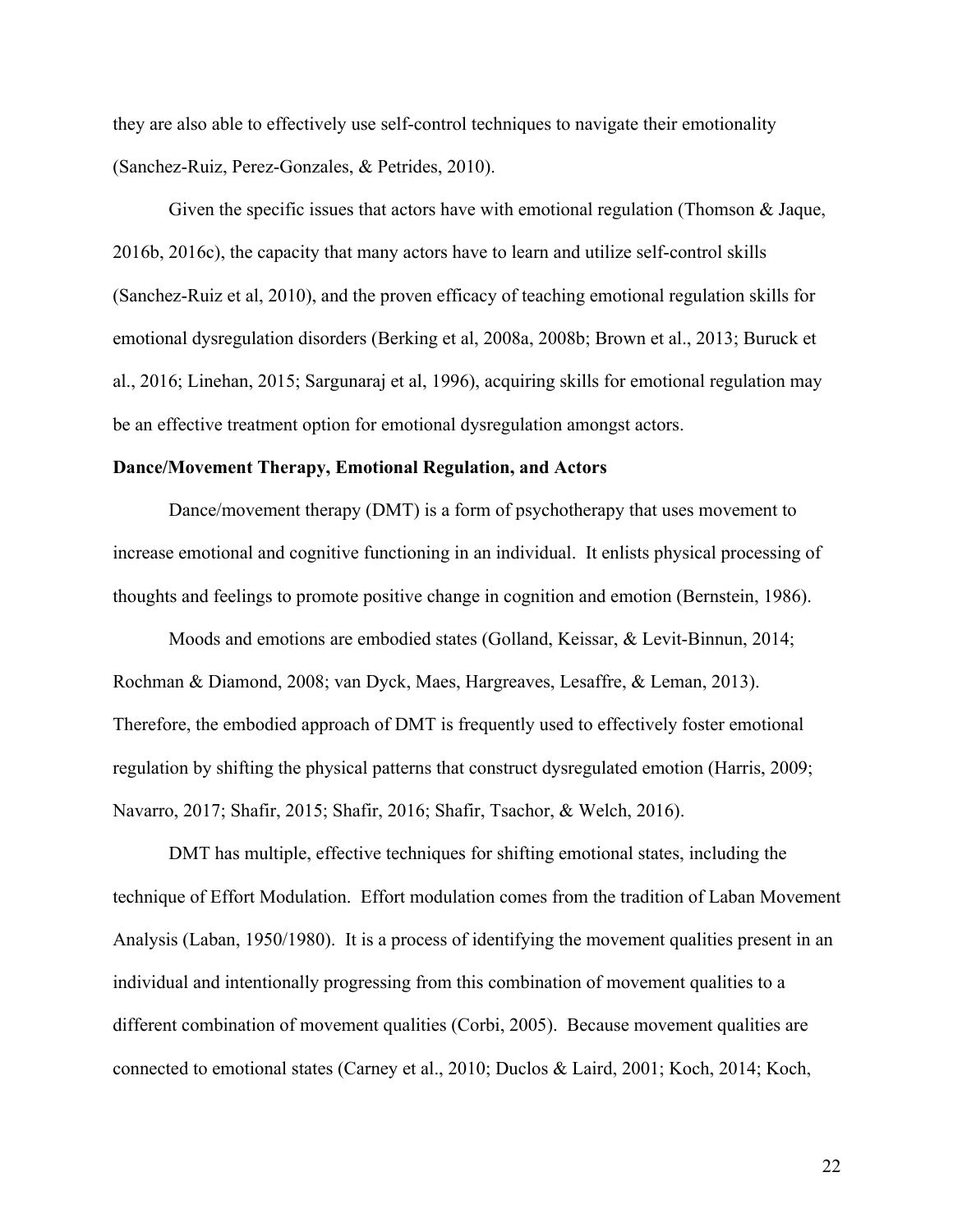they are also able to effectively use self-control techniques to navigate their emotionality (Sanchez-Ruiz, Perez-Gonzales, & Petrides, 2010).

Given the specific issues that actors have with emotional regulation (Thomson & Jaque, 2016b, 2016c), the capacity that many actors have to learn and utilize self-control skills (Sanchez-Ruiz et al, 2010), and the proven efficacy of teaching emotional regulation skills for emotional dysregulation disorders (Berking et al, 2008a, 2008b; Brown et al., 2013; Buruck et al., 2016; Linehan, 2015; Sargunaraj et al, 1996), acquiring skills for emotional regulation may be an effective treatment option for emotional dysregulation amongst actors.

#### **Dance/Movement Therapy, Emotional Regulation, and Actors**

Dance/movement therapy (DMT) is a form of psychotherapy that uses movement to increase emotional and cognitive functioning in an individual. It enlists physical processing of thoughts and feelings to promote positive change in cognition and emotion (Bernstein, 1986).

Moods and emotions are embodied states (Golland, Keissar, & Levit-Binnun, 2014; Rochman & Diamond, 2008; van Dyck, Maes, Hargreaves, Lesaffre, & Leman, 2013). Therefore, the embodied approach of DMT is frequently used to effectively foster emotional regulation by shifting the physical patterns that construct dysregulated emotion (Harris, 2009; Navarro, 2017; Shafir, 2015; Shafir, 2016; Shafir, Tsachor, & Welch, 2016).

DMT has multiple, effective techniques for shifting emotional states, including the technique of Effort Modulation. Effort modulation comes from the tradition of Laban Movement Analysis (Laban, 1950/1980). It is a process of identifying the movement qualities present in an individual and intentionally progressing from this combination of movement qualities to a different combination of movement qualities (Corbi, 2005). Because movement qualities are connected to emotional states (Carney et al., 2010; Duclos & Laird, 2001; Koch, 2014; Koch,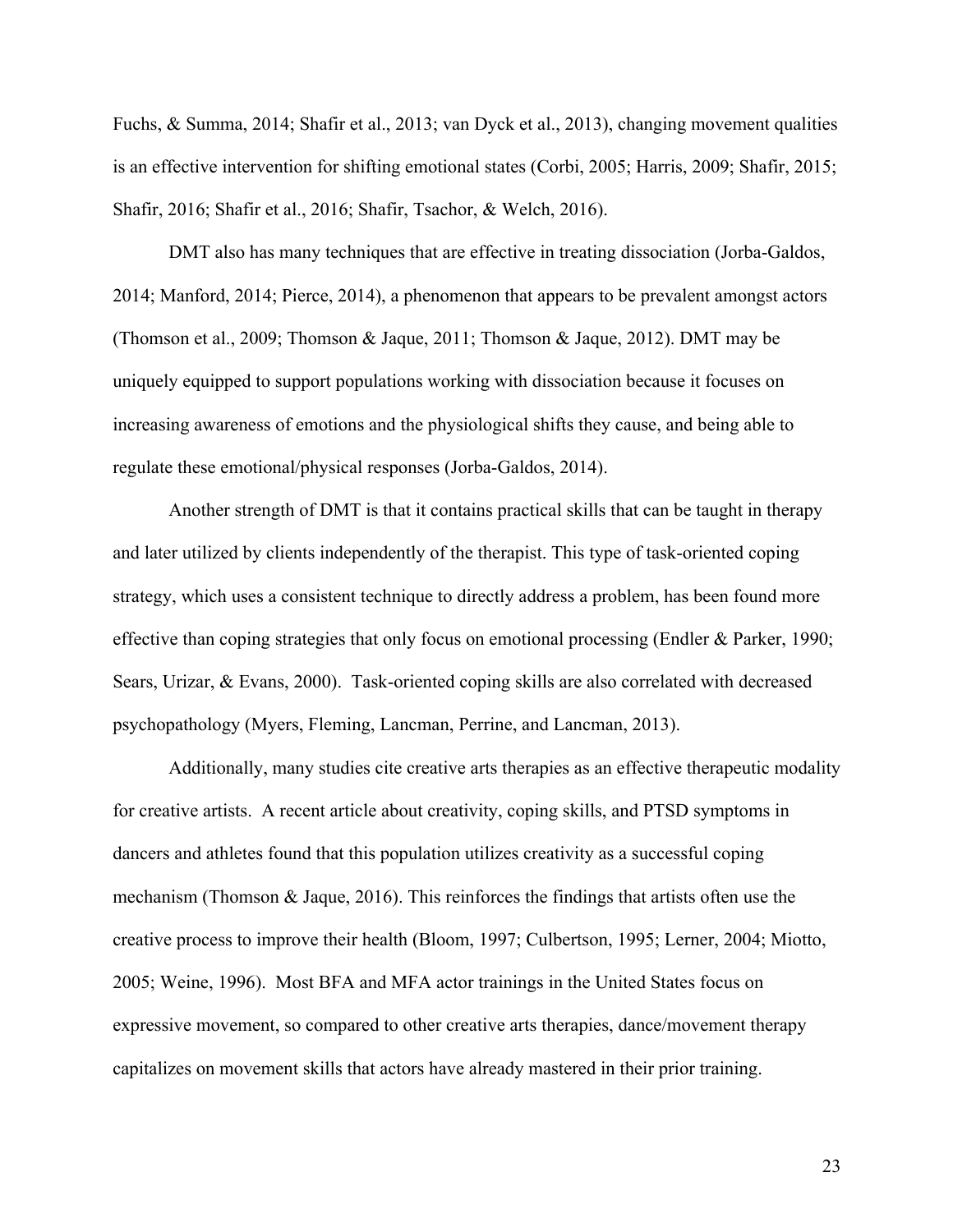Fuchs, & Summa, 2014; Shafir et al., 2013; van Dyck et al., 2013), changing movement qualities is an effective intervention for shifting emotional states (Corbi, 2005; Harris, 2009; Shafir, 2015; Shafir, 2016; Shafir et al., 2016; Shafir, Tsachor, & Welch, 2016).

DMT also has many techniques that are effective in treating dissociation (Jorba-Galdos, 2014; Manford, 2014; Pierce, 2014), a phenomenon that appears to be prevalent amongst actors (Thomson et al., 2009; Thomson & Jaque, 2011; Thomson & Jaque, 2012). DMT may be uniquely equipped to support populations working with dissociation because it focuses on increasing awareness of emotions and the physiological shifts they cause, and being able to regulate these emotional/physical responses (Jorba-Galdos, 2014).

Another strength of DMT is that it contains practical skills that can be taught in therapy and later utilized by clients independently of the therapist. This type of task-oriented coping strategy, which uses a consistent technique to directly address a problem, has been found more effective than coping strategies that only focus on emotional processing (Endler & Parker, 1990; Sears, Urizar, & Evans, 2000). Task-oriented coping skills are also correlated with decreased psychopathology (Myers, Fleming, Lancman, Perrine, and Lancman, 2013).

Additionally, many studies cite creative arts therapies as an effective therapeutic modality for creative artists. A recent article about creativity, coping skills, and PTSD symptoms in dancers and athletes found that this population utilizes creativity as a successful coping mechanism (Thomson & Jaque, 2016). This reinforces the findings that artists often use the creative process to improve their health (Bloom, 1997; Culbertson, 1995; Lerner, 2004; Miotto, 2005; Weine, 1996). Most BFA and MFA actor trainings in the United States focus on expressive movement, so compared to other creative arts therapies, dance/movement therapy capitalizes on movement skills that actors have already mastered in their prior training.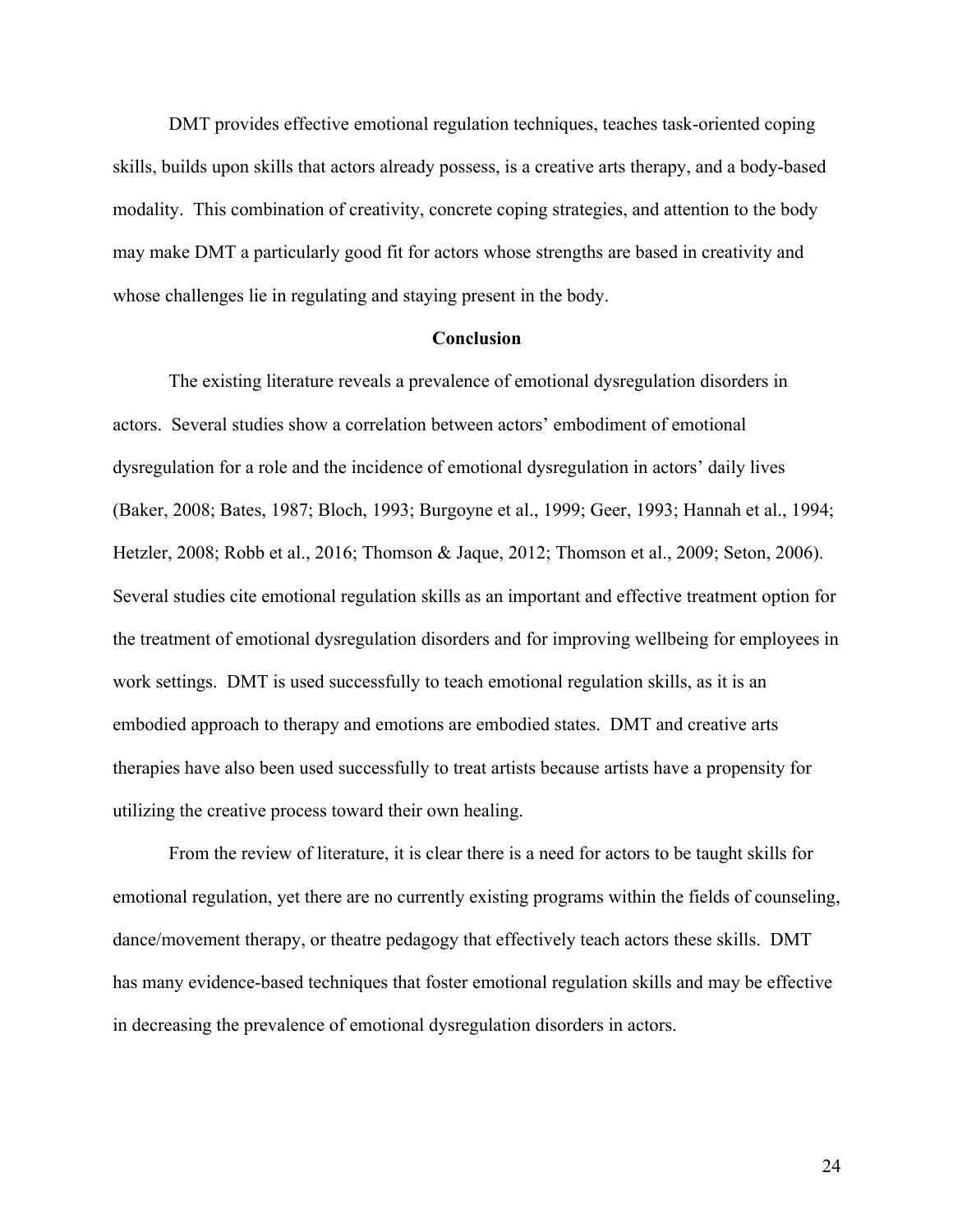DMT provides effective emotional regulation techniques, teaches task-oriented coping skills, builds upon skills that actors already possess, is a creative arts therapy, and a body-based modality. This combination of creativity, concrete coping strategies, and attention to the body may make DMT a particularly good fit for actors whose strengths are based in creativity and whose challenges lie in regulating and staying present in the body.

#### **Conclusion**

The existing literature reveals a prevalence of emotional dysregulation disorders in actors. Several studies show a correlation between actors' embodiment of emotional dysregulation for a role and the incidence of emotional dysregulation in actors' daily lives (Baker, 2008; Bates, 1987; Bloch, 1993; Burgoyne et al., 1999; Geer, 1993; Hannah et al., 1994; Hetzler, 2008; Robb et al., 2016; Thomson & Jaque, 2012; Thomson et al., 2009; Seton, 2006). Several studies cite emotional regulation skills as an important and effective treatment option for the treatment of emotional dysregulation disorders and for improving wellbeing for employees in work settings. DMT is used successfully to teach emotional regulation skills, as it is an embodied approach to therapy and emotions are embodied states. DMT and creative arts therapies have also been used successfully to treat artists because artists have a propensity for utilizing the creative process toward their own healing.

From the review of literature, it is clear there is a need for actors to be taught skills for emotional regulation, yet there are no currently existing programs within the fields of counseling, dance/movement therapy, or theatre pedagogy that effectively teach actors these skills. DMT has many evidence-based techniques that foster emotional regulation skills and may be effective in decreasing the prevalence of emotional dysregulation disorders in actors.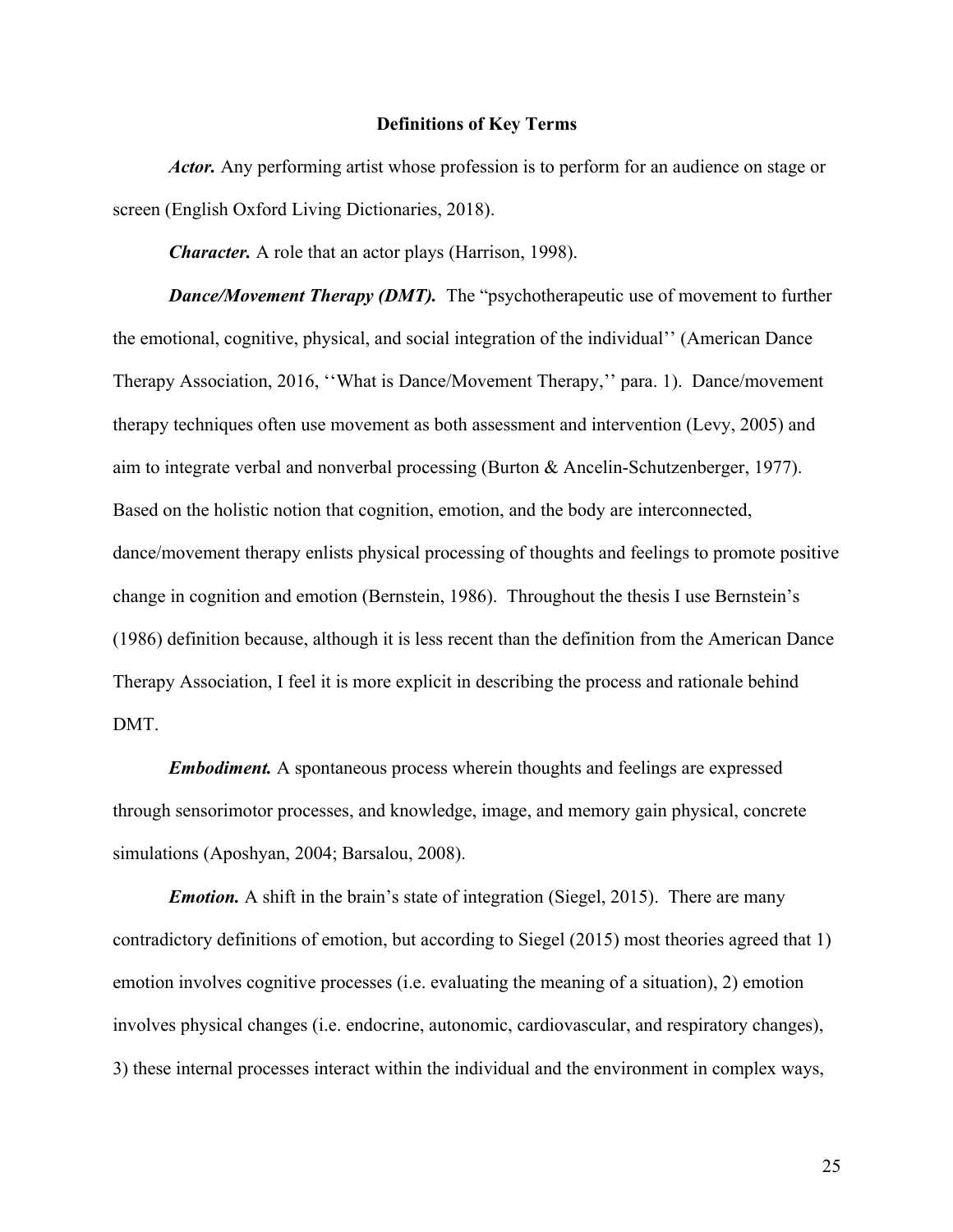# **Definitions of Key Terms**

*Actor.* Any performing artist whose profession is to perform for an audience on stage or screen (English Oxford Living Dictionaries, 2018).

*Character.* A role that an actor plays (Harrison, 1998).

*Dance/Movement Therapy (DMT).* The "psychotherapeutic use of movement to further the emotional, cognitive, physical, and social integration of the individual'' (American Dance Therapy Association, 2016, ''What is Dance/Movement Therapy,'' para. 1). Dance/movement therapy techniques often use movement as both assessment and intervention (Levy, 2005) and aim to integrate verbal and nonverbal processing (Burton & Ancelin-Schutzenberger, 1977). Based on the holistic notion that cognition, emotion, and the body are interconnected, dance/movement therapy enlists physical processing of thoughts and feelings to promote positive change in cognition and emotion (Bernstein, 1986). Throughout the thesis I use Bernstein's (1986) definition because, although it is less recent than the definition from the American Dance Therapy Association, I feel it is more explicit in describing the process and rationale behind DMT.

*Embodiment.* A spontaneous process wherein thoughts and feelings are expressed through sensorimotor processes, and knowledge, image, and memory gain physical, concrete simulations (Aposhyan, 2004; Barsalou, 2008).

*Emotion.* A shift in the brain's state of integration (Siegel, 2015). There are many contradictory definitions of emotion, but according to Siegel (2015) most theories agreed that 1) emotion involves cognitive processes (i.e. evaluating the meaning of a situation), 2) emotion involves physical changes (i.e. endocrine, autonomic, cardiovascular, and respiratory changes), 3) these internal processes interact within the individual and the environment in complex ways,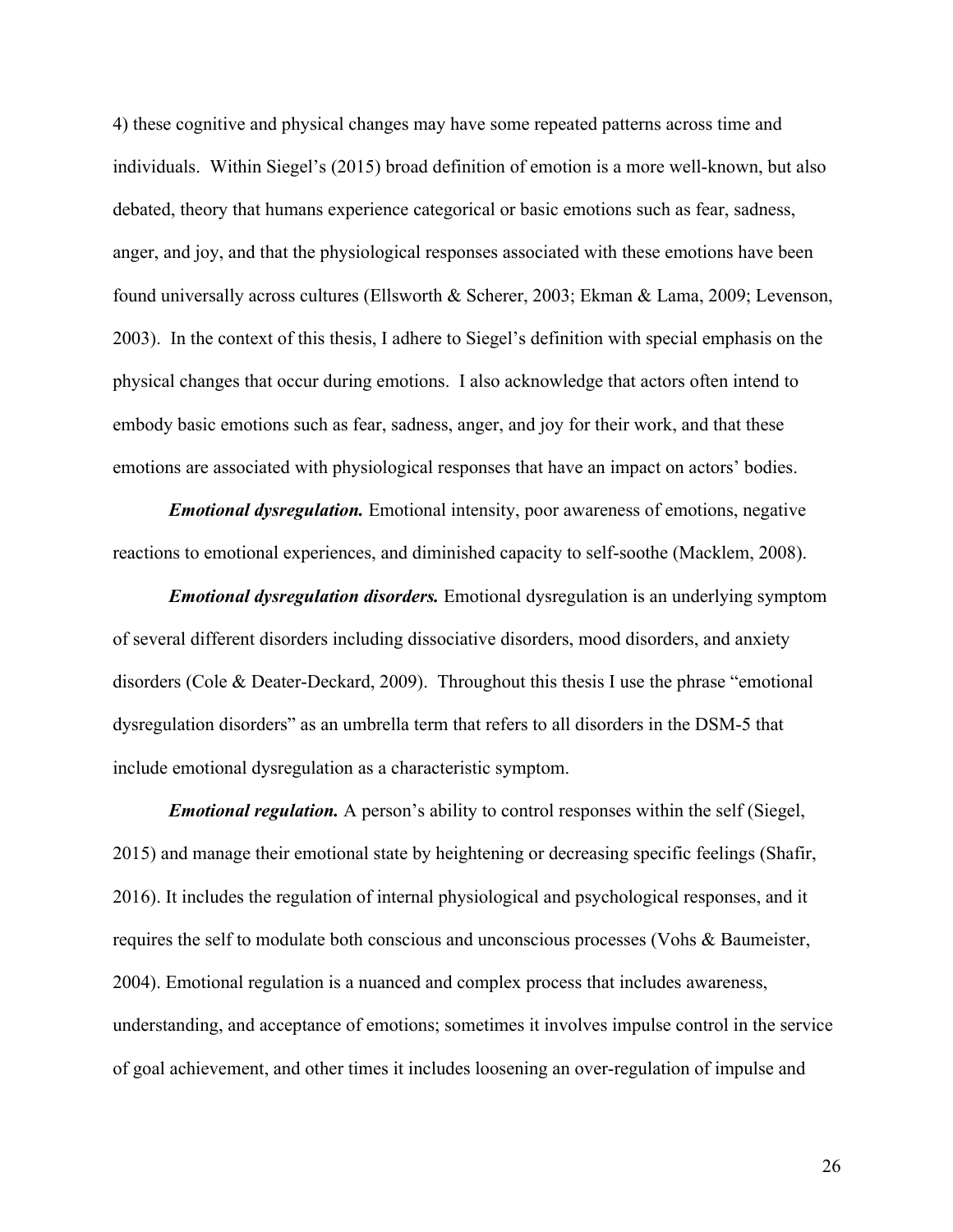4) these cognitive and physical changes may have some repeated patterns across time and individuals. Within Siegel's (2015) broad definition of emotion is a more well-known, but also debated, theory that humans experience categorical or basic emotions such as fear, sadness, anger, and joy, and that the physiological responses associated with these emotions have been found universally across cultures (Ellsworth & Scherer, 2003; Ekman & Lama, 2009; Levenson, 2003). In the context of this thesis, I adhere to Siegel's definition with special emphasis on the physical changes that occur during emotions. I also acknowledge that actors often intend to embody basic emotions such as fear, sadness, anger, and joy for their work, and that these emotions are associated with physiological responses that have an impact on actors' bodies.

*Emotional dysregulation.* Emotional intensity, poor awareness of emotions, negative reactions to emotional experiences, and diminished capacity to self-soothe (Macklem, 2008).

*Emotional dysregulation disorders.* Emotional dysregulation is an underlying symptom of several different disorders including dissociative disorders, mood disorders, and anxiety disorders (Cole & Deater-Deckard, 2009). Throughout this thesis I use the phrase "emotional dysregulation disorders" as an umbrella term that refers to all disorders in the DSM-5 that include emotional dysregulation as a characteristic symptom.

*Emotional regulation.* A person's ability to control responses within the self (Siegel, 2015) and manage their emotional state by heightening or decreasing specific feelings (Shafir, 2016). It includes the regulation of internal physiological and psychological responses, and it requires the self to modulate both conscious and unconscious processes (Vohs & Baumeister, 2004). Emotional regulation is a nuanced and complex process that includes awareness, understanding, and acceptance of emotions; sometimes it involves impulse control in the service of goal achievement, and other times it includes loosening an over-regulation of impulse and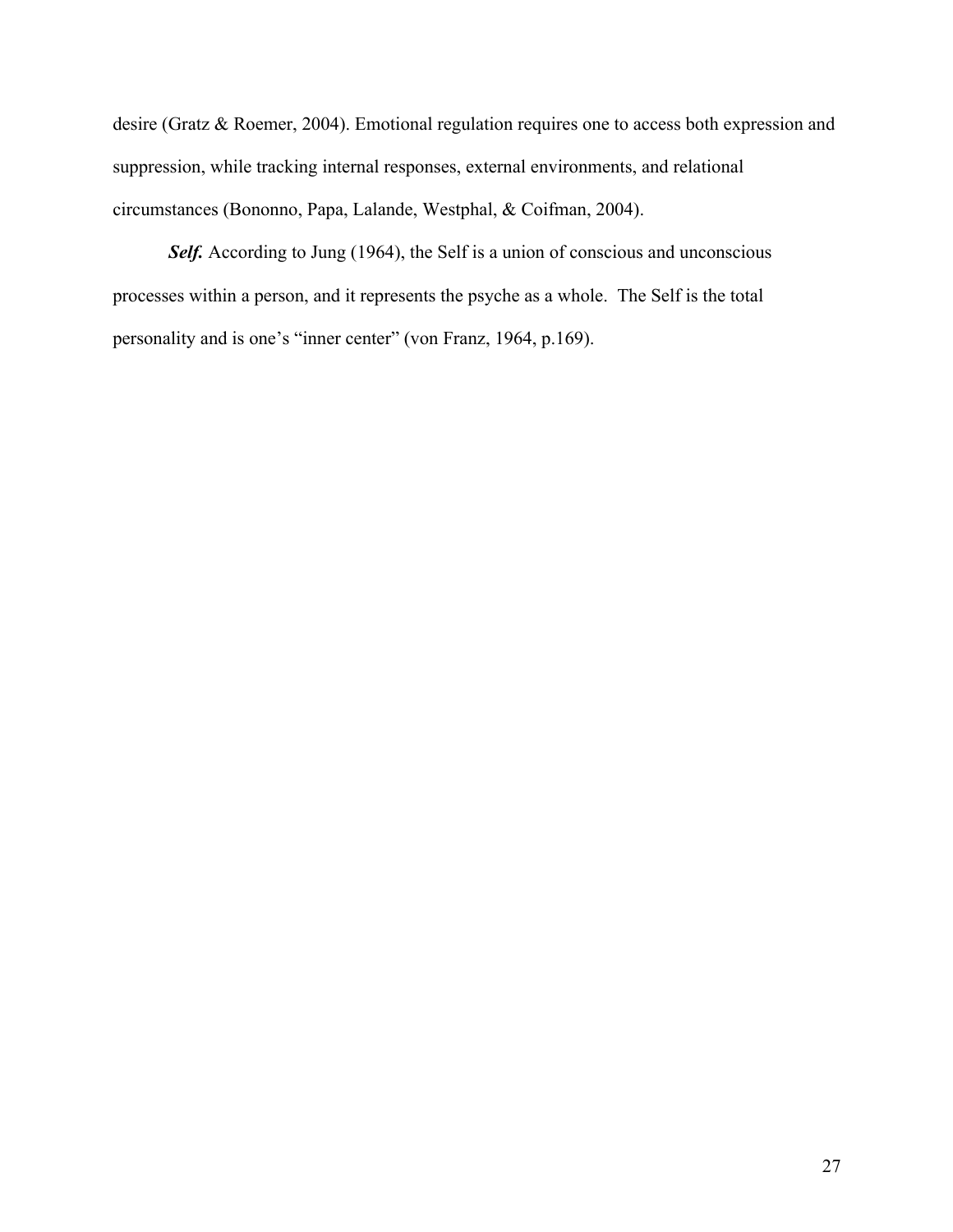desire (Gratz & Roemer, 2004). Emotional regulation requires one to access both expression and suppression, while tracking internal responses, external environments, and relational circumstances (Bononno, Papa, Lalande, Westphal, & Coifman, 2004).

Self. According to Jung (1964), the Self is a union of conscious and unconscious processes within a person, and it represents the psyche as a whole. The Self is the total personality and is one's "inner center" (von Franz, 1964, p.169).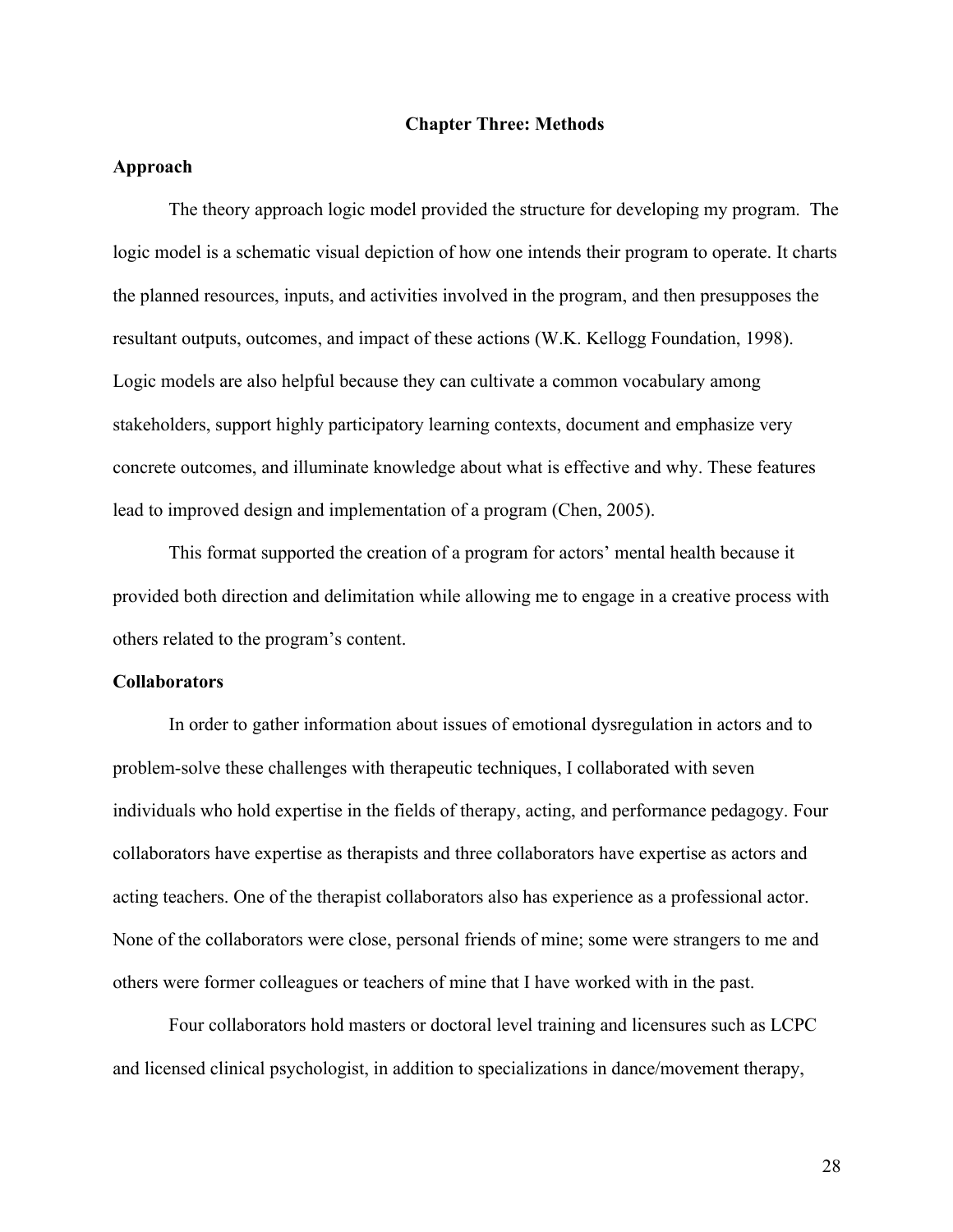#### **Chapter Three: Methods**

# **Approach**

The theory approach logic model provided the structure for developing my program. The logic model is a schematic visual depiction of how one intends their program to operate. It charts the planned resources, inputs, and activities involved in the program, and then presupposes the resultant outputs, outcomes, and impact of these actions (W.K. Kellogg Foundation, 1998). Logic models are also helpful because they can cultivate a common vocabulary among stakeholders, support highly participatory learning contexts, document and emphasize very concrete outcomes, and illuminate knowledge about what is effective and why. These features lead to improved design and implementation of a program (Chen, 2005).

This format supported the creation of a program for actors' mental health because it provided both direction and delimitation while allowing me to engage in a creative process with others related to the program's content.

#### **Collaborators**

In order to gather information about issues of emotional dysregulation in actors and to problem-solve these challenges with therapeutic techniques, I collaborated with seven individuals who hold expertise in the fields of therapy, acting, and performance pedagogy. Four collaborators have expertise as therapists and three collaborators have expertise as actors and acting teachers. One of the therapist collaborators also has experience as a professional actor. None of the collaborators were close, personal friends of mine; some were strangers to me and others were former colleagues or teachers of mine that I have worked with in the past.

Four collaborators hold masters or doctoral level training and licensures such as LCPC and licensed clinical psychologist, in addition to specializations in dance/movement therapy,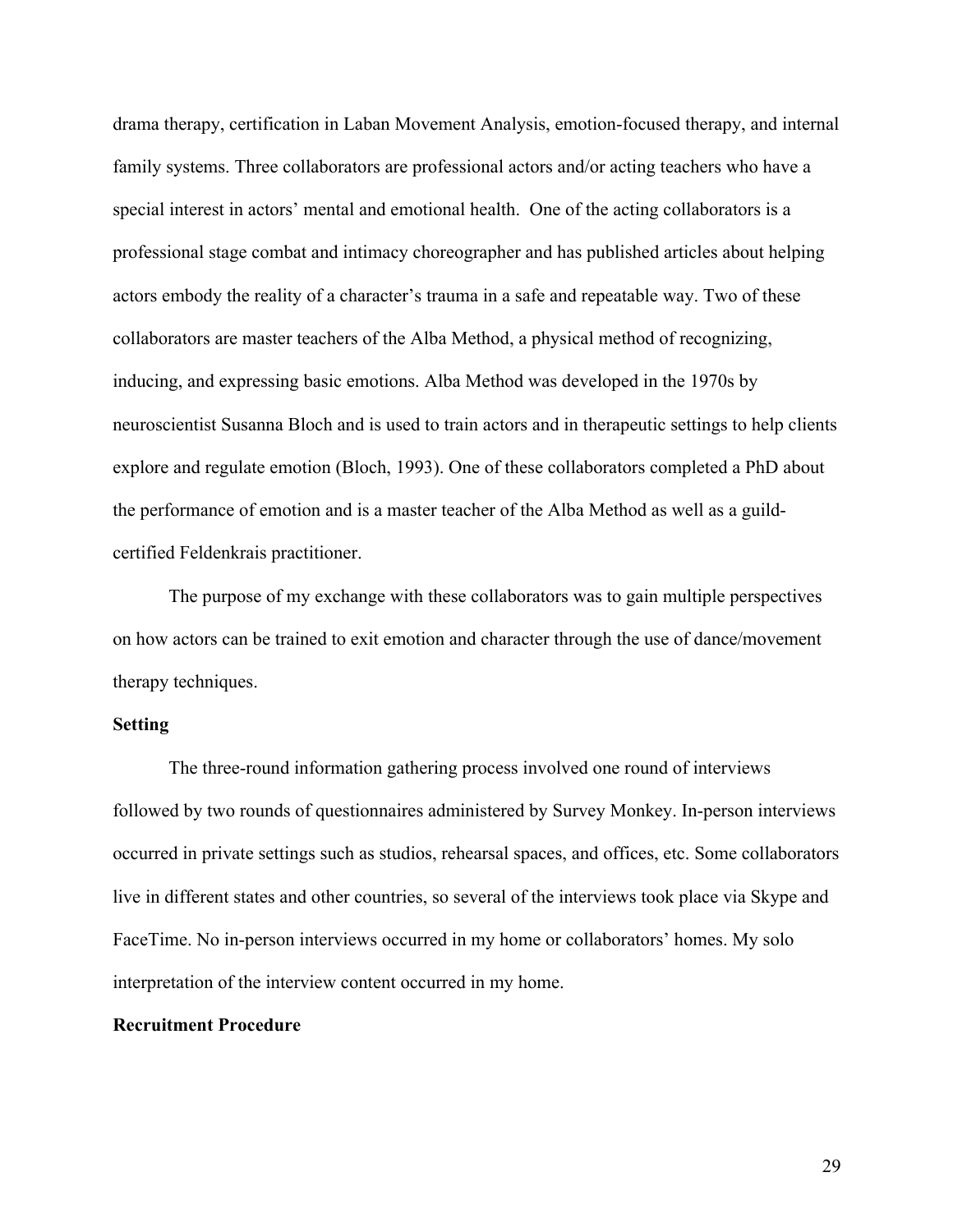drama therapy, certification in Laban Movement Analysis, emotion-focused therapy, and internal family systems. Three collaborators are professional actors and/or acting teachers who have a special interest in actors' mental and emotional health. One of the acting collaborators is a professional stage combat and intimacy choreographer and has published articles about helping actors embody the reality of a character's trauma in a safe and repeatable way. Two of these collaborators are master teachers of the Alba Method, a physical method of recognizing, inducing, and expressing basic emotions. Alba Method was developed in the 1970s by neuroscientist Susanna Bloch and is used to train actors and in therapeutic settings to help clients explore and regulate emotion (Bloch, 1993). One of these collaborators completed a PhD about the performance of emotion and is a master teacher of the Alba Method as well as a guildcertified Feldenkrais practitioner.

The purpose of my exchange with these collaborators was to gain multiple perspectives on how actors can be trained to exit emotion and character through the use of dance/movement therapy techniques.

# **Setting**

The three-round information gathering process involved one round of interviews followed by two rounds of questionnaires administered by Survey Monkey. In-person interviews occurred in private settings such as studios, rehearsal spaces, and offices, etc. Some collaborators live in different states and other countries, so several of the interviews took place via Skype and FaceTime. No in-person interviews occurred in my home or collaborators' homes. My solo interpretation of the interview content occurred in my home.

# **Recruitment Procedure**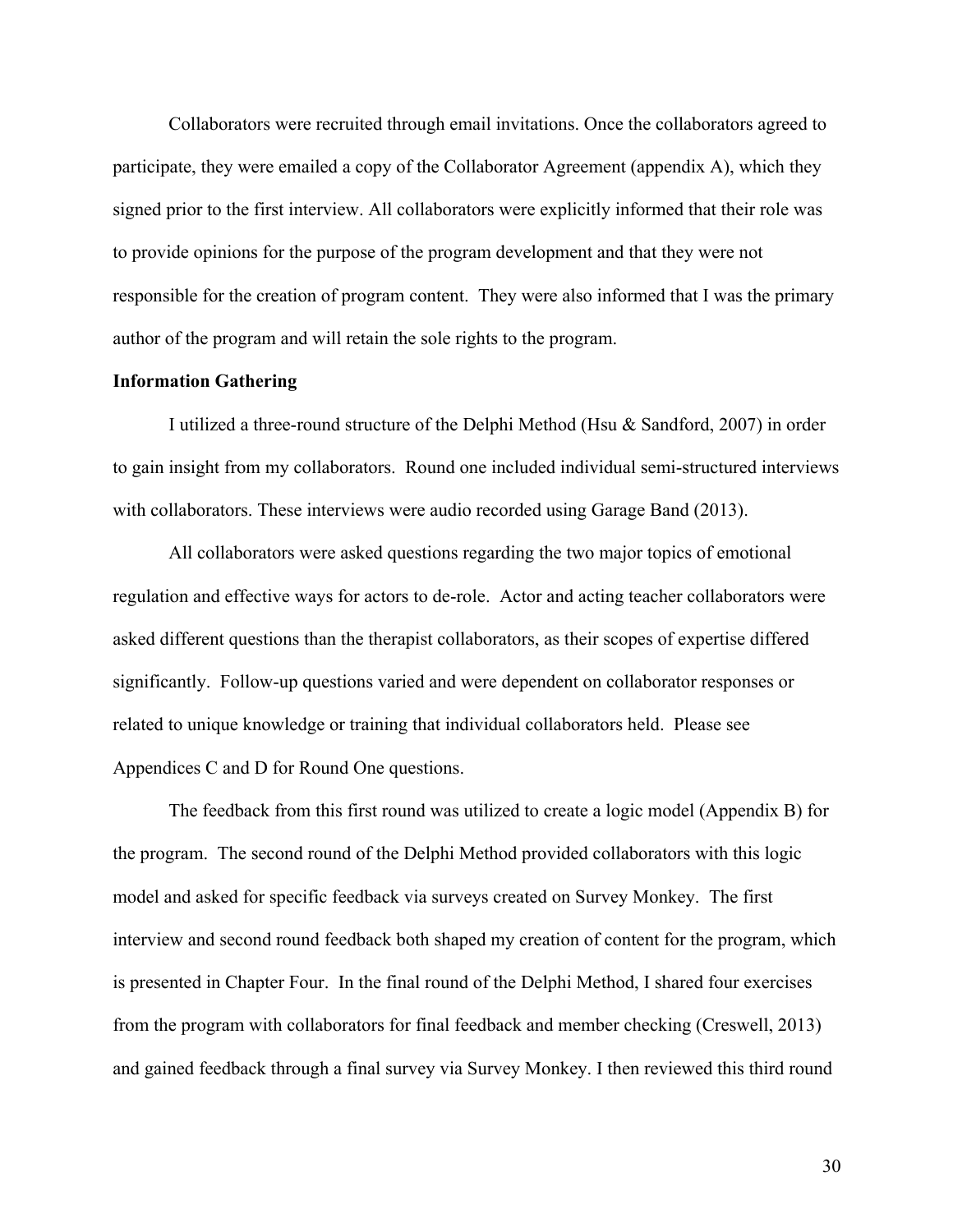Collaborators were recruited through email invitations. Once the collaborators agreed to participate, they were emailed a copy of the Collaborator Agreement (appendix A), which they signed prior to the first interview. All collaborators were explicitly informed that their role was to provide opinions for the purpose of the program development and that they were not responsible for the creation of program content. They were also informed that I was the primary author of the program and will retain the sole rights to the program.

#### **Information Gathering**

I utilized a three-round structure of the Delphi Method (Hsu & Sandford, 2007) in order to gain insight from my collaborators. Round one included individual semi-structured interviews with collaborators. These interviews were audio recorded using Garage Band (2013).

All collaborators were asked questions regarding the two major topics of emotional regulation and effective ways for actors to de-role. Actor and acting teacher collaborators were asked different questions than the therapist collaborators, as their scopes of expertise differed significantly. Follow-up questions varied and were dependent on collaborator responses or related to unique knowledge or training that individual collaborators held. Please see Appendices C and D for Round One questions.

The feedback from this first round was utilized to create a logic model (Appendix B) for the program. The second round of the Delphi Method provided collaborators with this logic model and asked for specific feedback via surveys created on Survey Monkey. The first interview and second round feedback both shaped my creation of content for the program, which is presented in Chapter Four. In the final round of the Delphi Method, I shared four exercises from the program with collaborators for final feedback and member checking (Creswell, 2013) and gained feedback through a final survey via Survey Monkey. I then reviewed this third round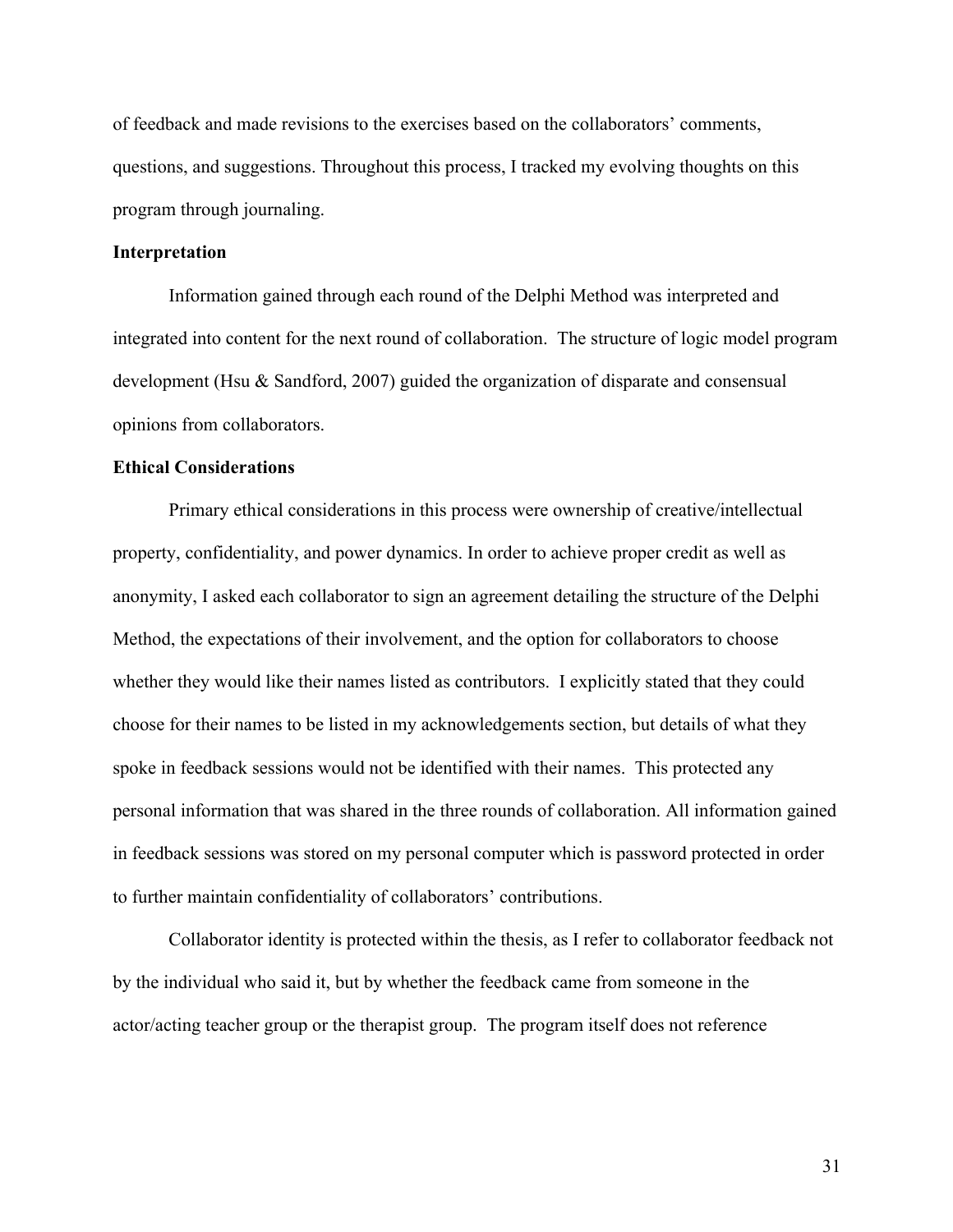of feedback and made revisions to the exercises based on the collaborators' comments, questions, and suggestions. Throughout this process, I tracked my evolving thoughts on this program through journaling.

# **Interpretation**

Information gained through each round of the Delphi Method was interpreted and integrated into content for the next round of collaboration. The structure of logic model program development (Hsu & Sandford, 2007) guided the organization of disparate and consensual opinions from collaborators.

# **Ethical Considerations**

Primary ethical considerations in this process were ownership of creative/intellectual property, confidentiality, and power dynamics. In order to achieve proper credit as well as anonymity, I asked each collaborator to sign an agreement detailing the structure of the Delphi Method, the expectations of their involvement, and the option for collaborators to choose whether they would like their names listed as contributors. I explicitly stated that they could choose for their names to be listed in my acknowledgements section, but details of what they spoke in feedback sessions would not be identified with their names. This protected any personal information that was shared in the three rounds of collaboration. All information gained in feedback sessions was stored on my personal computer which is password protected in order to further maintain confidentiality of collaborators' contributions.

Collaborator identity is protected within the thesis, as I refer to collaborator feedback not by the individual who said it, but by whether the feedback came from someone in the actor/acting teacher group or the therapist group. The program itself does not reference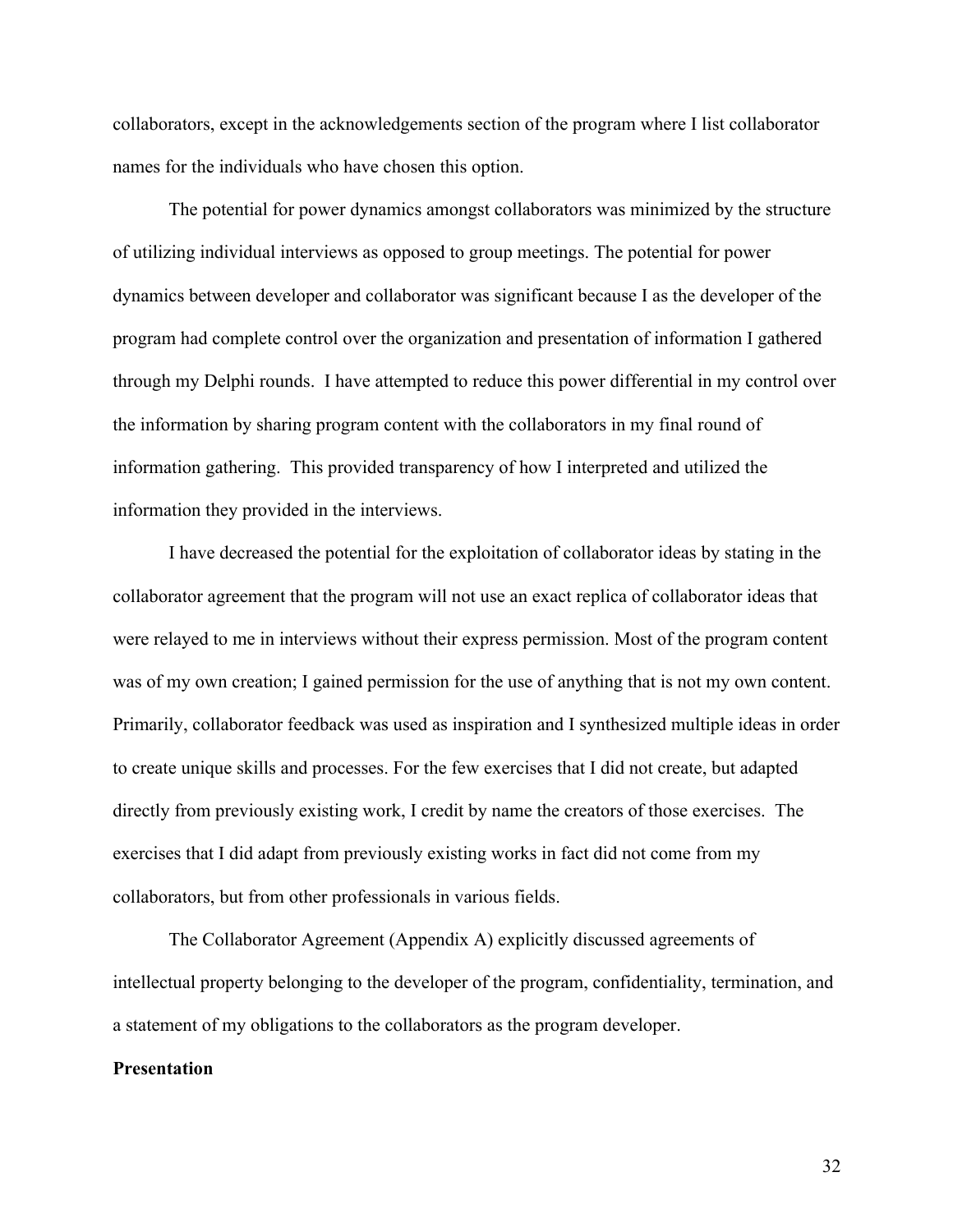collaborators, except in the acknowledgements section of the program where I list collaborator names for the individuals who have chosen this option.

The potential for power dynamics amongst collaborators was minimized by the structure of utilizing individual interviews as opposed to group meetings. The potential for power dynamics between developer and collaborator was significant because I as the developer of the program had complete control over the organization and presentation of information I gathered through my Delphi rounds. I have attempted to reduce this power differential in my control over the information by sharing program content with the collaborators in my final round of information gathering. This provided transparency of how I interpreted and utilized the information they provided in the interviews.

I have decreased the potential for the exploitation of collaborator ideas by stating in the collaborator agreement that the program will not use an exact replica of collaborator ideas that were relayed to me in interviews without their express permission. Most of the program content was of my own creation; I gained permission for the use of anything that is not my own content. Primarily, collaborator feedback was used as inspiration and I synthesized multiple ideas in order to create unique skills and processes. For the few exercises that I did not create, but adapted directly from previously existing work, I credit by name the creators of those exercises. The exercises that I did adapt from previously existing works in fact did not come from my collaborators, but from other professionals in various fields.

The Collaborator Agreement (Appendix A) explicitly discussed agreements of intellectual property belonging to the developer of the program, confidentiality, termination, and a statement of my obligations to the collaborators as the program developer.

## **Presentation**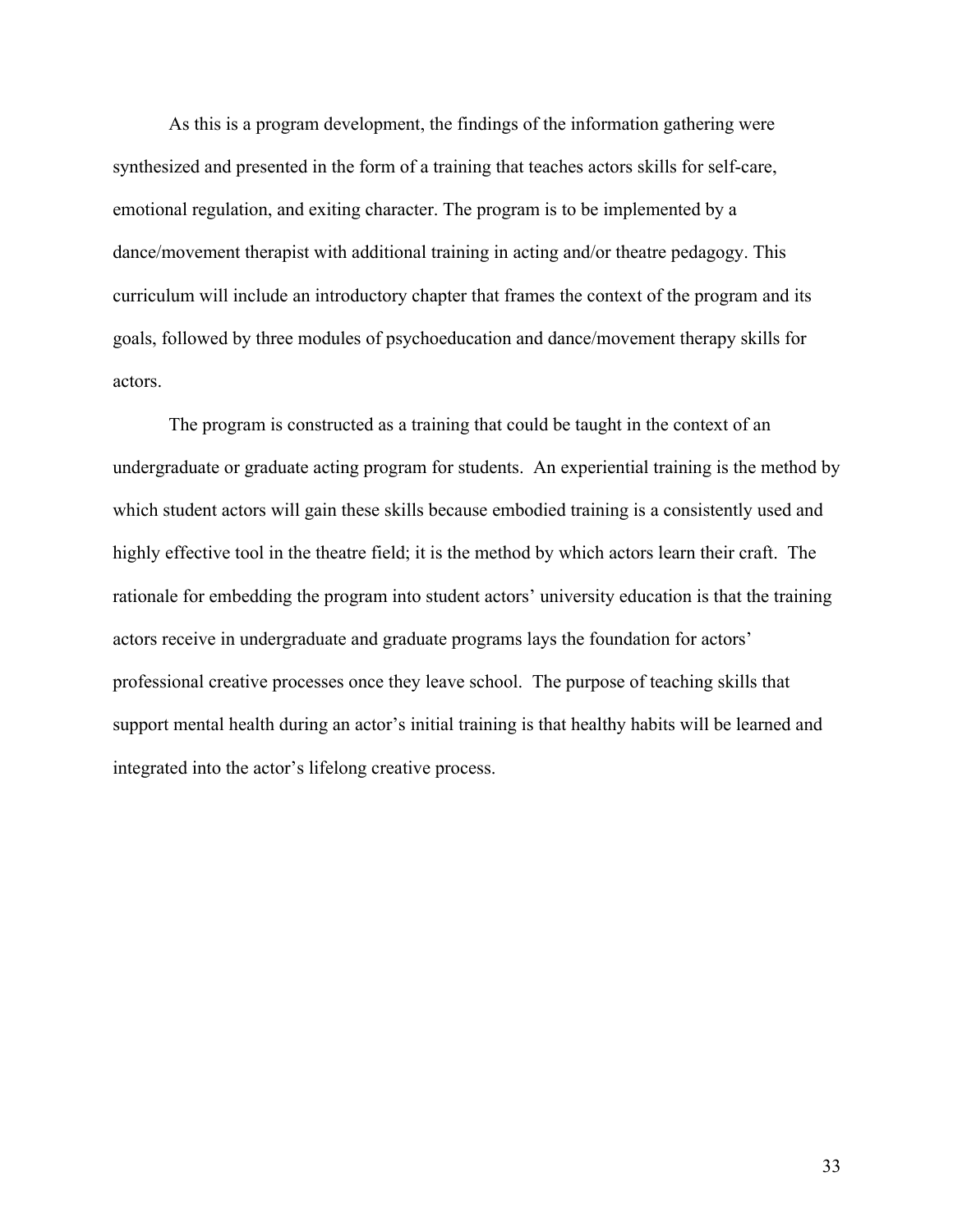As this is a program development, the findings of the information gathering were synthesized and presented in the form of a training that teaches actors skills for self-care, emotional regulation, and exiting character. The program is to be implemented by a dance/movement therapist with additional training in acting and/or theatre pedagogy. This curriculum will include an introductory chapter that frames the context of the program and its goals, followed by three modules of psychoeducation and dance/movement therapy skills for actors.

The program is constructed as a training that could be taught in the context of an undergraduate or graduate acting program for students. An experiential training is the method by which student actors will gain these skills because embodied training is a consistently used and highly effective tool in the theatre field; it is the method by which actors learn their craft. The rationale for embedding the program into student actors' university education is that the training actors receive in undergraduate and graduate programs lays the foundation for actors' professional creative processes once they leave school. The purpose of teaching skills that support mental health during an actor's initial training is that healthy habits will be learned and integrated into the actor's lifelong creative process.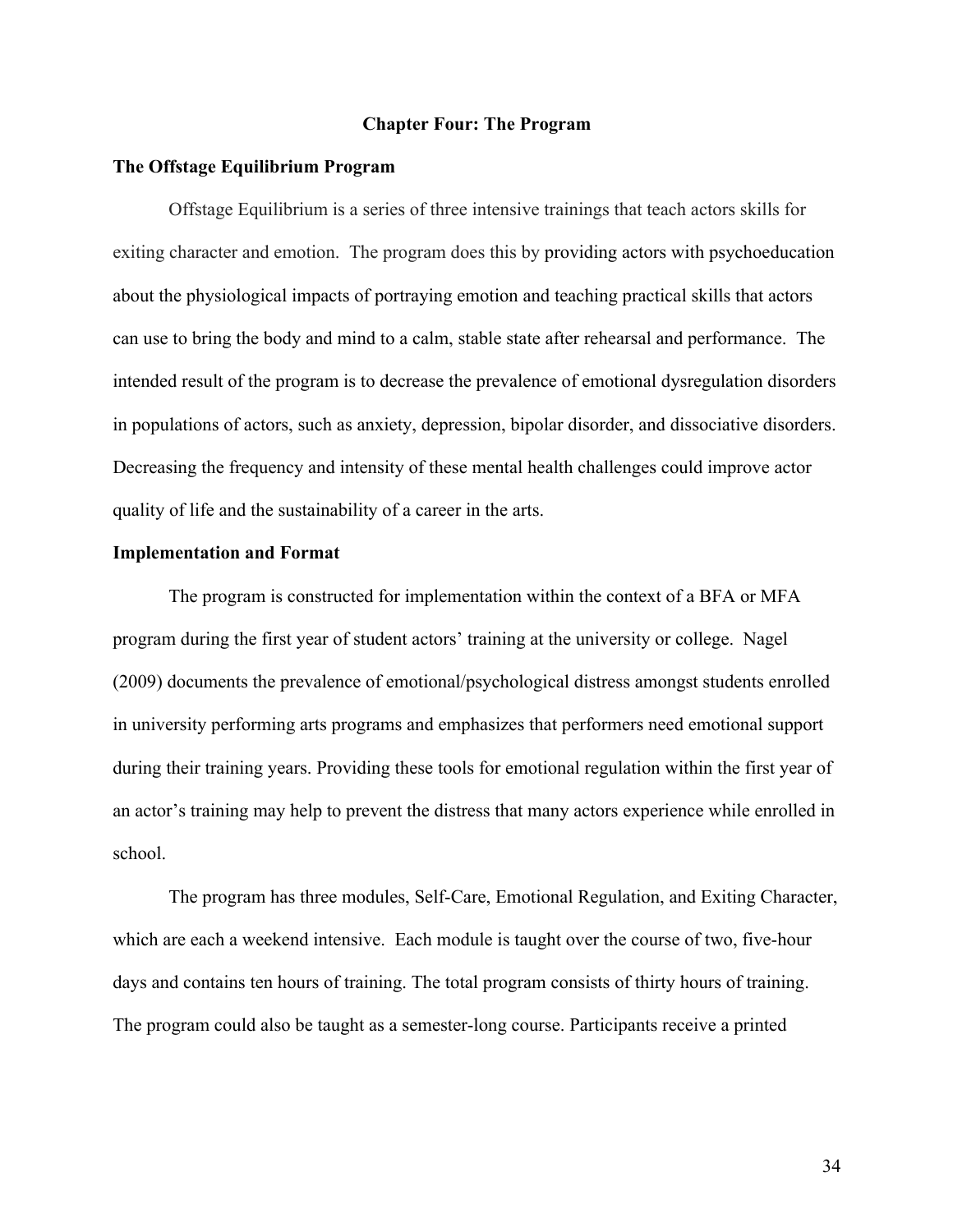### **Chapter Four: The Program**

### **The Offstage Equilibrium Program**

Offstage Equilibrium is a series of three intensive trainings that teach actors skills for exiting character and emotion. The program does this by providing actors with psychoeducation about the physiological impacts of portraying emotion and teaching practical skills that actors can use to bring the body and mind to a calm, stable state after rehearsal and performance. The intended result of the program is to decrease the prevalence of emotional dysregulation disorders in populations of actors, such as anxiety, depression, bipolar disorder, and dissociative disorders. Decreasing the frequency and intensity of these mental health challenges could improve actor quality of life and the sustainability of a career in the arts.

### **Implementation and Format**

The program is constructed for implementation within the context of a BFA or MFA program during the first year of student actors' training at the university or college. Nagel (2009) documents the prevalence of emotional/psychological distress amongst students enrolled in university performing arts programs and emphasizes that performers need emotional support during their training years. Providing these tools for emotional regulation within the first year of an actor's training may help to prevent the distress that many actors experience while enrolled in school.

The program has three modules, Self-Care, Emotional Regulation, and Exiting Character, which are each a weekend intensive. Each module is taught over the course of two, five-hour days and contains ten hours of training. The total program consists of thirty hours of training. The program could also be taught as a semester-long course. Participants receive a printed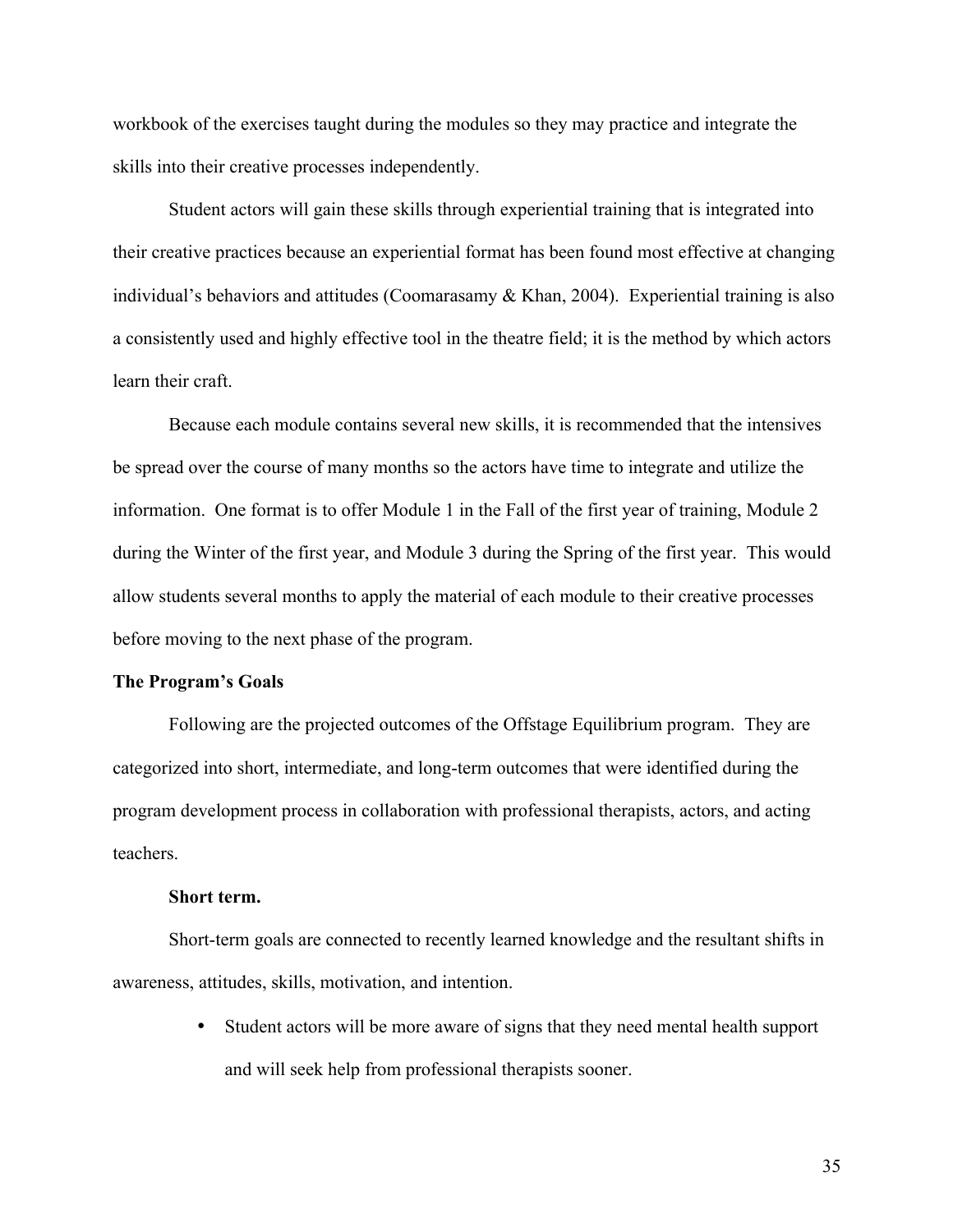workbook of the exercises taught during the modules so they may practice and integrate the skills into their creative processes independently.

Student actors will gain these skills through experiential training that is integrated into their creative practices because an experiential format has been found most effective at changing individual's behaviors and attitudes (Coomarasamy & Khan, 2004). Experiential training is also a consistently used and highly effective tool in the theatre field; it is the method by which actors learn their craft.

Because each module contains several new skills, it is recommended that the intensives be spread over the course of many months so the actors have time to integrate and utilize the information. One format is to offer Module 1 in the Fall of the first year of training, Module 2 during the Winter of the first year, and Module 3 during the Spring of the first year. This would allow students several months to apply the material of each module to their creative processes before moving to the next phase of the program.

## **The Program's Goals**

Following are the projected outcomes of the Offstage Equilibrium program. They are categorized into short, intermediate, and long-term outcomes that were identified during the program development process in collaboration with professional therapists, actors, and acting teachers.

## **Short term.**

Short-term goals are connected to recently learned knowledge and the resultant shifts in awareness, attitudes, skills, motivation, and intention.

> • Student actors will be more aware of signs that they need mental health support and will seek help from professional therapists sooner.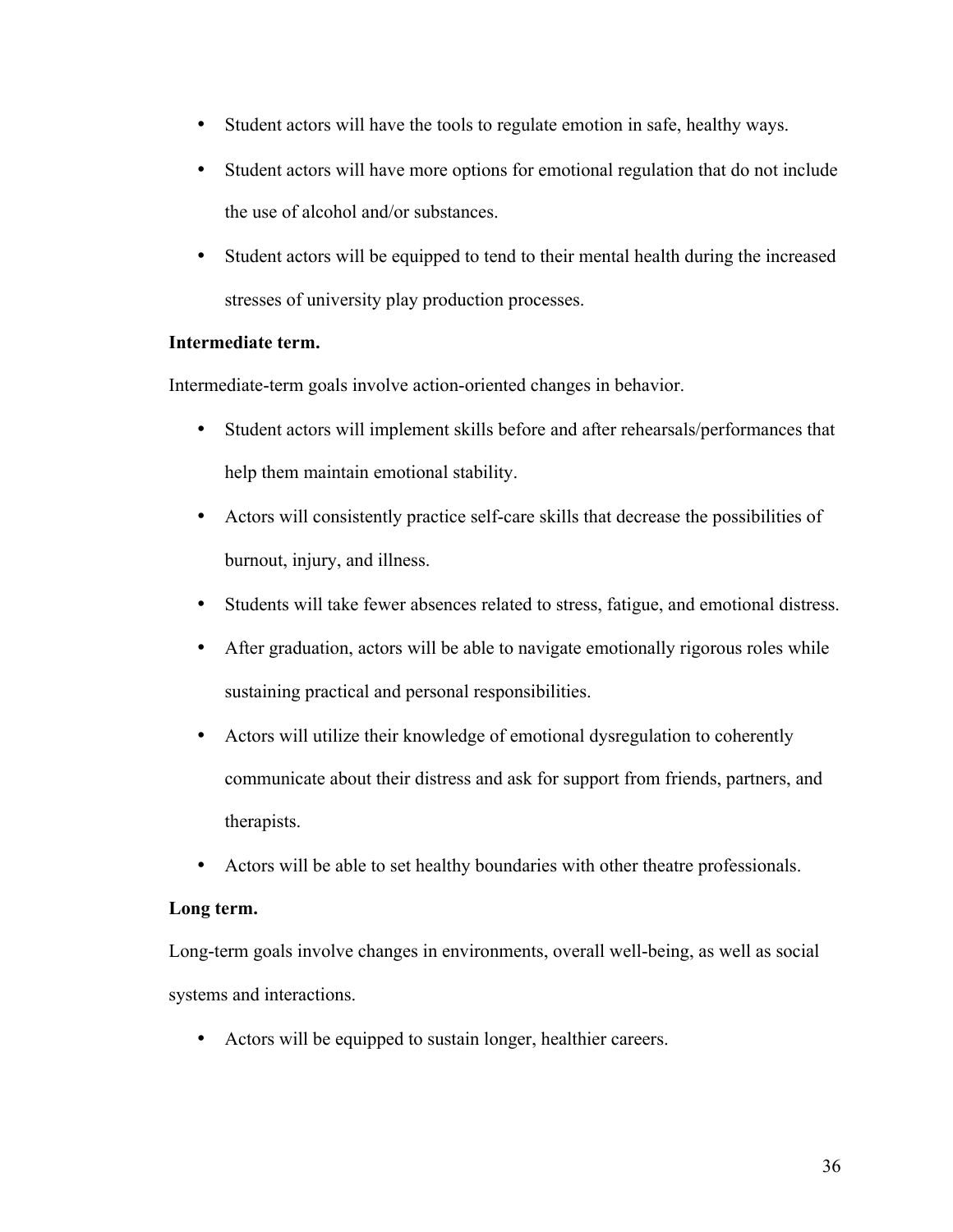- Student actors will have the tools to regulate emotion in safe, healthy ways.
- Student actors will have more options for emotional regulation that do not include the use of alcohol and/or substances.
- Student actors will be equipped to tend to their mental health during the increased stresses of university play production processes.

# **Intermediate term.**

Intermediate-term goals involve action-oriented changes in behavior.

- Student actors will implement skills before and after rehearsals/performances that help them maintain emotional stability.
- Actors will consistently practice self-care skills that decrease the possibilities of burnout, injury, and illness.
- Students will take fewer absences related to stress, fatigue, and emotional distress.
- After graduation, actors will be able to navigate emotionally rigorous roles while sustaining practical and personal responsibilities.
- Actors will utilize their knowledge of emotional dysregulation to coherently communicate about their distress and ask for support from friends, partners, and therapists.
- Actors will be able to set healthy boundaries with other theatre professionals.

# **Long term.**

Long-term goals involve changes in environments, overall well-being, as well as social systems and interactions.

• Actors will be equipped to sustain longer, healthier careers.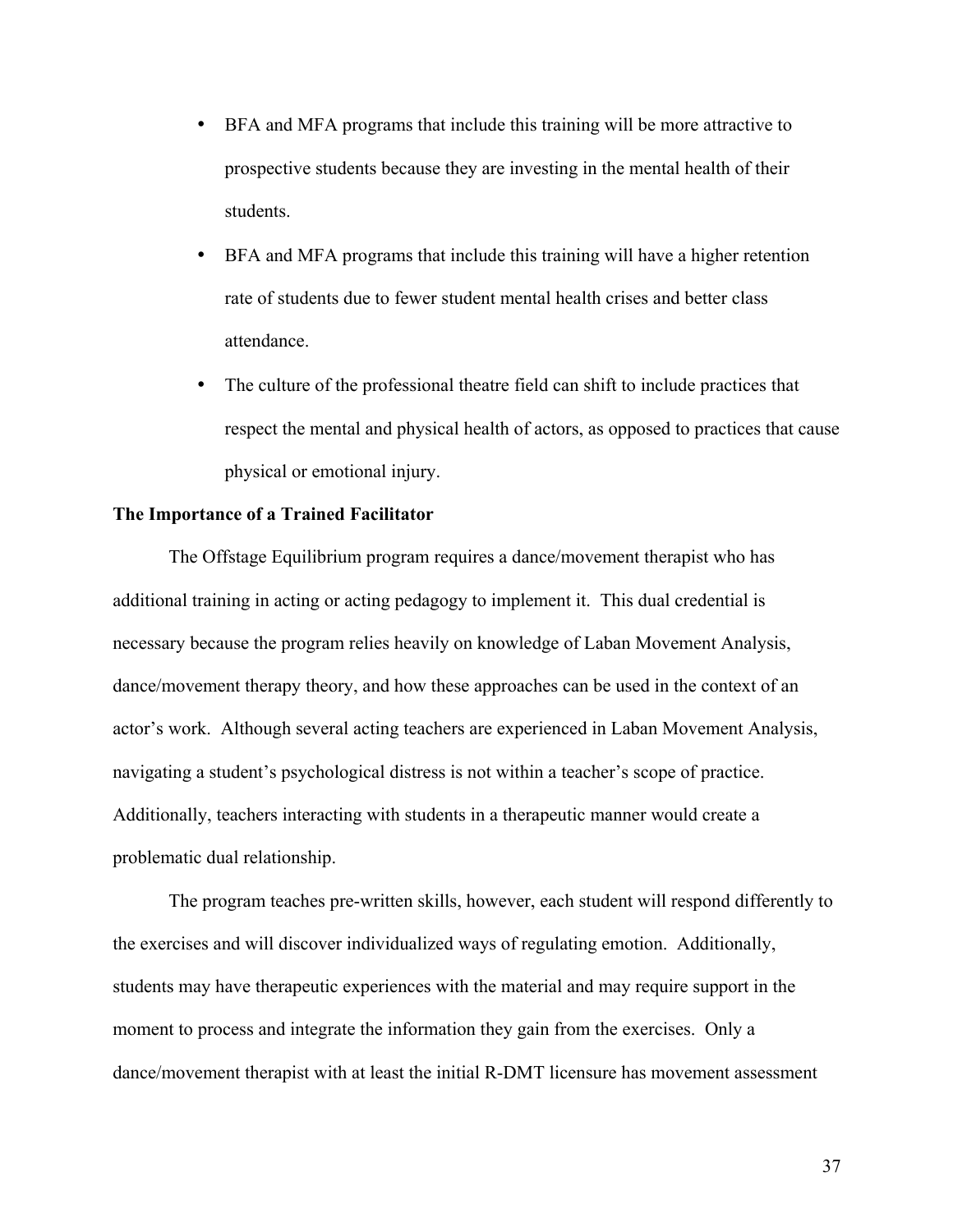- BFA and MFA programs that include this training will be more attractive to prospective students because they are investing in the mental health of their students.
- BFA and MFA programs that include this training will have a higher retention rate of students due to fewer student mental health crises and better class attendance.
- The culture of the professional theatre field can shift to include practices that respect the mental and physical health of actors, as opposed to practices that cause physical or emotional injury.

## **The Importance of a Trained Facilitator**

The Offstage Equilibrium program requires a dance/movement therapist who has additional training in acting or acting pedagogy to implement it. This dual credential is necessary because the program relies heavily on knowledge of Laban Movement Analysis, dance/movement therapy theory, and how these approaches can be used in the context of an actor's work. Although several acting teachers are experienced in Laban Movement Analysis, navigating a student's psychological distress is not within a teacher's scope of practice. Additionally, teachers interacting with students in a therapeutic manner would create a problematic dual relationship.

The program teaches pre-written skills, however, each student will respond differently to the exercises and will discover individualized ways of regulating emotion. Additionally, students may have therapeutic experiences with the material and may require support in the moment to process and integrate the information they gain from the exercises. Only a dance/movement therapist with at least the initial R-DMT licensure has movement assessment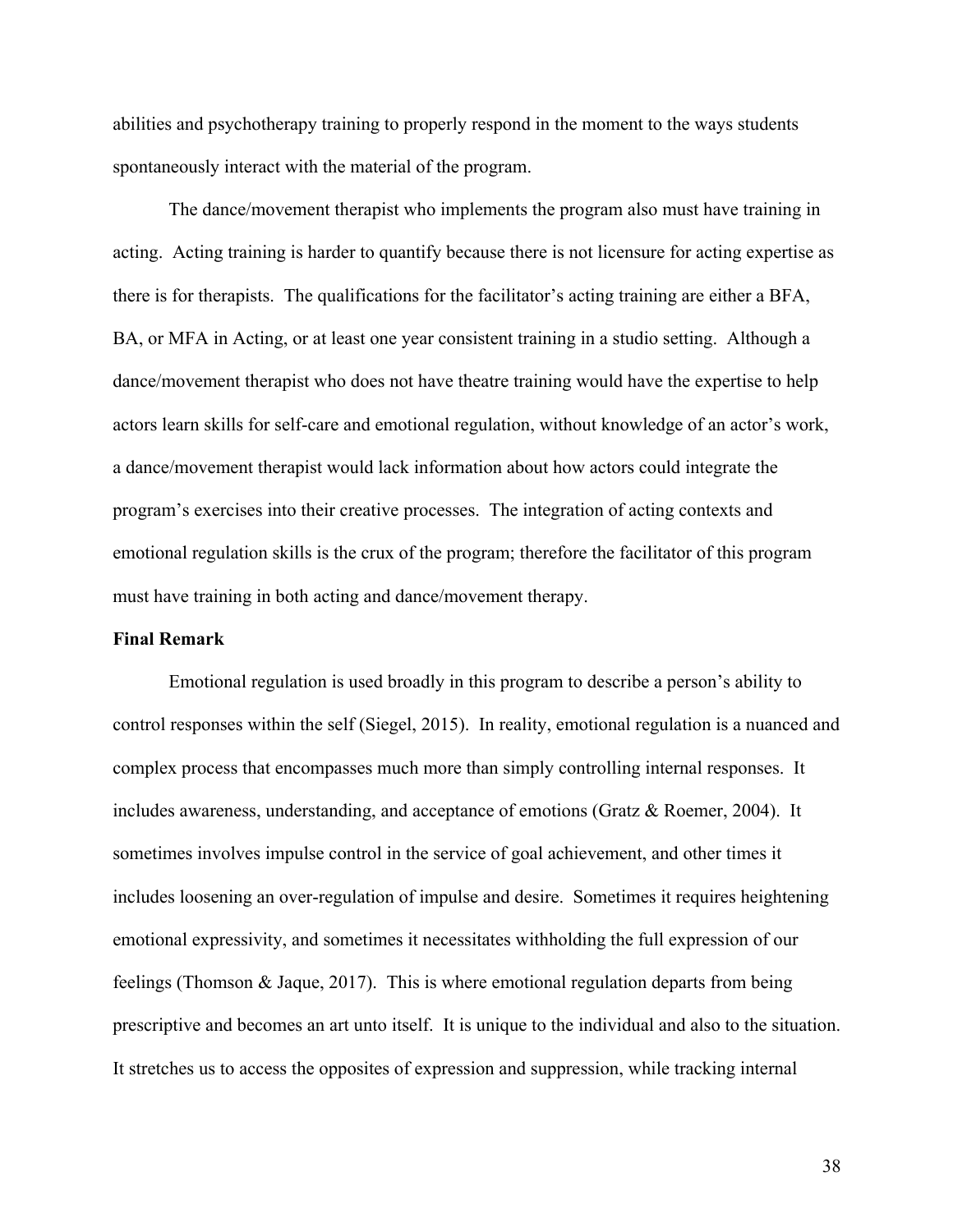abilities and psychotherapy training to properly respond in the moment to the ways students spontaneously interact with the material of the program.

The dance/movement therapist who implements the program also must have training in acting. Acting training is harder to quantify because there is not licensure for acting expertise as there is for therapists. The qualifications for the facilitator's acting training are either a BFA, BA, or MFA in Acting, or at least one year consistent training in a studio setting. Although a dance/movement therapist who does not have theatre training would have the expertise to help actors learn skills for self-care and emotional regulation, without knowledge of an actor's work, a dance/movement therapist would lack information about how actors could integrate the program's exercises into their creative processes. The integration of acting contexts and emotional regulation skills is the crux of the program; therefore the facilitator of this program must have training in both acting and dance/movement therapy.

## **Final Remark**

Emotional regulation is used broadly in this program to describe a person's ability to control responses within the self (Siegel, 2015). In reality, emotional regulation is a nuanced and complex process that encompasses much more than simply controlling internal responses. It includes awareness, understanding, and acceptance of emotions (Gratz & Roemer, 2004). It sometimes involves impulse control in the service of goal achievement, and other times it includes loosening an over-regulation of impulse and desire. Sometimes it requires heightening emotional expressivity, and sometimes it necessitates withholding the full expression of our feelings (Thomson & Jaque, 2017). This is where emotional regulation departs from being prescriptive and becomes an art unto itself. It is unique to the individual and also to the situation. It stretches us to access the opposites of expression and suppression, while tracking internal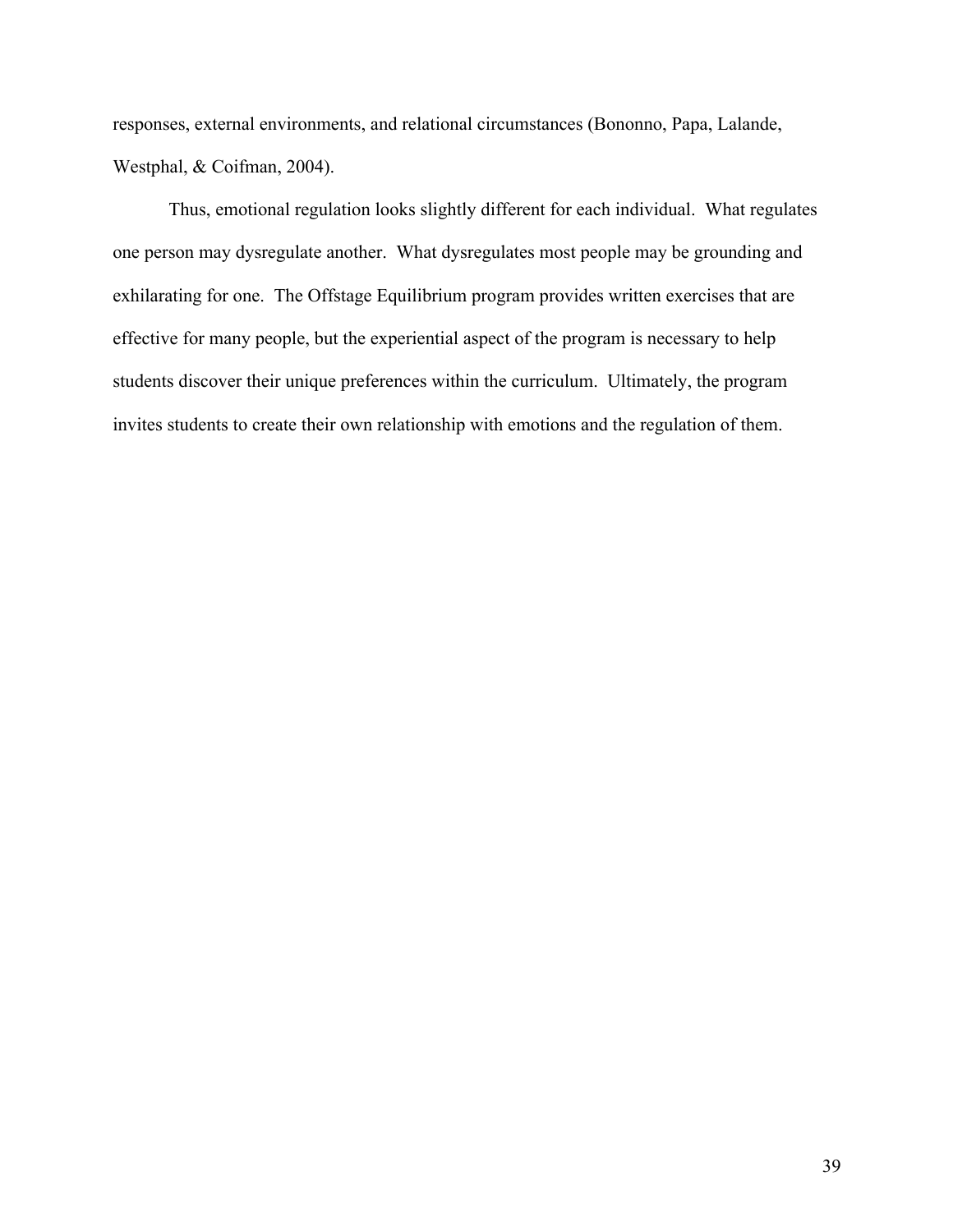responses, external environments, and relational circumstances (Bononno, Papa, Lalande, Westphal, & Coifman, 2004).

Thus, emotional regulation looks slightly different for each individual. What regulates one person may dysregulate another. What dysregulates most people may be grounding and exhilarating for one. The Offstage Equilibrium program provides written exercises that are effective for many people, but the experiential aspect of the program is necessary to help students discover their unique preferences within the curriculum. Ultimately, the program invites students to create their own relationship with emotions and the regulation of them.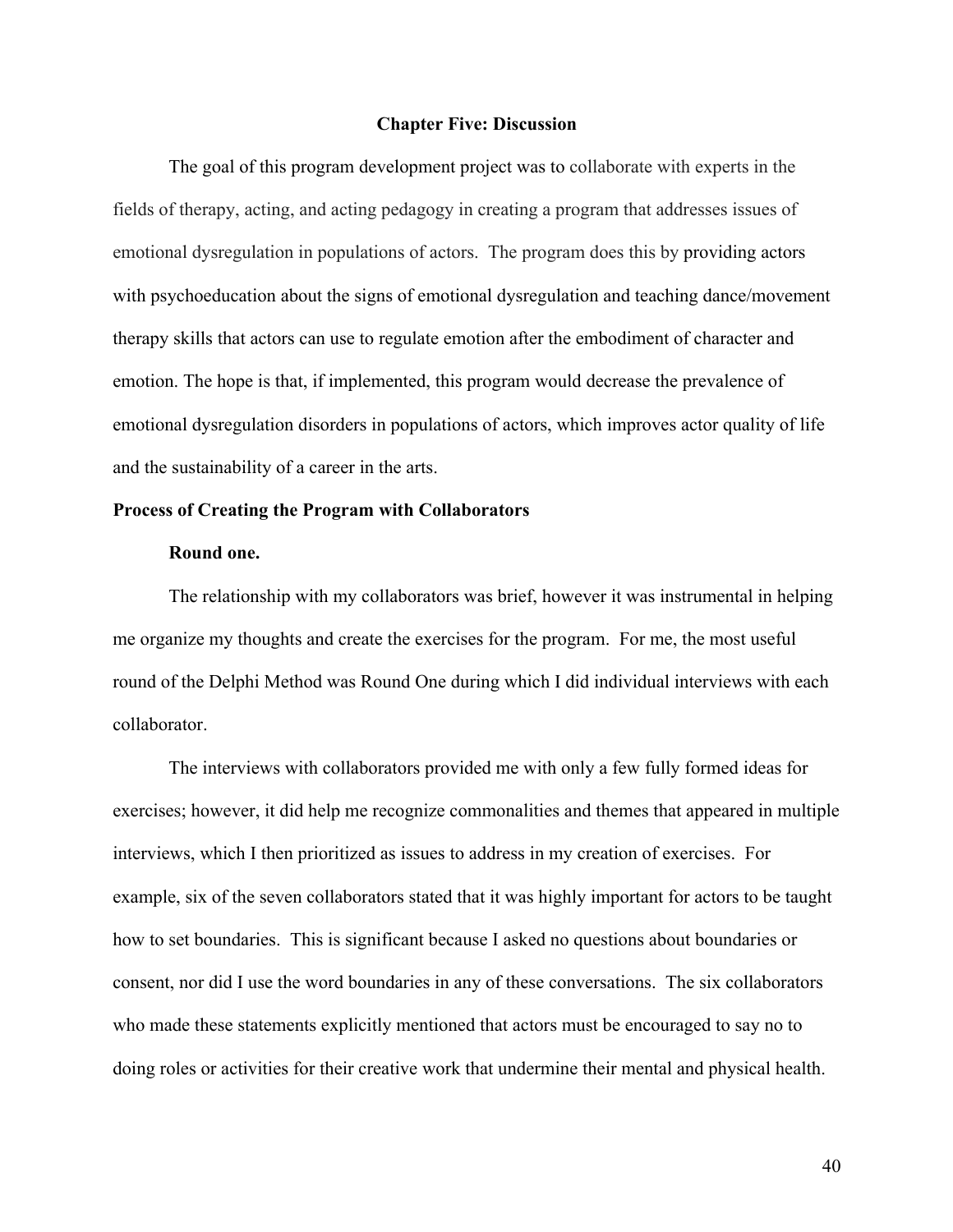### **Chapter Five: Discussion**

The goal of this program development project was to collaborate with experts in the fields of therapy, acting, and acting pedagogy in creating a program that addresses issues of emotional dysregulation in populations of actors. The program does this by providing actors with psychoeducation about the signs of emotional dysregulation and teaching dance/movement therapy skills that actors can use to regulate emotion after the embodiment of character and emotion. The hope is that, if implemented, this program would decrease the prevalence of emotional dysregulation disorders in populations of actors, which improves actor quality of life and the sustainability of a career in the arts.

## **Process of Creating the Program with Collaborators**

## **Round one.**

The relationship with my collaborators was brief, however it was instrumental in helping me organize my thoughts and create the exercises for the program. For me, the most useful round of the Delphi Method was Round One during which I did individual interviews with each collaborator.

The interviews with collaborators provided me with only a few fully formed ideas for exercises; however, it did help me recognize commonalities and themes that appeared in multiple interviews, which I then prioritized as issues to address in my creation of exercises. For example, six of the seven collaborators stated that it was highly important for actors to be taught how to set boundaries. This is significant because I asked no questions about boundaries or consent, nor did I use the word boundaries in any of these conversations. The six collaborators who made these statements explicitly mentioned that actors must be encouraged to say no to doing roles or activities for their creative work that undermine their mental and physical health.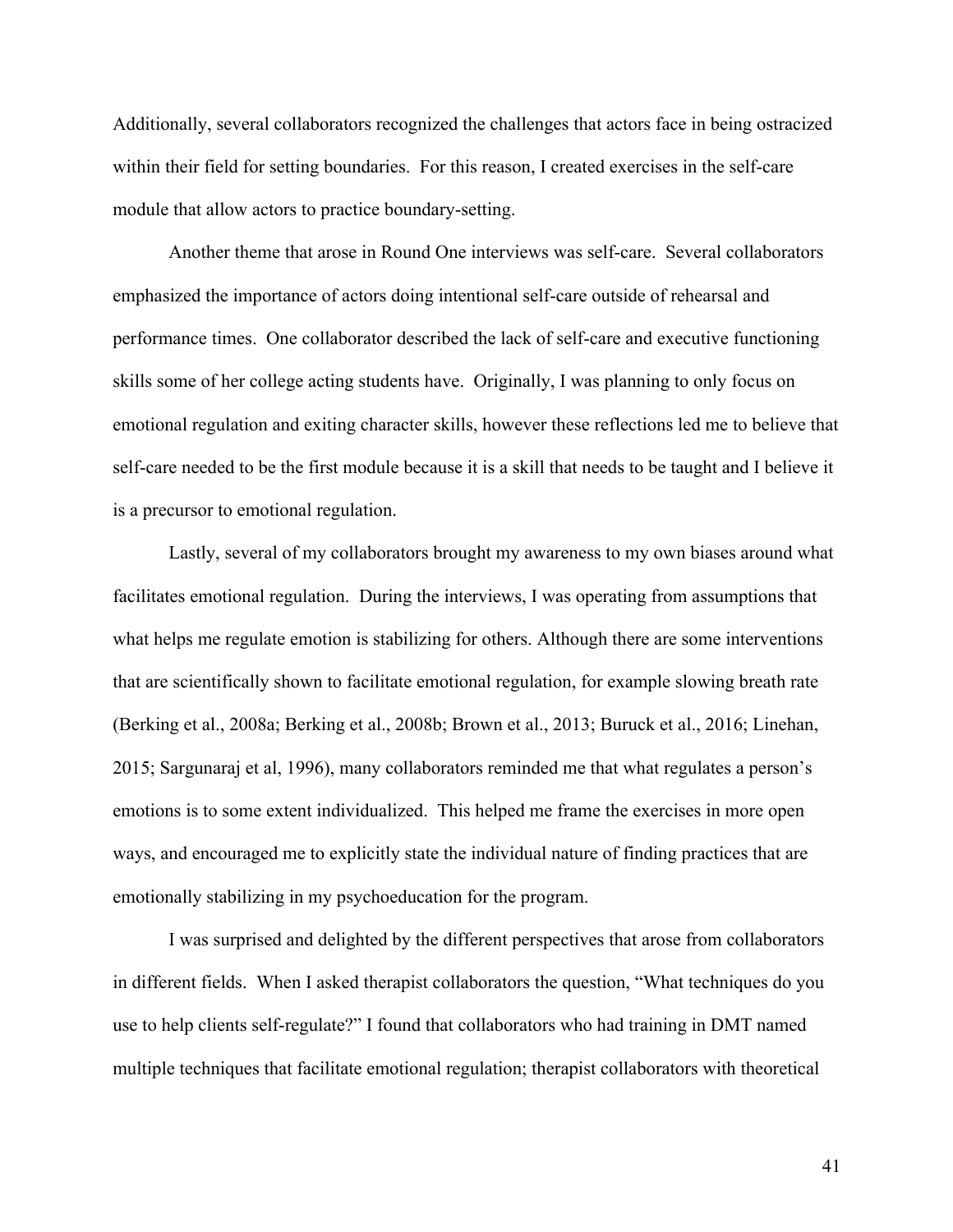Additionally, several collaborators recognized the challenges that actors face in being ostracized within their field for setting boundaries. For this reason, I created exercises in the self-care module that allow actors to practice boundary-setting.

Another theme that arose in Round One interviews was self-care. Several collaborators emphasized the importance of actors doing intentional self-care outside of rehearsal and performance times. One collaborator described the lack of self-care and executive functioning skills some of her college acting students have. Originally, I was planning to only focus on emotional regulation and exiting character skills, however these reflections led me to believe that self-care needed to be the first module because it is a skill that needs to be taught and I believe it is a precursor to emotional regulation.

Lastly, several of my collaborators brought my awareness to my own biases around what facilitates emotional regulation. During the interviews, I was operating from assumptions that what helps me regulate emotion is stabilizing for others. Although there are some interventions that are scientifically shown to facilitate emotional regulation, for example slowing breath rate (Berking et al., 2008a; Berking et al., 2008b; Brown et al., 2013; Buruck et al., 2016; Linehan, 2015; Sargunaraj et al, 1996), many collaborators reminded me that what regulates a person's emotions is to some extent individualized. This helped me frame the exercises in more open ways, and encouraged me to explicitly state the individual nature of finding practices that are emotionally stabilizing in my psychoeducation for the program.

I was surprised and delighted by the different perspectives that arose from collaborators in different fields. When I asked therapist collaborators the question, "What techniques do you use to help clients self-regulate?" I found that collaborators who had training in DMT named multiple techniques that facilitate emotional regulation; therapist collaborators with theoretical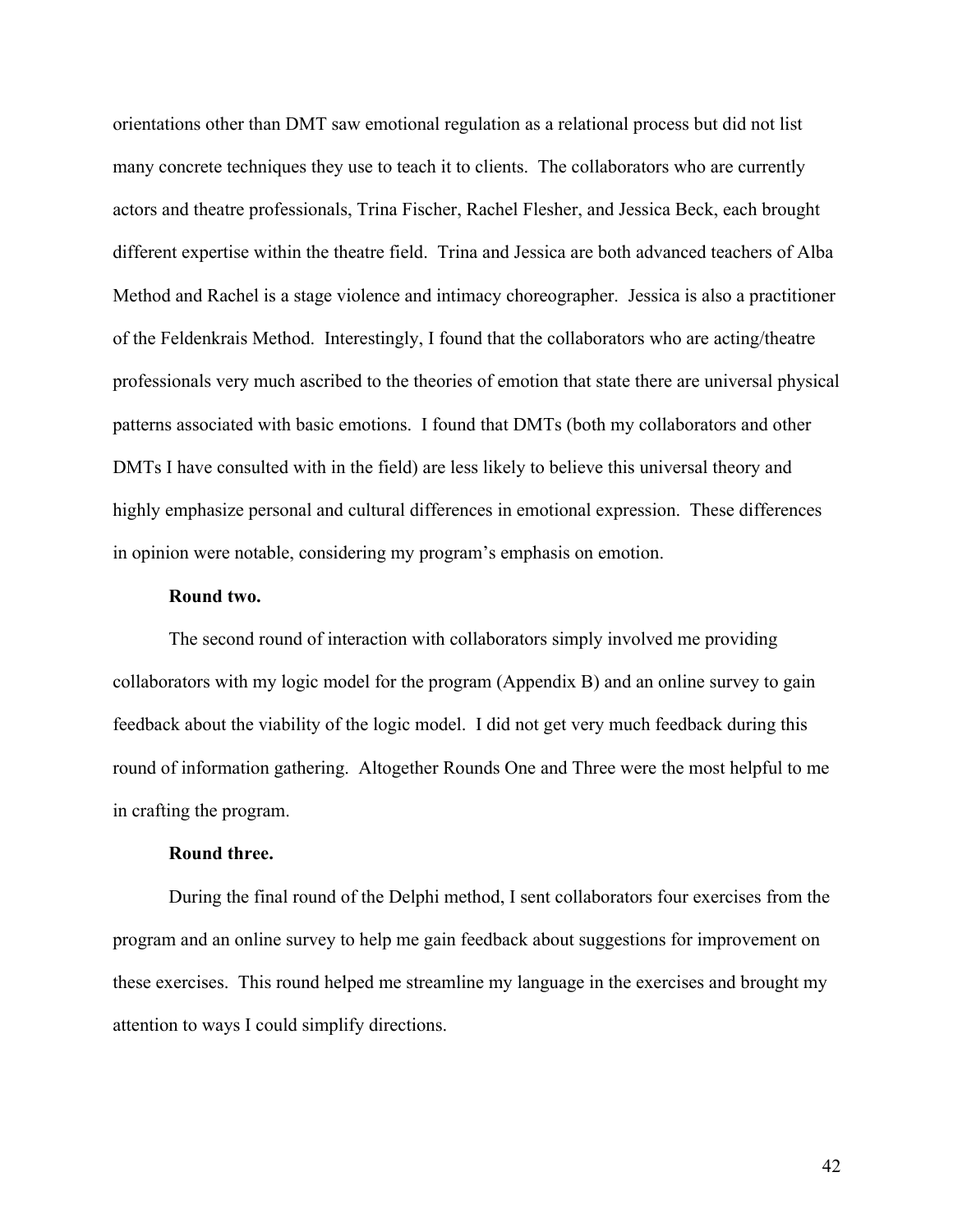orientations other than DMT saw emotional regulation as a relational process but did not list many concrete techniques they use to teach it to clients. The collaborators who are currently actors and theatre professionals, Trina Fischer, Rachel Flesher, and Jessica Beck, each brought different expertise within the theatre field. Trina and Jessica are both advanced teachers of Alba Method and Rachel is a stage violence and intimacy choreographer. Jessica is also a practitioner of the Feldenkrais Method. Interestingly, I found that the collaborators who are acting/theatre professionals very much ascribed to the theories of emotion that state there are universal physical patterns associated with basic emotions. I found that DMTs (both my collaborators and other DMTs I have consulted with in the field) are less likely to believe this universal theory and highly emphasize personal and cultural differences in emotional expression. These differences in opinion were notable, considering my program's emphasis on emotion.

## **Round two.**

The second round of interaction with collaborators simply involved me providing collaborators with my logic model for the program (Appendix B) and an online survey to gain feedback about the viability of the logic model. I did not get very much feedback during this round of information gathering. Altogether Rounds One and Three were the most helpful to me in crafting the program.

## **Round three.**

During the final round of the Delphi method, I sent collaborators four exercises from the program and an online survey to help me gain feedback about suggestions for improvement on these exercises. This round helped me streamline my language in the exercises and brought my attention to ways I could simplify directions.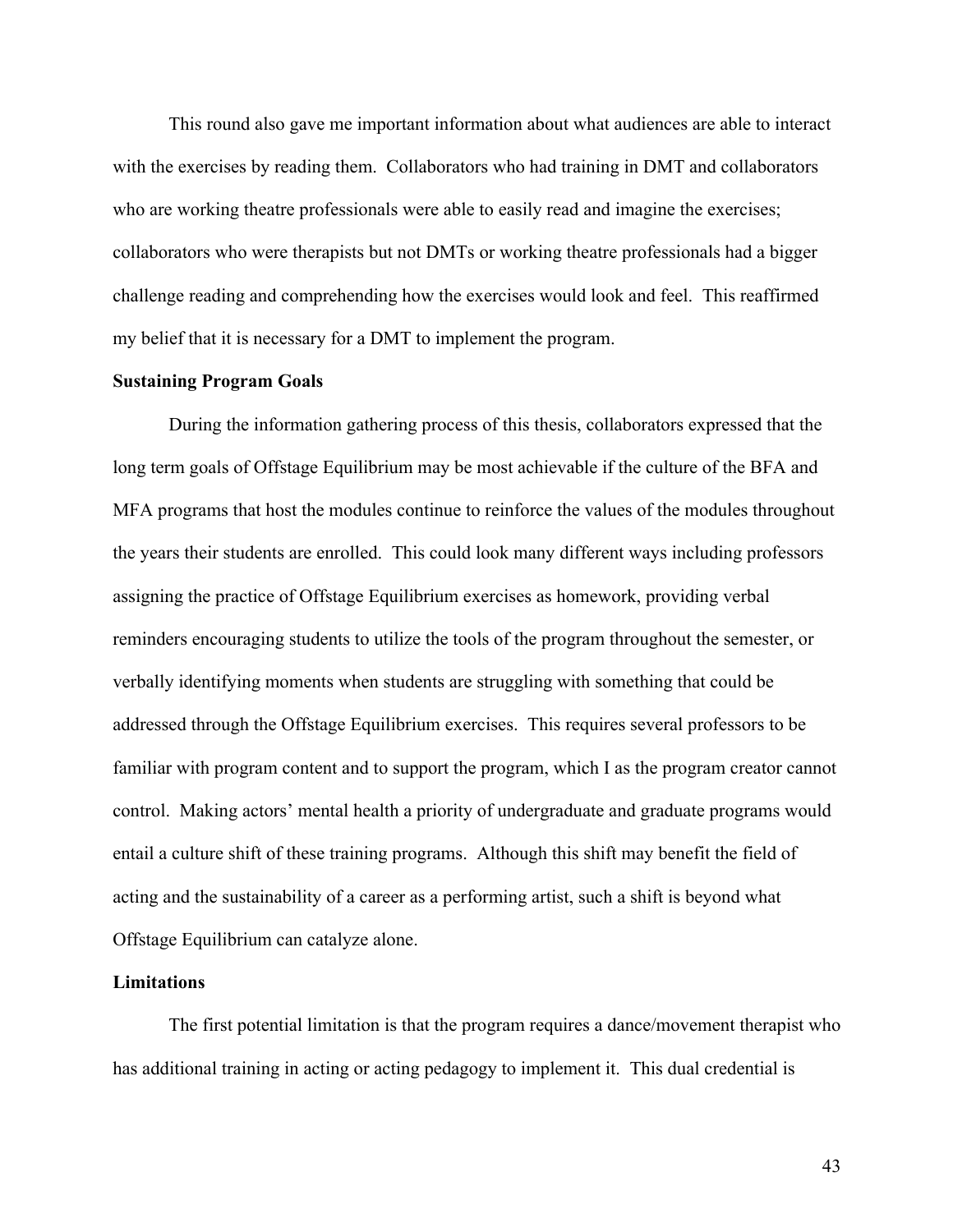This round also gave me important information about what audiences are able to interact with the exercises by reading them. Collaborators who had training in DMT and collaborators who are working theatre professionals were able to easily read and imagine the exercises; collaborators who were therapists but not DMTs or working theatre professionals had a bigger challenge reading and comprehending how the exercises would look and feel. This reaffirmed my belief that it is necessary for a DMT to implement the program.

### **Sustaining Program Goals**

During the information gathering process of this thesis, collaborators expressed that the long term goals of Offstage Equilibrium may be most achievable if the culture of the BFA and MFA programs that host the modules continue to reinforce the values of the modules throughout the years their students are enrolled. This could look many different ways including professors assigning the practice of Offstage Equilibrium exercises as homework, providing verbal reminders encouraging students to utilize the tools of the program throughout the semester, or verbally identifying moments when students are struggling with something that could be addressed through the Offstage Equilibrium exercises. This requires several professors to be familiar with program content and to support the program, which I as the program creator cannot control. Making actors' mental health a priority of undergraduate and graduate programs would entail a culture shift of these training programs. Although this shift may benefit the field of acting and the sustainability of a career as a performing artist, such a shift is beyond what Offstage Equilibrium can catalyze alone.

### **Limitations**

The first potential limitation is that the program requires a dance/movement therapist who has additional training in acting or acting pedagogy to implement it. This dual credential is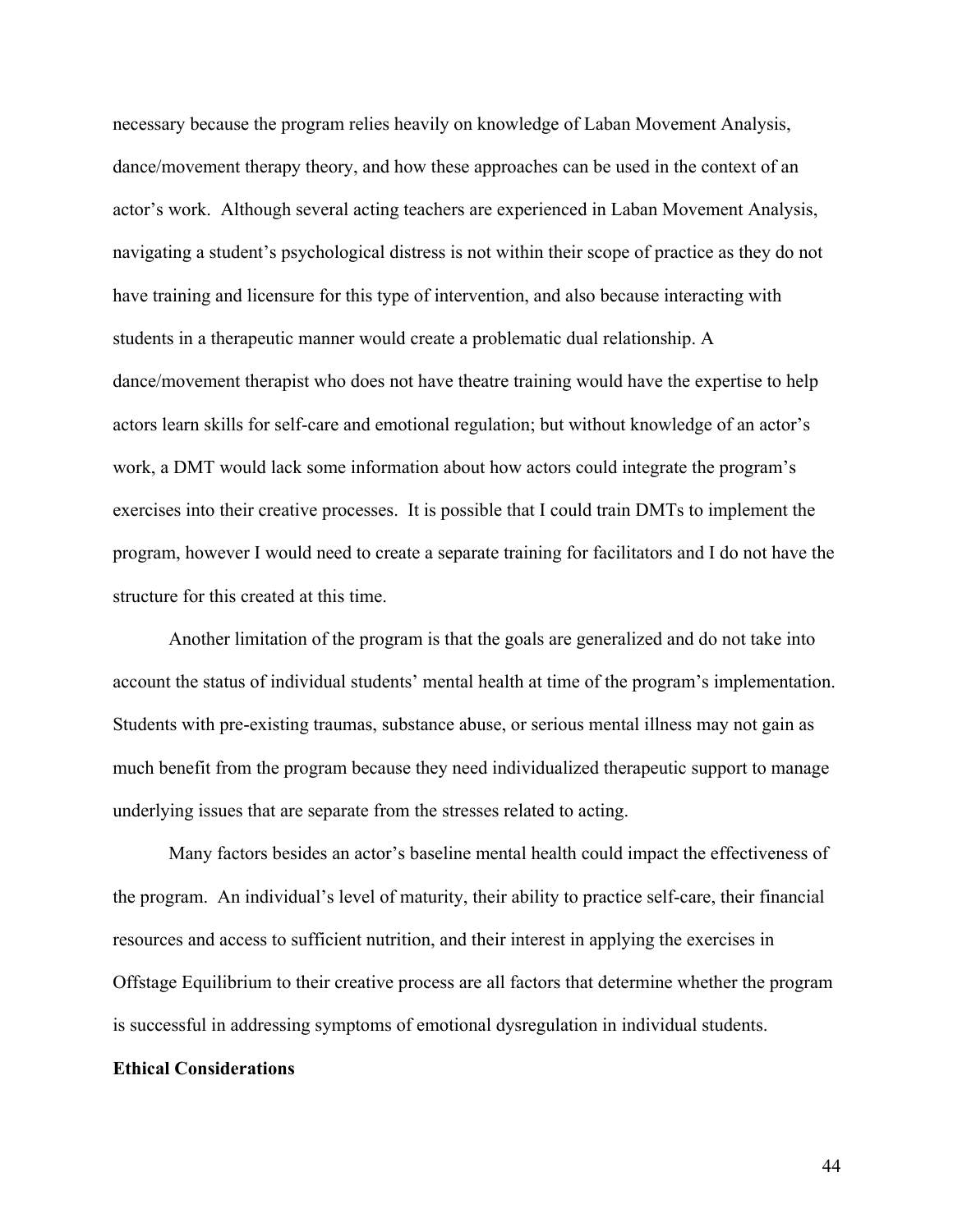necessary because the program relies heavily on knowledge of Laban Movement Analysis, dance/movement therapy theory, and how these approaches can be used in the context of an actor's work. Although several acting teachers are experienced in Laban Movement Analysis, navigating a student's psychological distress is not within their scope of practice as they do not have training and licensure for this type of intervention, and also because interacting with students in a therapeutic manner would create a problematic dual relationship. A dance/movement therapist who does not have theatre training would have the expertise to help actors learn skills for self-care and emotional regulation; but without knowledge of an actor's work, a DMT would lack some information about how actors could integrate the program's exercises into their creative processes. It is possible that I could train DMTs to implement the program, however I would need to create a separate training for facilitators and I do not have the structure for this created at this time.

Another limitation of the program is that the goals are generalized and do not take into account the status of individual students' mental health at time of the program's implementation. Students with pre-existing traumas, substance abuse, or serious mental illness may not gain as much benefit from the program because they need individualized therapeutic support to manage underlying issues that are separate from the stresses related to acting.

Many factors besides an actor's baseline mental health could impact the effectiveness of the program. An individual's level of maturity, their ability to practice self-care, their financial resources and access to sufficient nutrition, and their interest in applying the exercises in Offstage Equilibrium to their creative process are all factors that determine whether the program is successful in addressing symptoms of emotional dysregulation in individual students.

## **Ethical Considerations**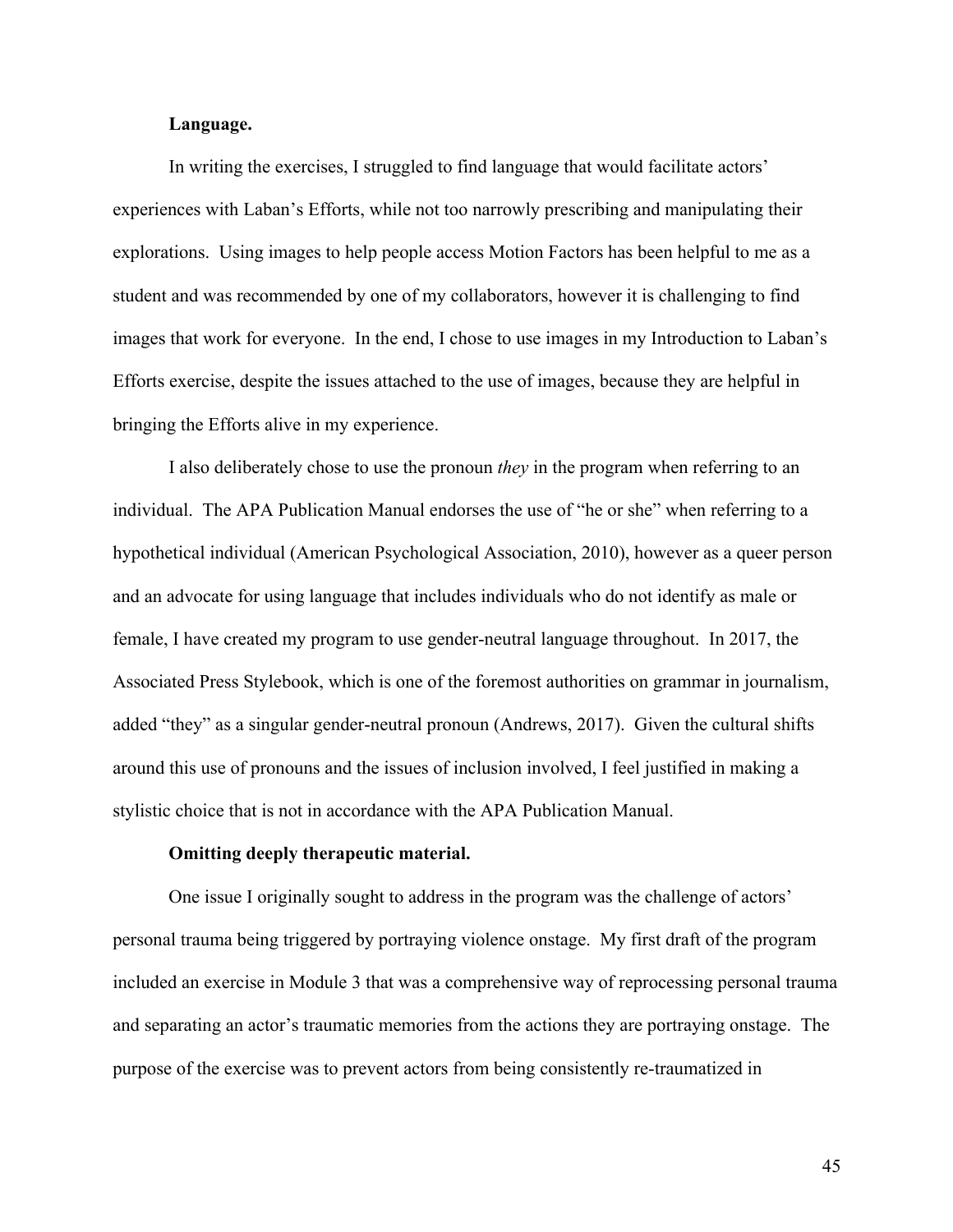# **Language.**

In writing the exercises, I struggled to find language that would facilitate actors' experiences with Laban's Efforts, while not too narrowly prescribing and manipulating their explorations. Using images to help people access Motion Factors has been helpful to me as a student and was recommended by one of my collaborators, however it is challenging to find images that work for everyone. In the end, I chose to use images in my Introduction to Laban's Efforts exercise, despite the issues attached to the use of images, because they are helpful in bringing the Efforts alive in my experience.

I also deliberately chose to use the pronoun *they* in the program when referring to an individual. The APA Publication Manual endorses the use of "he or she" when referring to a hypothetical individual (American Psychological Association, 2010), however as a queer person and an advocate for using language that includes individuals who do not identify as male or female, I have created my program to use gender-neutral language throughout. In 2017, the Associated Press Stylebook, which is one of the foremost authorities on grammar in journalism, added "they" as a singular gender-neutral pronoun (Andrews, 2017). Given the cultural shifts around this use of pronouns and the issues of inclusion involved, I feel justified in making a stylistic choice that is not in accordance with the APA Publication Manual.

#### **Omitting deeply therapeutic material.**

One issue I originally sought to address in the program was the challenge of actors' personal trauma being triggered by portraying violence onstage. My first draft of the program included an exercise in Module 3 that was a comprehensive way of reprocessing personal trauma and separating an actor's traumatic memories from the actions they are portraying onstage. The purpose of the exercise was to prevent actors from being consistently re-traumatized in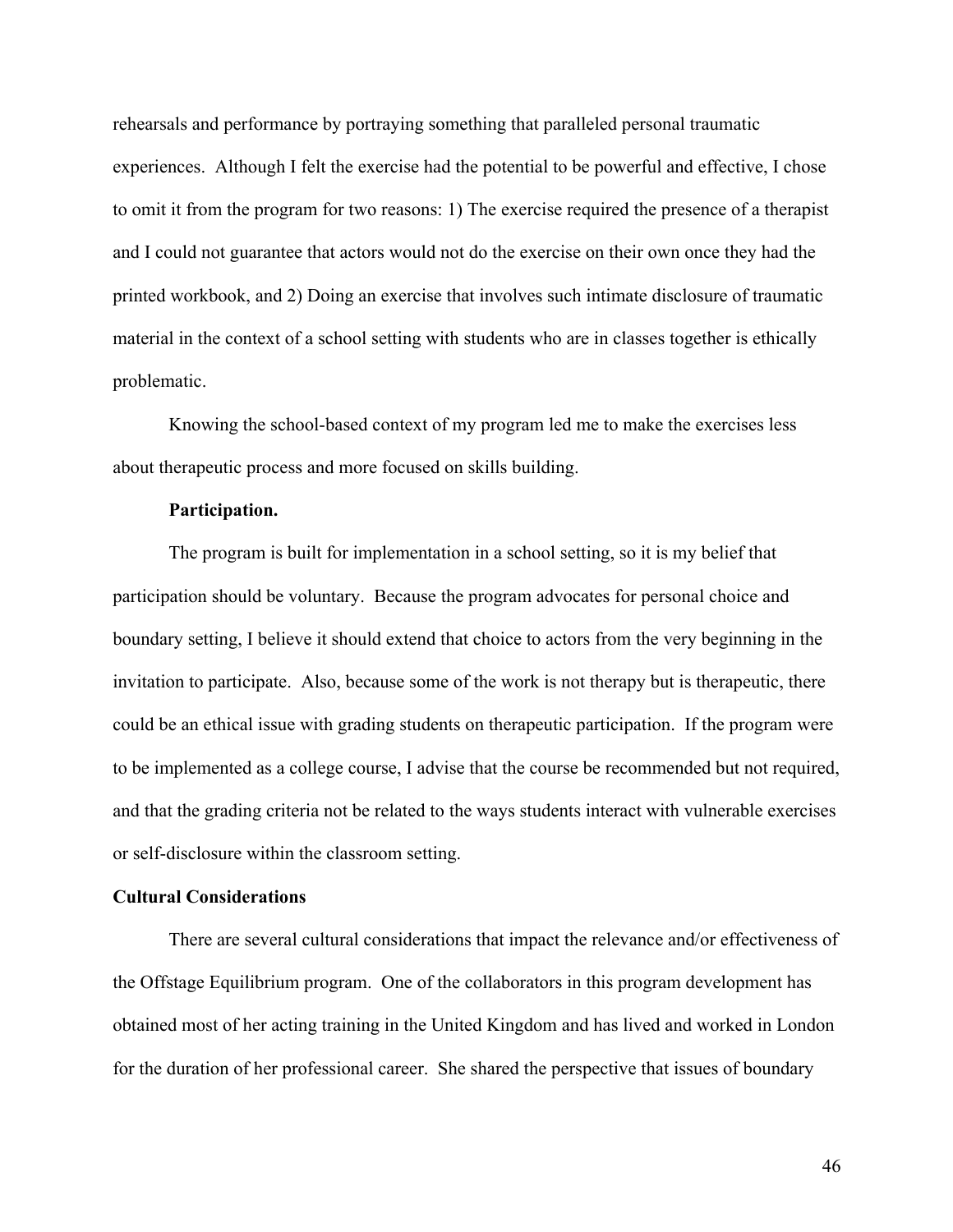rehearsals and performance by portraying something that paralleled personal traumatic experiences. Although I felt the exercise had the potential to be powerful and effective, I chose to omit it from the program for two reasons: 1) The exercise required the presence of a therapist and I could not guarantee that actors would not do the exercise on their own once they had the printed workbook, and 2) Doing an exercise that involves such intimate disclosure of traumatic material in the context of a school setting with students who are in classes together is ethically problematic.

Knowing the school-based context of my program led me to make the exercises less about therapeutic process and more focused on skills building.

### **Participation.**

The program is built for implementation in a school setting, so it is my belief that participation should be voluntary. Because the program advocates for personal choice and boundary setting, I believe it should extend that choice to actors from the very beginning in the invitation to participate. Also, because some of the work is not therapy but is therapeutic, there could be an ethical issue with grading students on therapeutic participation. If the program were to be implemented as a college course, I advise that the course be recommended but not required, and that the grading criteria not be related to the ways students interact with vulnerable exercises or self-disclosure within the classroom setting.

## **Cultural Considerations**

There are several cultural considerations that impact the relevance and/or effectiveness of the Offstage Equilibrium program. One of the collaborators in this program development has obtained most of her acting training in the United Kingdom and has lived and worked in London for the duration of her professional career. She shared the perspective that issues of boundary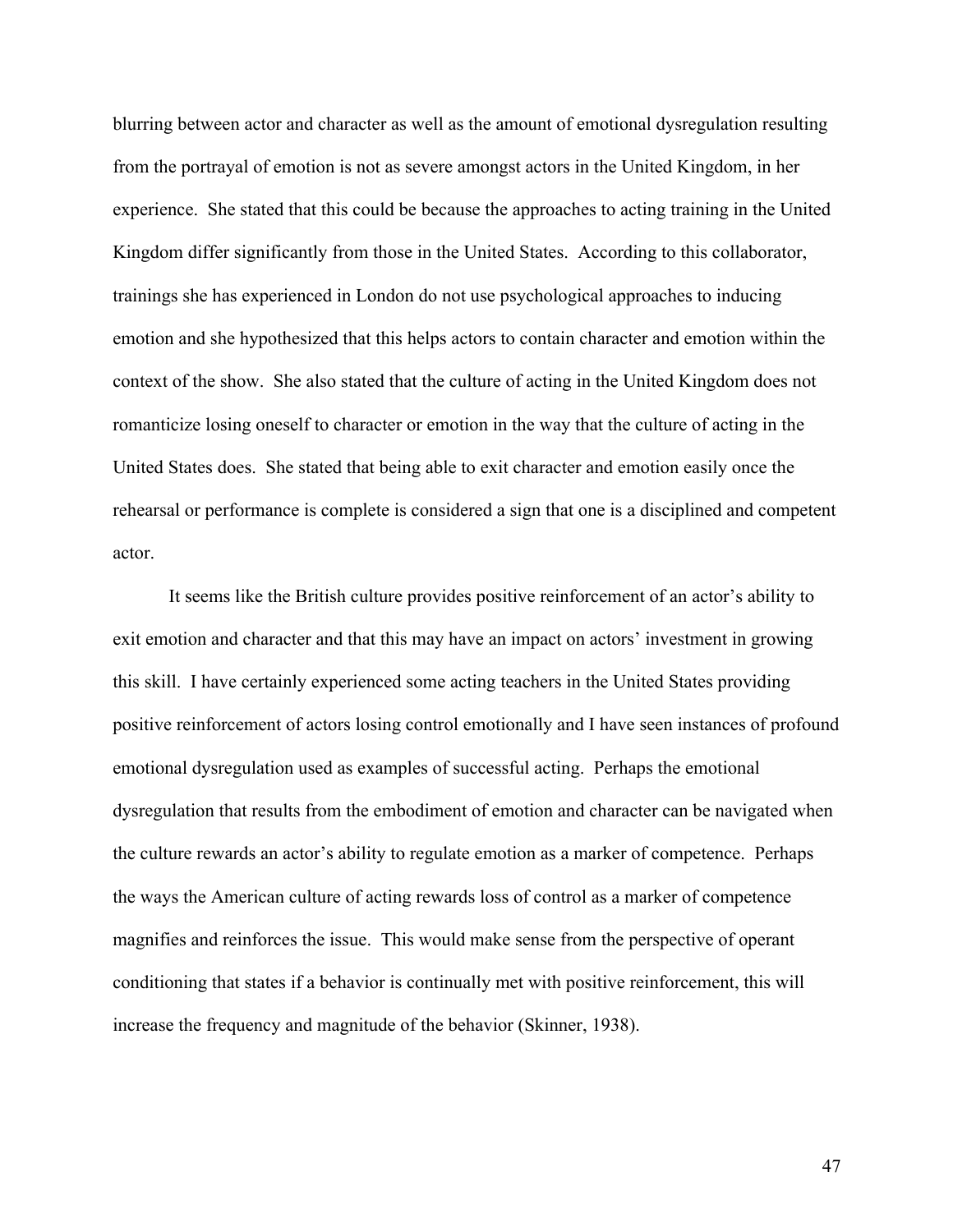blurring between actor and character as well as the amount of emotional dysregulation resulting from the portrayal of emotion is not as severe amongst actors in the United Kingdom, in her experience. She stated that this could be because the approaches to acting training in the United Kingdom differ significantly from those in the United States. According to this collaborator, trainings she has experienced in London do not use psychological approaches to inducing emotion and she hypothesized that this helps actors to contain character and emotion within the context of the show. She also stated that the culture of acting in the United Kingdom does not romanticize losing oneself to character or emotion in the way that the culture of acting in the United States does. She stated that being able to exit character and emotion easily once the rehearsal or performance is complete is considered a sign that one is a disciplined and competent actor.

It seems like the British culture provides positive reinforcement of an actor's ability to exit emotion and character and that this may have an impact on actors' investment in growing this skill. I have certainly experienced some acting teachers in the United States providing positive reinforcement of actors losing control emotionally and I have seen instances of profound emotional dysregulation used as examples of successful acting. Perhaps the emotional dysregulation that results from the embodiment of emotion and character can be navigated when the culture rewards an actor's ability to regulate emotion as a marker of competence. Perhaps the ways the American culture of acting rewards loss of control as a marker of competence magnifies and reinforces the issue. This would make sense from the perspective of operant conditioning that states if a behavior is continually met with positive reinforcement, this will increase the frequency and magnitude of the behavior (Skinner, 1938).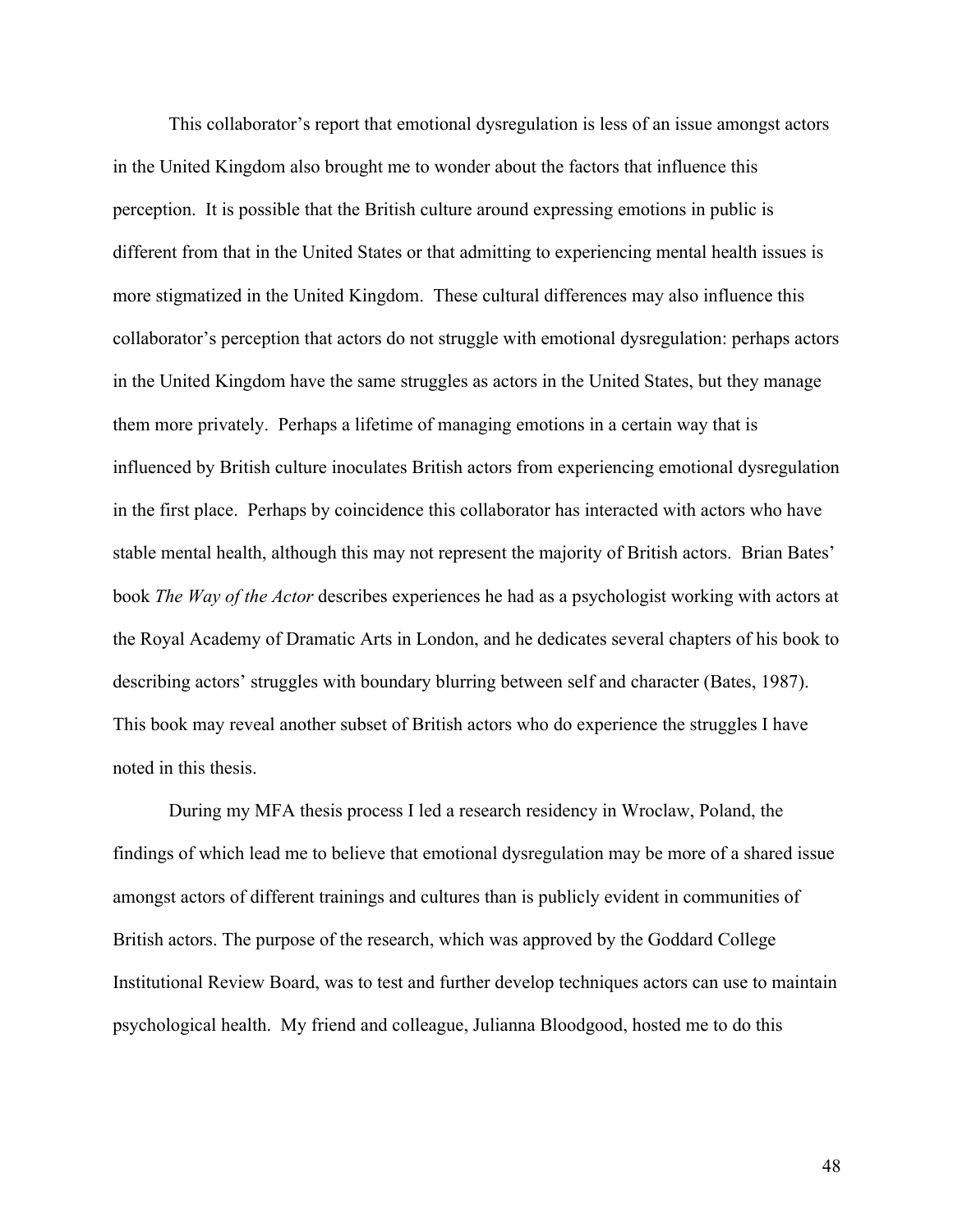This collaborator's report that emotional dysregulation is less of an issue amongst actors in the United Kingdom also brought me to wonder about the factors that influence this perception. It is possible that the British culture around expressing emotions in public is different from that in the United States or that admitting to experiencing mental health issues is more stigmatized in the United Kingdom. These cultural differences may also influence this collaborator's perception that actors do not struggle with emotional dysregulation: perhaps actors in the United Kingdom have the same struggles as actors in the United States, but they manage them more privately. Perhaps a lifetime of managing emotions in a certain way that is influenced by British culture inoculates British actors from experiencing emotional dysregulation in the first place. Perhaps by coincidence this collaborator has interacted with actors who have stable mental health, although this may not represent the majority of British actors. Brian Bates' book *The Way of the Actor* describes experiences he had as a psychologist working with actors at the Royal Academy of Dramatic Arts in London, and he dedicates several chapters of his book to describing actors' struggles with boundary blurring between self and character (Bates, 1987). This book may reveal another subset of British actors who do experience the struggles I have noted in this thesis.

During my MFA thesis process I led a research residency in Wroclaw, Poland, the findings of which lead me to believe that emotional dysregulation may be more of a shared issue amongst actors of different trainings and cultures than is publicly evident in communities of British actors. The purpose of the research, which was approved by the Goddard College Institutional Review Board, was to test and further develop techniques actors can use to maintain psychological health. My friend and colleague, Julianna Bloodgood, hosted me to do this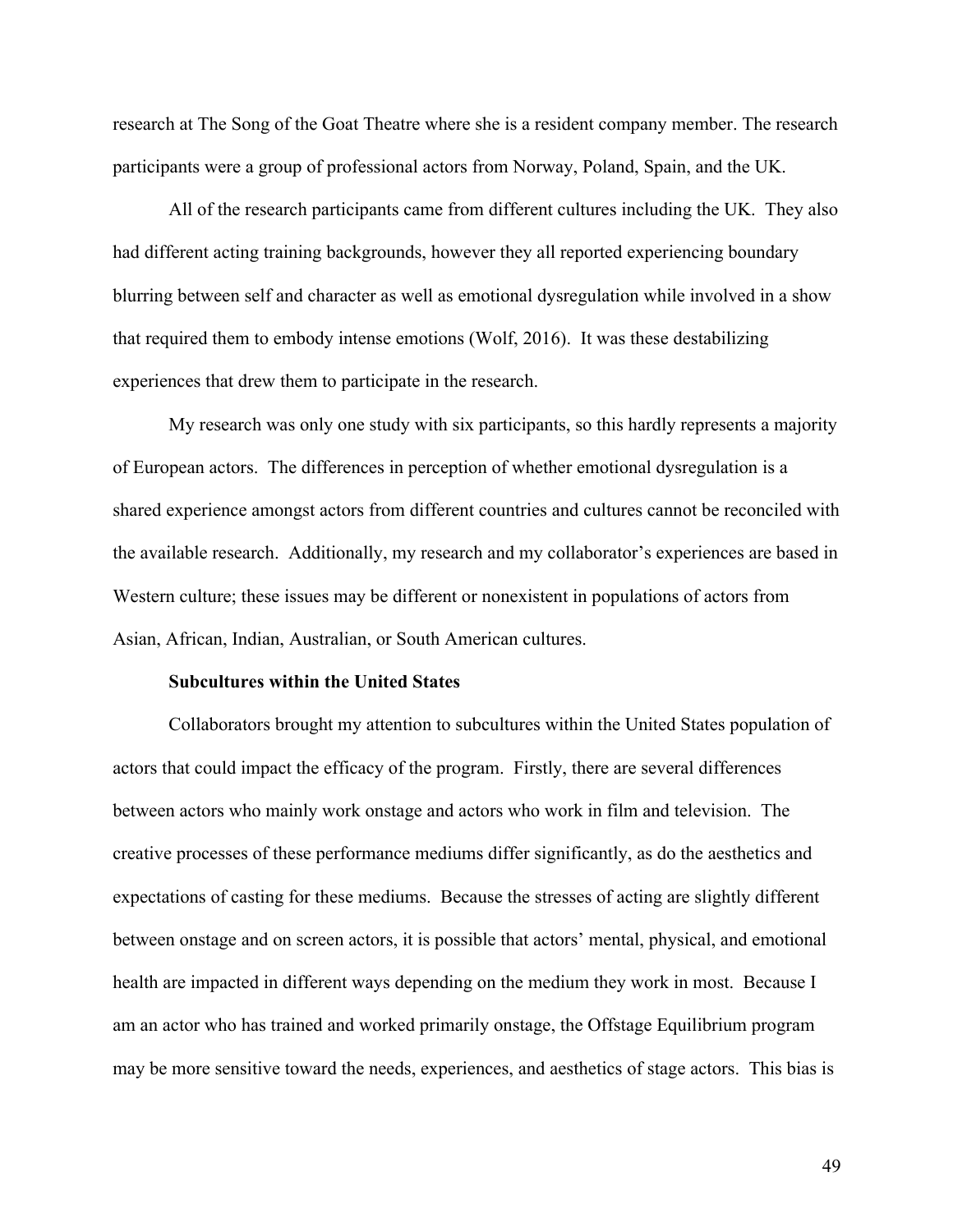research at The Song of the Goat Theatre where she is a resident company member. The research participants were a group of professional actors from Norway, Poland, Spain, and the UK.

All of the research participants came from different cultures including the UK. They also had different acting training backgrounds, however they all reported experiencing boundary blurring between self and character as well as emotional dysregulation while involved in a show that required them to embody intense emotions (Wolf, 2016). It was these destabilizing experiences that drew them to participate in the research.

My research was only one study with six participants, so this hardly represents a majority of European actors. The differences in perception of whether emotional dysregulation is a shared experience amongst actors from different countries and cultures cannot be reconciled with the available research. Additionally, my research and my collaborator's experiences are based in Western culture; these issues may be different or nonexistent in populations of actors from Asian, African, Indian, Australian, or South American cultures.

#### **Subcultures within the United States**

Collaborators brought my attention to subcultures within the United States population of actors that could impact the efficacy of the program. Firstly, there are several differences between actors who mainly work onstage and actors who work in film and television. The creative processes of these performance mediums differ significantly, as do the aesthetics and expectations of casting for these mediums. Because the stresses of acting are slightly different between onstage and on screen actors, it is possible that actors' mental, physical, and emotional health are impacted in different ways depending on the medium they work in most. Because I am an actor who has trained and worked primarily onstage, the Offstage Equilibrium program may be more sensitive toward the needs, experiences, and aesthetics of stage actors. This bias is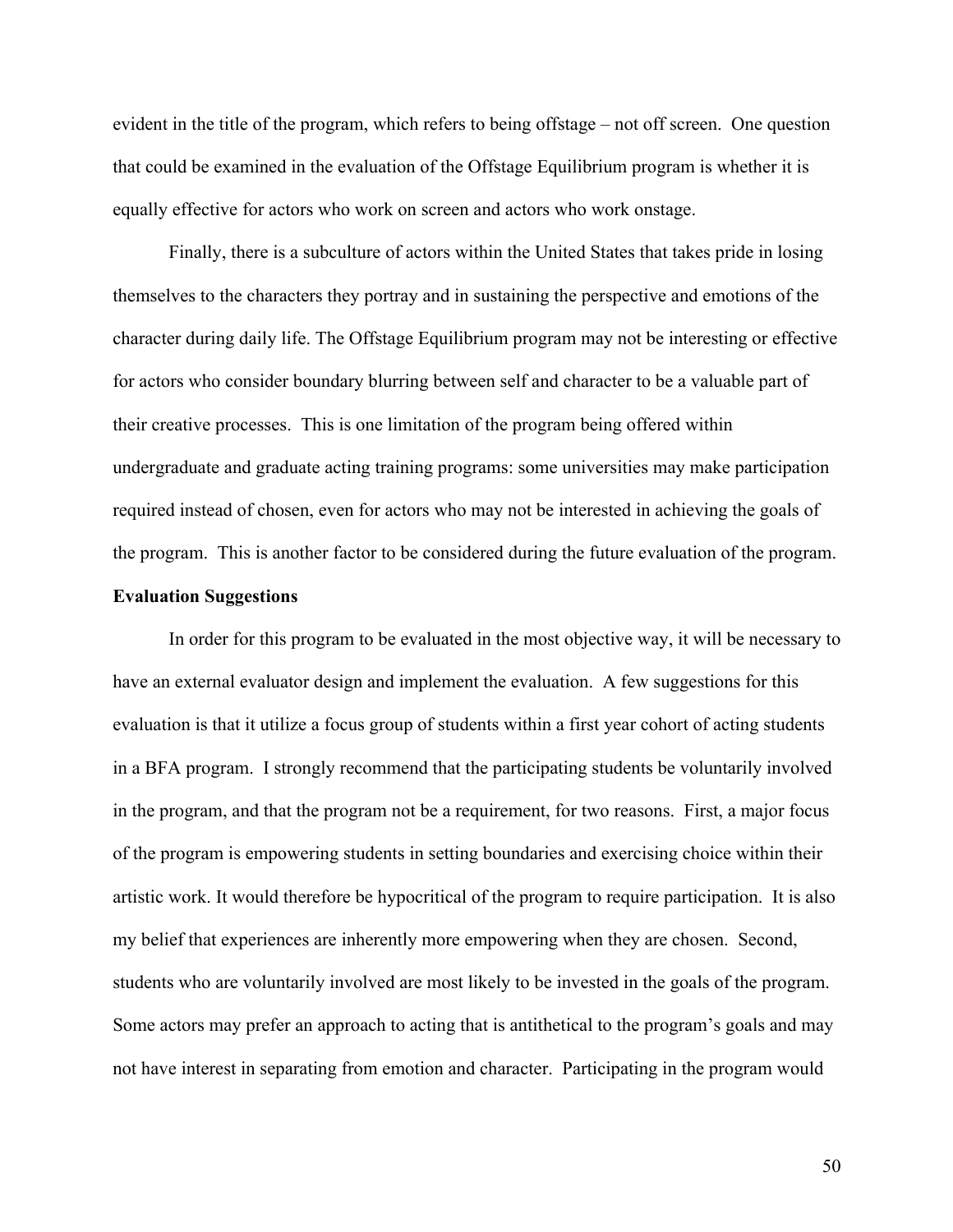evident in the title of the program, which refers to being offstage – not off screen. One question that could be examined in the evaluation of the Offstage Equilibrium program is whether it is equally effective for actors who work on screen and actors who work onstage.

Finally, there is a subculture of actors within the United States that takes pride in losing themselves to the characters they portray and in sustaining the perspective and emotions of the character during daily life. The Offstage Equilibrium program may not be interesting or effective for actors who consider boundary blurring between self and character to be a valuable part of their creative processes. This is one limitation of the program being offered within undergraduate and graduate acting training programs: some universities may make participation required instead of chosen, even for actors who may not be interested in achieving the goals of the program. This is another factor to be considered during the future evaluation of the program.

## **Evaluation Suggestions**

In order for this program to be evaluated in the most objective way, it will be necessary to have an external evaluator design and implement the evaluation. A few suggestions for this evaluation is that it utilize a focus group of students within a first year cohort of acting students in a BFA program. I strongly recommend that the participating students be voluntarily involved in the program, and that the program not be a requirement, for two reasons. First, a major focus of the program is empowering students in setting boundaries and exercising choice within their artistic work. It would therefore be hypocritical of the program to require participation. It is also my belief that experiences are inherently more empowering when they are chosen. Second, students who are voluntarily involved are most likely to be invested in the goals of the program. Some actors may prefer an approach to acting that is antithetical to the program's goals and may not have interest in separating from emotion and character. Participating in the program would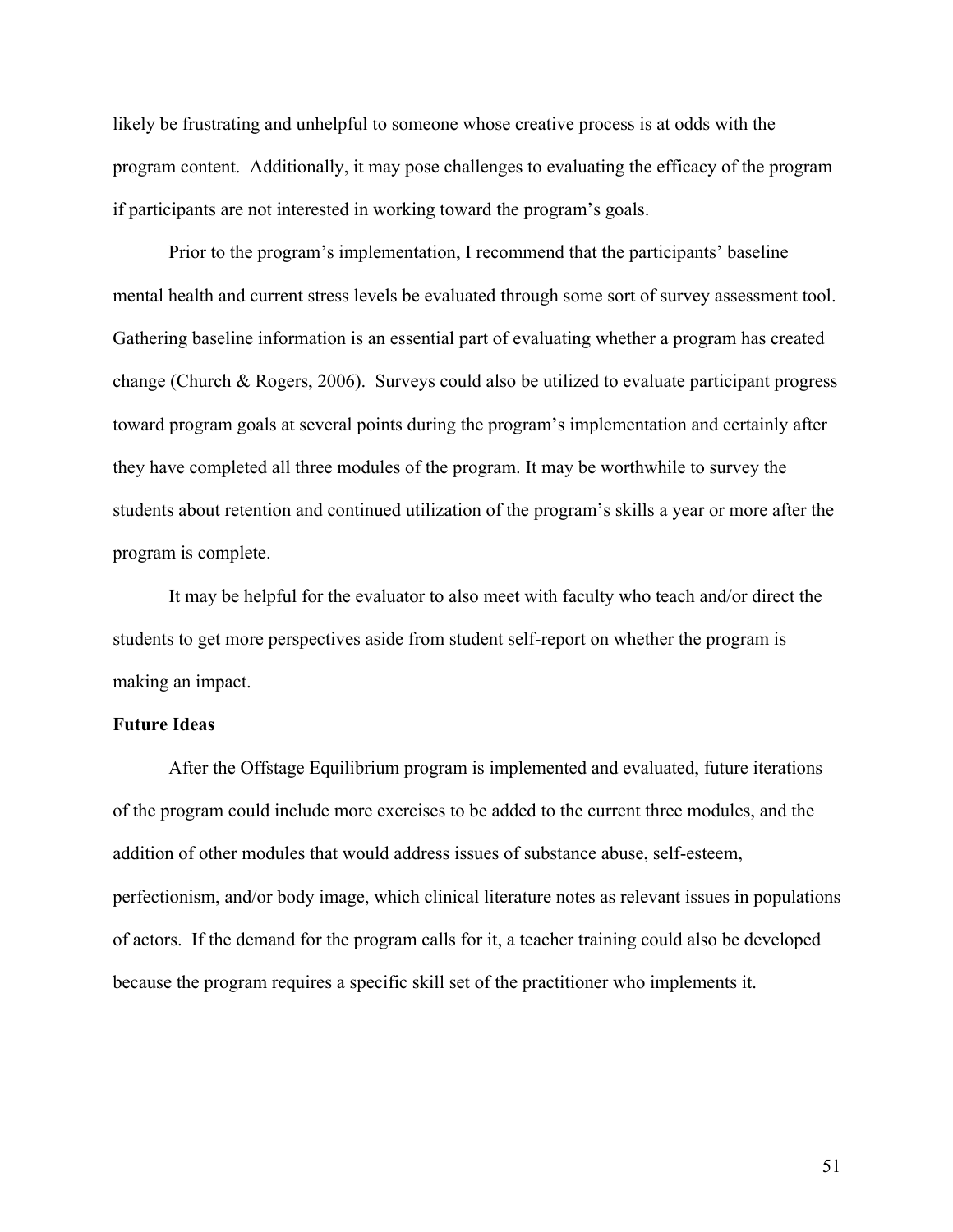likely be frustrating and unhelpful to someone whose creative process is at odds with the program content. Additionally, it may pose challenges to evaluating the efficacy of the program if participants are not interested in working toward the program's goals.

Prior to the program's implementation, I recommend that the participants' baseline mental health and current stress levels be evaluated through some sort of survey assessment tool. Gathering baseline information is an essential part of evaluating whether a program has created change (Church & Rogers, 2006). Surveys could also be utilized to evaluate participant progress toward program goals at several points during the program's implementation and certainly after they have completed all three modules of the program. It may be worthwhile to survey the students about retention and continued utilization of the program's skills a year or more after the program is complete.

It may be helpful for the evaluator to also meet with faculty who teach and/or direct the students to get more perspectives aside from student self-report on whether the program is making an impact.

# **Future Ideas**

After the Offstage Equilibrium program is implemented and evaluated, future iterations of the program could include more exercises to be added to the current three modules, and the addition of other modules that would address issues of substance abuse, self-esteem, perfectionism, and/or body image, which clinical literature notes as relevant issues in populations of actors. If the demand for the program calls for it, a teacher training could also be developed because the program requires a specific skill set of the practitioner who implements it.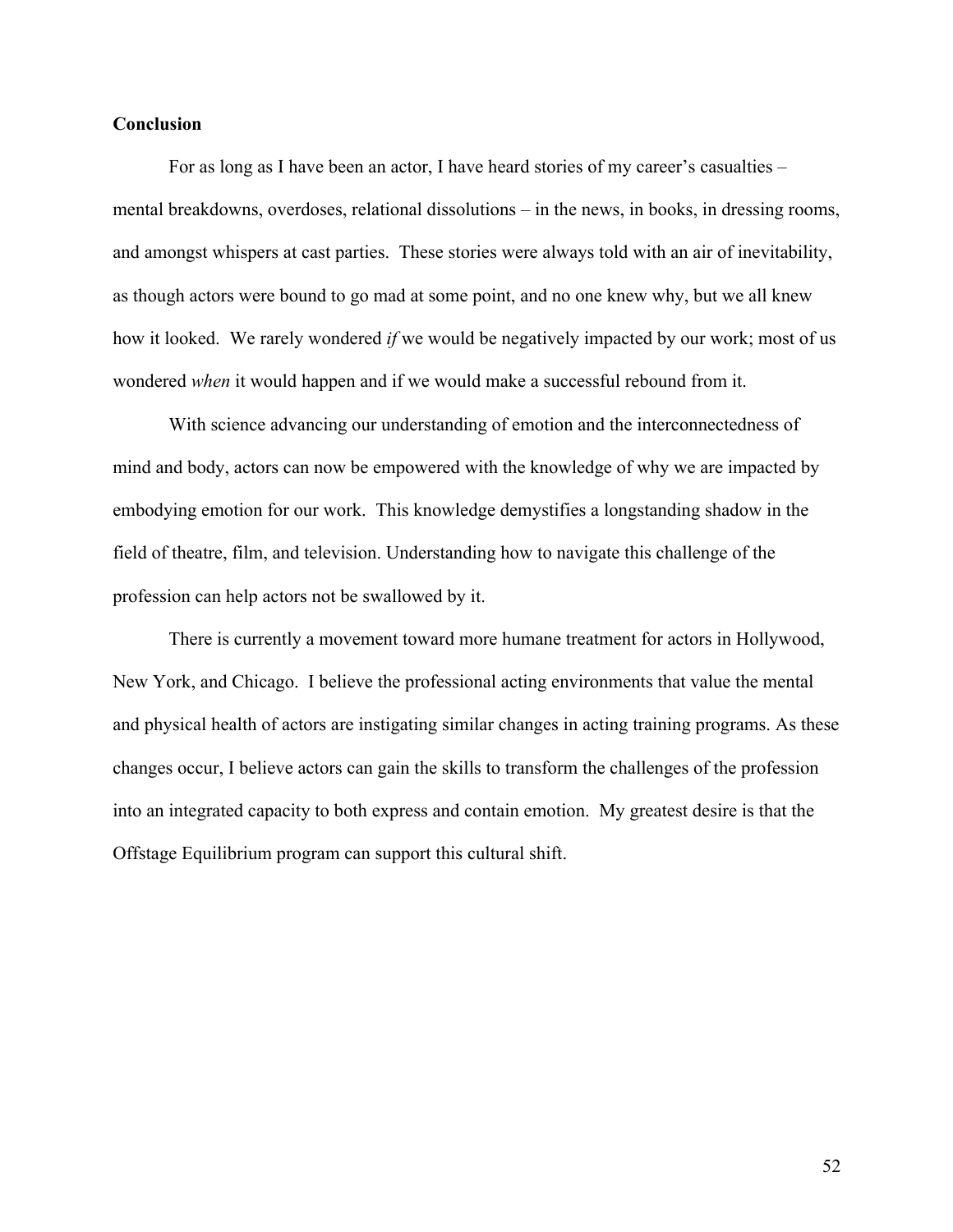## **Conclusion**

For as long as I have been an actor, I have heard stories of my career's casualties – mental breakdowns, overdoses, relational dissolutions – in the news, in books, in dressing rooms, and amongst whispers at cast parties. These stories were always told with an air of inevitability, as though actors were bound to go mad at some point, and no one knew why, but we all knew how it looked. We rarely wondered *if* we would be negatively impacted by our work; most of us wondered *when* it would happen and if we would make a successful rebound from it.

With science advancing our understanding of emotion and the interconnectedness of mind and body, actors can now be empowered with the knowledge of why we are impacted by embodying emotion for our work. This knowledge demystifies a longstanding shadow in the field of theatre, film, and television. Understanding how to navigate this challenge of the profession can help actors not be swallowed by it.

There is currently a movement toward more humane treatment for actors in Hollywood, New York, and Chicago. I believe the professional acting environments that value the mental and physical health of actors are instigating similar changes in acting training programs. As these changes occur, I believe actors can gain the skills to transform the challenges of the profession into an integrated capacity to both express and contain emotion. My greatest desire is that the Offstage Equilibrium program can support this cultural shift.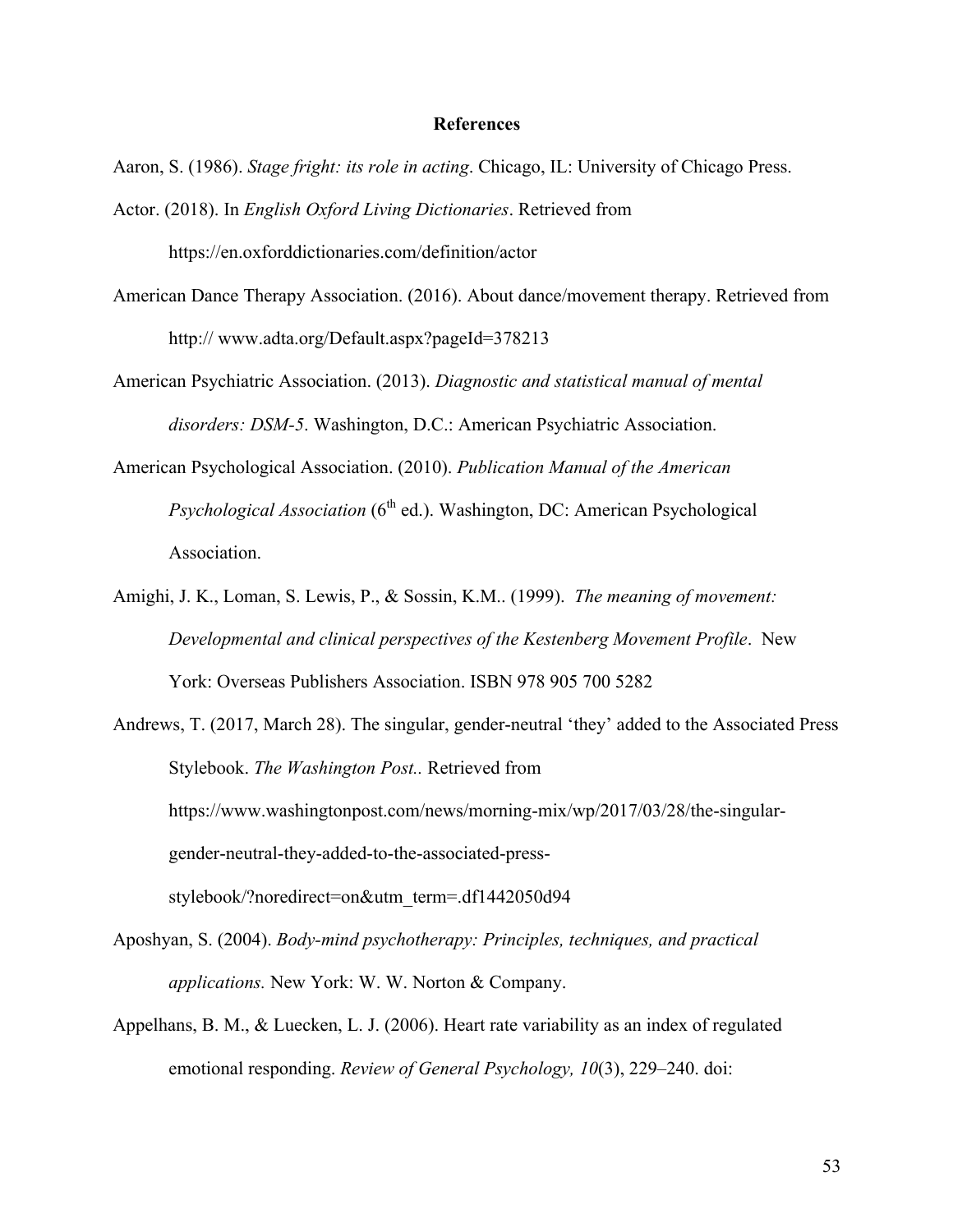### **References**

Aaron, S. (1986). *Stage fright: its role in acting*. Chicago, IL: University of Chicago Press.

- Actor. (2018). In *English Oxford Living Dictionaries*. Retrieved from https://en.oxforddictionaries.com/definition/actor
- American Dance Therapy Association. (2016). About dance/movement therapy. Retrieved from http:// www.adta.org/Default.aspx?pageId=378213
- American Psychiatric Association. (2013). *Diagnostic and statistical manual of mental disorders: DSM-5*. Washington, D.C.: American Psychiatric Association.
- American Psychological Association. (2010). *Publication Manual of the American Psychological Association* (6<sup>th</sup> ed.). Washington, DC: American Psychological Association.
- Amighi, J. K., Loman, S. Lewis, P., & Sossin, K.M.. (1999). *The meaning of movement: Developmental and clinical perspectives of the Kestenberg Movement Profile*. New York: Overseas Publishers Association. ISBN 978 905 700 5282
- Andrews, T. (2017, March 28). The singular, gender-neutral 'they' added to the Associated Press Stylebook. *The Washington Post..* Retrieved from https://www.washingtonpost.com/news/morning-mix/wp/2017/03/28/the-singulargender-neutral-they-added-to-the-associated-pressstylebook/?noredirect=on&utm\_term=.df1442050d94
- Aposhyan, S. (2004). *Body-mind psychotherapy: Principles, techniques, and practical applications.* New York: W. W. Norton & Company.
- Appelhans, B. M., & Luecken, L. J. (2006). Heart rate variability as an index of regulated emotional responding. *Review of General Psychology, 10*(3), 229–240. doi: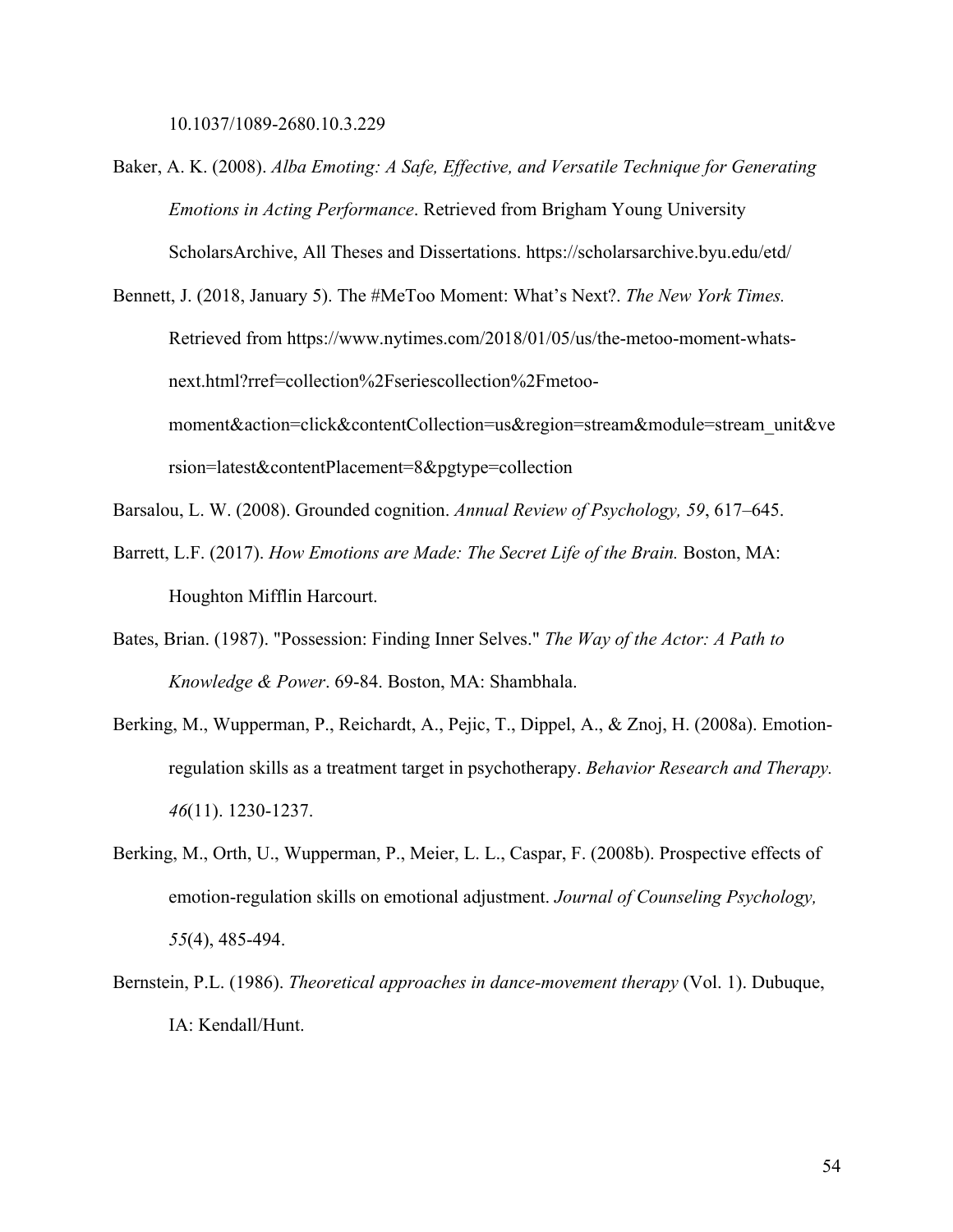10.1037/1089-2680.10.3.229

- Baker, A. K. (2008). *Alba Emoting: A Safe, Effective, and Versatile Technique for Generating Emotions in Acting Performance*. Retrieved from Brigham Young University ScholarsArchive, All Theses and Dissertations. https://scholarsarchive.byu.edu/etd/
- Bennett, J. (2018, January 5). The #MeToo Moment: What's Next?. *The New York Times.*  Retrieved from https://www.nytimes.com/2018/01/05/us/the-metoo-moment-whatsnext.html?rref=collection%2Fseriescollection%2Fmetoomoment&action=click&contentCollection=us&region=stream&module=stream\_unit&ve rsion=latest&contentPlacement=8&pgtype=collection
- Barsalou, L. W. (2008). Grounded cognition. *Annual Review of Psychology, 59*, 617–645.
- Barrett, L.F. (2017). *How Emotions are Made: The Secret Life of the Brain.* Boston, MA: Houghton Mifflin Harcourt.
- Bates, Brian. (1987). "Possession: Finding Inner Selves." *The Way of the Actor: A Path to Knowledge & Power*. 69-84. Boston, MA: Shambhala.
- Berking, M., Wupperman, P., Reichardt, A., Pejic, T., Dippel, A., & Znoj, H. (2008a). Emotionregulation skills as a treatment target in psychotherapy. *Behavior Research and Therapy. 46*(11). 1230-1237.
- Berking, M., Orth, U., Wupperman, P., Meier, L. L., Caspar, F. (2008b). Prospective effects of emotion-regulation skills on emotional adjustment. *Journal of Counseling Psychology, 55*(4), 485-494.
- Bernstein, P.L. (1986). *Theoretical approaches in dance-movement therapy* (Vol. 1). Dubuque, IA: Kendall/Hunt.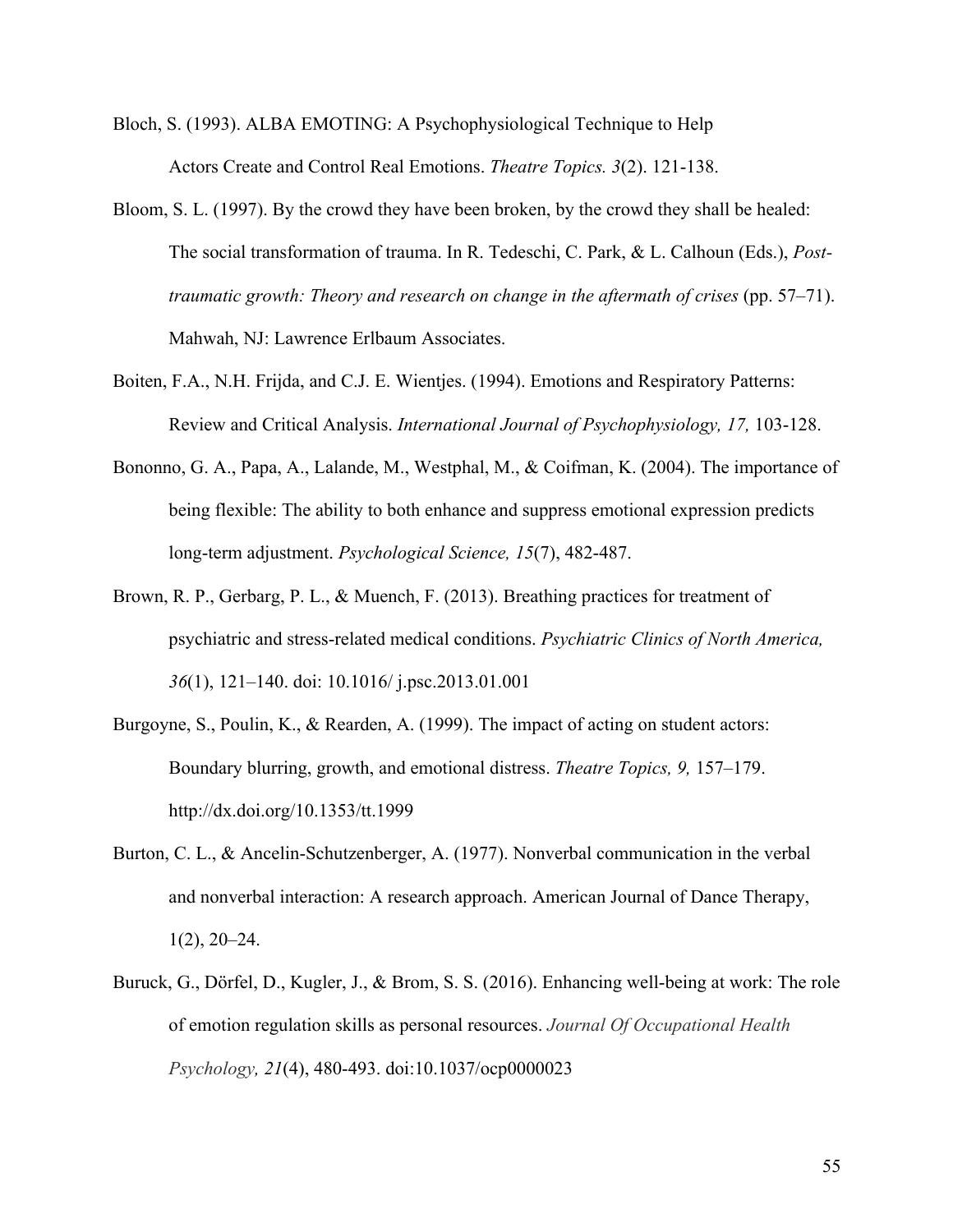- Bloch, S. (1993). ALBA EMOTING: A Psychophysiological Technique to Help Actors Create and Control Real Emotions. *Theatre Topics. 3*(2). 121-138.
- Bloom, S. L. (1997). By the crowd they have been broken, by the crowd they shall be healed: The social transformation of trauma. In R. Tedeschi, C. Park, & L. Calhoun (Eds.), *Posttraumatic growth: Theory and research on change in the aftermath of crises* (pp. 57–71). Mahwah, NJ: Lawrence Erlbaum Associates.
- Boiten, F.A., N.H. Frijda, and C.J. E. Wientjes. (1994). Emotions and Respiratory Patterns: Review and Critical Analysis. *International Journal of Psychophysiology, 17,* 103-128.
- Bononno, G. A., Papa, A., Lalande, M., Westphal, M., & Coifman, K. (2004). The importance of being flexible: The ability to both enhance and suppress emotional expression predicts long-term adjustment. *Psychological Science, 15*(7), 482-487.
- Brown, R. P., Gerbarg, P. L., & Muench, F. (2013). Breathing practices for treatment of psychiatric and stress-related medical conditions. *Psychiatric Clinics of North America, 36*(1), 121–140. doi: 10.1016/ j.psc.2013.01.001
- Burgoyne, S., Poulin, K., & Rearden, A. (1999). The impact of acting on student actors: Boundary blurring, growth, and emotional distress. *Theatre Topics, 9,* 157–179. http://dx.doi.org/10.1353/tt.1999
- Burton, C. L., & Ancelin-Schutzenberger, A. (1977). Nonverbal communication in the verbal and nonverbal interaction: A research approach. American Journal of Dance Therapy,  $1(2)$ ,  $20-24$ .
- Buruck, G., Dörfel, D., Kugler, J., & Brom, S. S. (2016). Enhancing well-being at work: The role of emotion regulation skills as personal resources. *Journal Of Occupational Health Psychology, 21*(4), 480-493. doi:10.1037/ocp0000023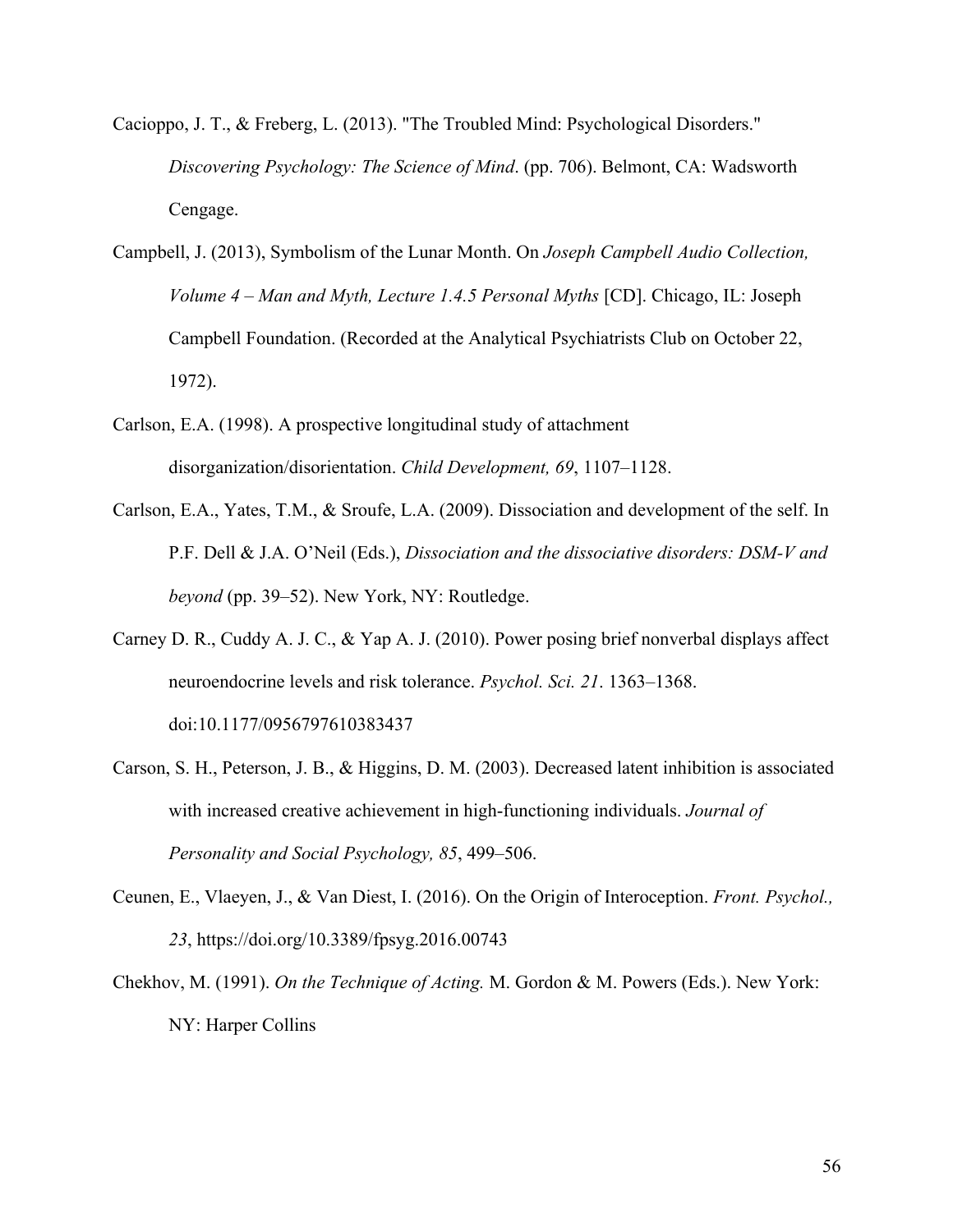- Cacioppo, J. T., & Freberg, L. (2013). "The Troubled Mind: Psychological Disorders." *Discovering Psychology: The Science of Mind*. (pp. 706). Belmont, CA: Wadsworth Cengage.
- Campbell, J. (2013), Symbolism of the Lunar Month. On *Joseph Campbell Audio Collection, Volume 4 – Man and Myth, Lecture 1.4.5 Personal Myths* [CD]. Chicago, IL: Joseph Campbell Foundation. (Recorded at the Analytical Psychiatrists Club on October 22, 1972).
- Carlson, E.A. (1998). A prospective longitudinal study of attachment disorganization/disorientation. *Child Development, 69*, 1107–1128.
- Carlson, E.A., Yates, T.M., & Sroufe, L.A. (2009). Dissociation and development of the self. In P.F. Dell & J.A. O'Neil (Eds.), *Dissociation and the dissociative disorders: DSM-V and beyond* (pp. 39–52). New York, NY: Routledge.
- Carney D. R., Cuddy A. J. C., & Yap A. J. (2010). Power posing brief nonverbal displays affect neuroendocrine levels and risk tolerance. *Psychol. Sci. 21*. 1363–1368. doi:10.1177/0956797610383437
- Carson, S. H., Peterson, J. B., & Higgins, D. M. (2003). Decreased latent inhibition is associated with increased creative achievement in high-functioning individuals. *Journal of Personality and Social Psychology, 85*, 499–506.
- Ceunen, E., Vlaeyen, J., & Van Diest, I. (2016). On the Origin of Interoception. *Front. Psychol., 23*, https://doi.org/10.3389/fpsyg.2016.00743
- Chekhov, M. (1991). *On the Technique of Acting.* M. Gordon & M. Powers (Eds.). New York: NY: Harper Collins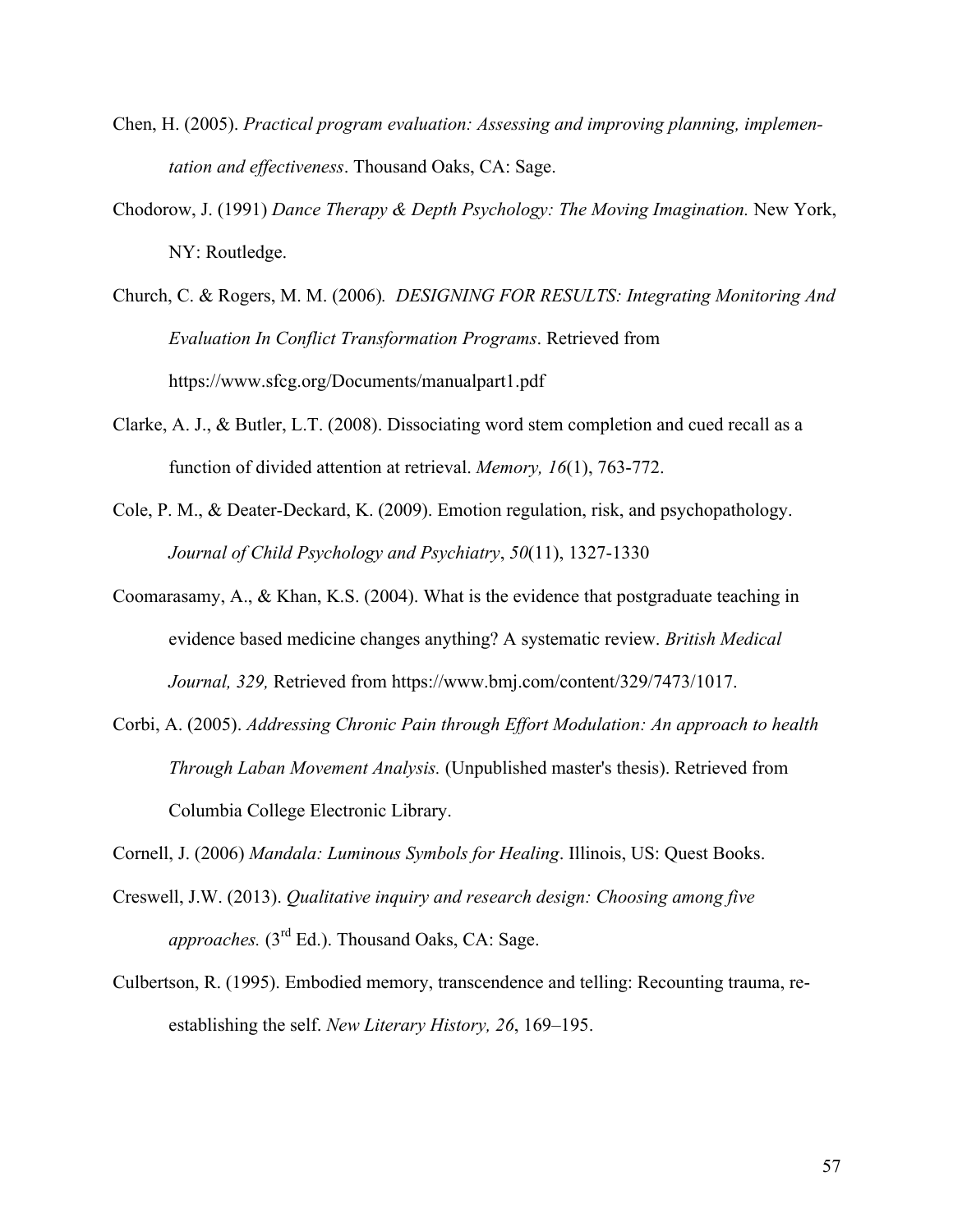- Chen, H. (2005). *Practical program evaluation: Assessing and improving planning, implementation and effectiveness*. Thousand Oaks, CA: Sage.
- Chodorow, J. (1991) *Dance Therapy & Depth Psychology: The Moving Imagination.* New York, NY: Routledge.
- Church, C. & Rogers, M. M. (2006)*. DESIGNING FOR RESULTS: Integrating Monitoring And Evaluation In Conflict Transformation Programs*. Retrieved from https://www.sfcg.org/Documents/manualpart1.pdf
- Clarke, A. J., & Butler, L.T. (2008). Dissociating word stem completion and cued recall as a function of divided attention at retrieval. *Memory, 16*(1), 763-772.
- Cole, P. M., & Deater-Deckard, K. (2009). Emotion regulation, risk, and psychopathology. *Journal of Child Psychology and Psychiatry*, *50*(11), 1327-1330
- Coomarasamy, A., & Khan, K.S. (2004). What is the evidence that postgraduate teaching in evidence based medicine changes anything? A systematic review. *British Medical Journal, 329,* Retrieved from https://www.bmj.com/content/329/7473/1017.
- Corbi, A. (2005). *Addressing Chronic Pain through Effort Modulation: An approach to health Through Laban Movement Analysis.* (Unpublished master's thesis). Retrieved from Columbia College Electronic Library.

Cornell, J. (2006) *Mandala: Luminous Symbols for Healing*. Illinois, US: Quest Books.

- Creswell, J.W. (2013). *Qualitative inquiry and research design: Choosing among five approaches.* (3<sup>rd</sup> Ed.). Thousand Oaks, CA: Sage.
- Culbertson, R. (1995). Embodied memory, transcendence and telling: Recounting trauma, reestablishing the self. *New Literary History, 26*, 169–195.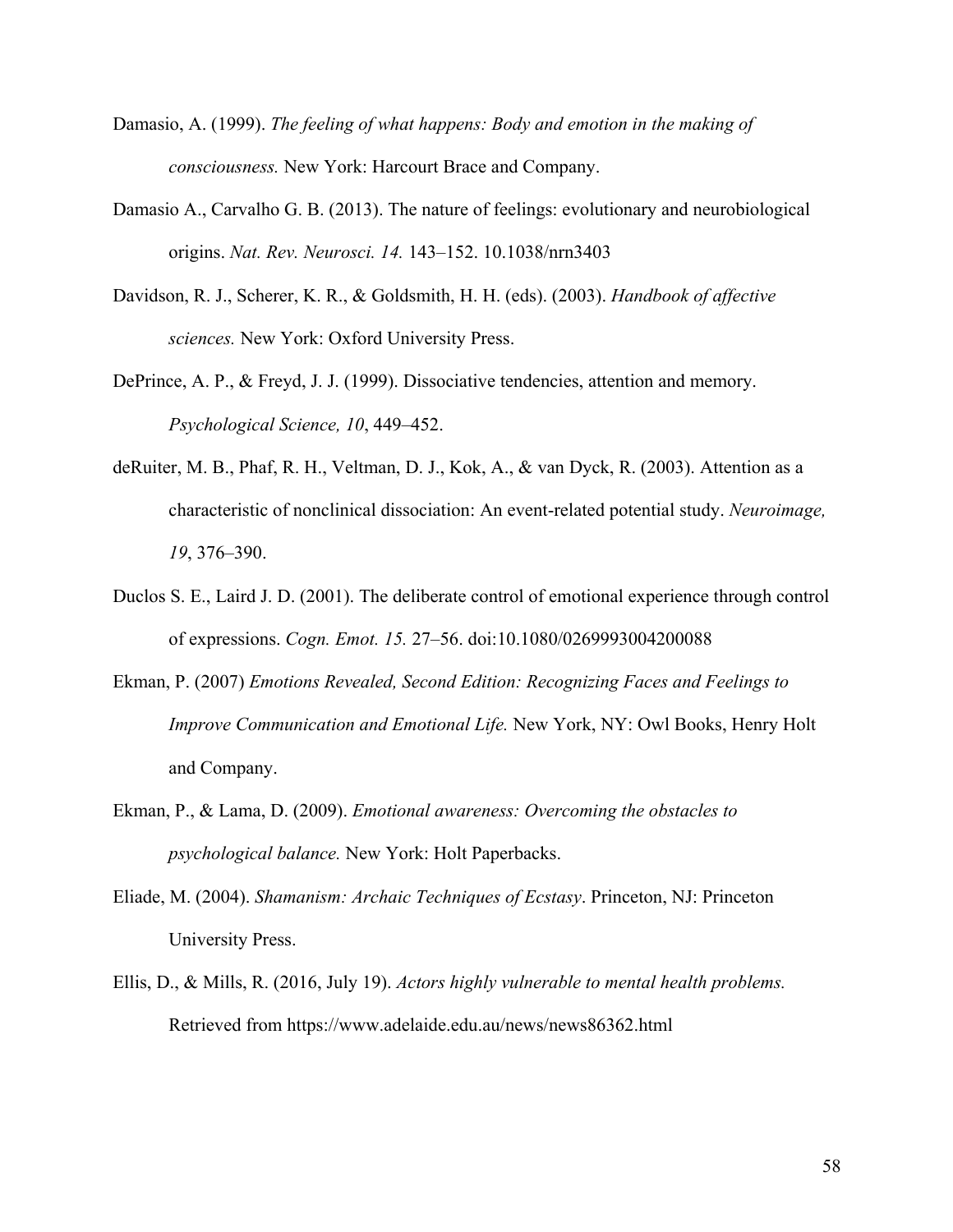- Damasio, A. (1999). *The feeling of what happens: Body and emotion in the making of consciousness.* New York: Harcourt Brace and Company.
- Damasio A., Carvalho G. B. (2013). The nature of feelings: evolutionary and neurobiological origins. *Nat. Rev. Neurosci. 14.* 143–152. 10.1038/nrn3403
- Davidson, R. J., Scherer, K. R., & Goldsmith, H. H. (eds). (2003). *Handbook of affective sciences.* New York: Oxford University Press.
- DePrince, A. P., & Freyd, J. J. (1999). Dissociative tendencies, attention and memory. *Psychological Science, 10*, 449–452.
- deRuiter, M. B., Phaf, R. H., Veltman, D. J., Kok, A., & van Dyck, R. (2003). Attention as a characteristic of nonclinical dissociation: An event-related potential study. *Neuroimage, 19*, 376–390.
- Duclos S. E., Laird J. D. (2001). The deliberate control of emotional experience through control of expressions. *Cogn. Emot. 15.* 27–56. doi:10.1080/0269993004200088
- Ekman, P. (2007) *Emotions Revealed, Second Edition: Recognizing Faces and Feelings to Improve Communication and Emotional Life.* New York, NY: Owl Books, Henry Holt and Company.
- Ekman, P., & Lama, D. (2009). *Emotional awareness: Overcoming the obstacles to psychological balance.* New York: Holt Paperbacks.
- Eliade, M. (2004). *Shamanism: Archaic Techniques of Ecstasy*. Princeton, NJ: Princeton University Press.
- Ellis, D., & Mills, R. (2016, July 19). *Actors highly vulnerable to mental health problems.* Retrieved from https://www.adelaide.edu.au/news/news86362.html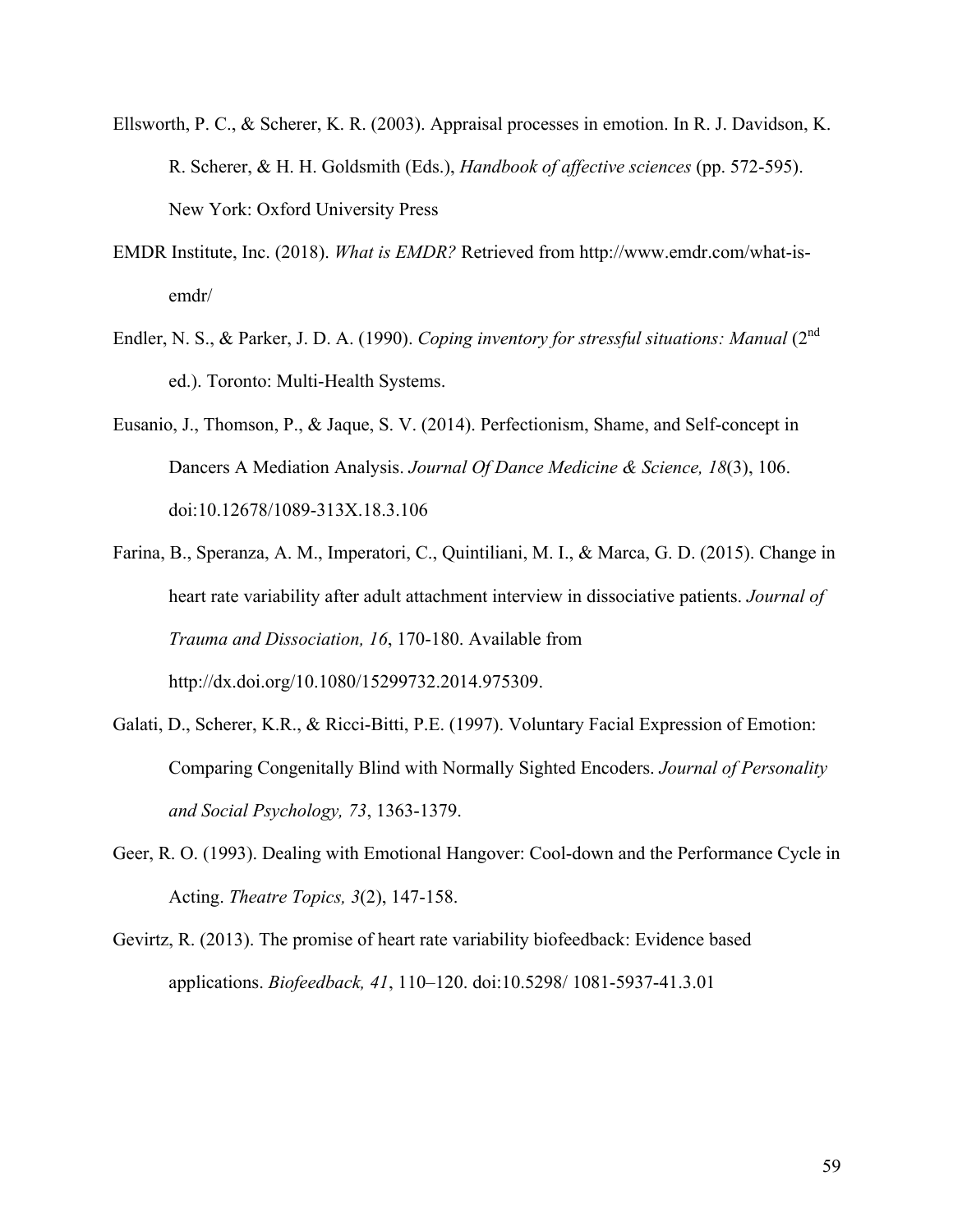- Ellsworth, P. C., & Scherer, K. R. (2003). Appraisal processes in emotion. In R. J. Davidson, K. R. Scherer, & H. H. Goldsmith (Eds.), *Handbook of affective sciences* (pp. 572-595). New York: Oxford University Press
- EMDR Institute, Inc. (2018). *What is EMDR?* Retrieved from http://www.emdr.com/what-isemdr/
- Endler, N. S., & Parker, J. D. A. (1990). *Coping inventory for stressful situations: Manual* (2<sup>nd</sup>) ed.). Toronto: Multi-Health Systems.
- Eusanio, J., Thomson, P., & Jaque, S. V. (2014). Perfectionism, Shame, and Self-concept in Dancers A Mediation Analysis. *Journal Of Dance Medicine & Science, 18*(3), 106. doi:10.12678/1089-313X.18.3.106
- Farina, B., Speranza, A. M., Imperatori, C., Quintiliani, M. I., & Marca, G. D. (2015). Change in heart rate variability after adult attachment interview in dissociative patients. *Journal of Trauma and Dissociation, 16*, 170-180. Available from http://dx.doi.org/10.1080/15299732.2014.975309.
- Galati, D., Scherer, K.R., & Ricci-Bitti, P.E. (1997). Voluntary Facial Expression of Emotion: Comparing Congenitally Blind with Normally Sighted Encoders. *Journal of Personality and Social Psychology, 73*, 1363-1379.
- Geer, R. O. (1993). Dealing with Emotional Hangover: Cool-down and the Performance Cycle in Acting. *Theatre Topics, 3*(2), 147-158.
- Gevirtz, R. (2013). The promise of heart rate variability biofeedback: Evidence based applications. *Biofeedback, 41*, 110–120. doi:10.5298/ 1081-5937-41.3.01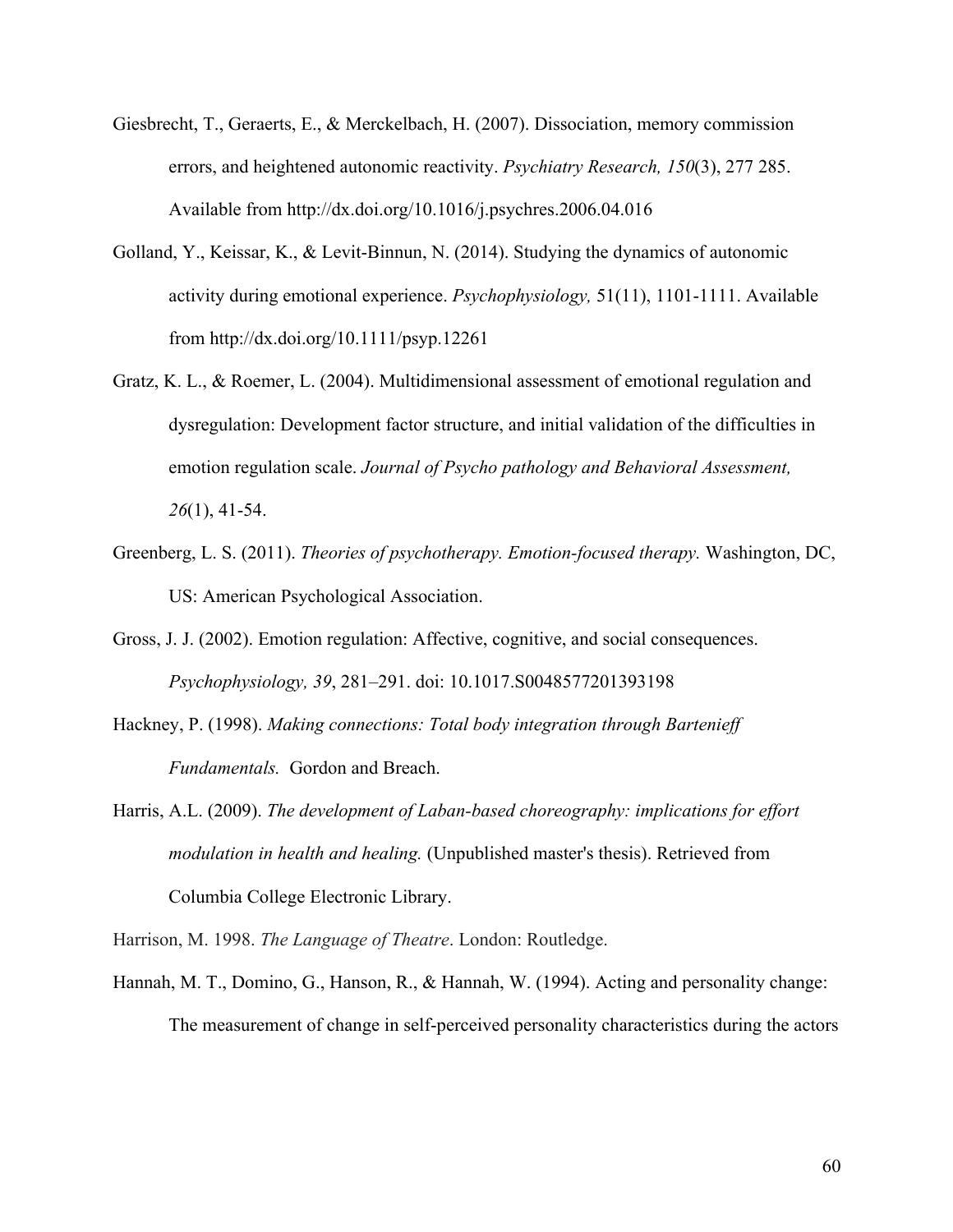- Giesbrecht, T., Geraerts, E., & Merckelbach, H. (2007). Dissociation, memory commission errors, and heightened autonomic reactivity. *Psychiatry Research, 150*(3), 277 285. Available from http://dx.doi.org/10.1016/j.psychres.2006.04.016
- Golland, Y., Keissar, K., & Levit-Binnun, N. (2014). Studying the dynamics of autonomic activity during emotional experience. *Psychophysiology,* 51(11), 1101-1111. Available from http://dx.doi.org/10.1111/psyp.12261
- Gratz, K. L., & Roemer, L. (2004). Multidimensional assessment of emotional regulation and dysregulation: Development factor structure, and initial validation of the difficulties in emotion regulation scale. *Journal of Psycho pathology and Behavioral Assessment, 26*(1), 41-54.
- Greenberg, L. S. (2011). *Theories of psychotherapy. Emotion-focused therapy.* Washington, DC, US: American Psychological Association.
- Gross, J. J. (2002). Emotion regulation: Affective, cognitive, and social consequences. *Psychophysiology, 39*, 281–291. doi: 10.1017.S0048577201393198
- Hackney, P. (1998). *Making connections: Total body integration through Bartenieff Fundamentals.* Gordon and Breach.
- Harris, A.L. (2009). *The development of Laban-based choreography: implications for effort modulation in health and healing.* (Unpublished master's thesis). Retrieved from Columbia College Electronic Library.

Harrison, M. 1998. *The Language of Theatre*. London: Routledge.

Hannah, M. T., Domino, G., Hanson, R., & Hannah, W. (1994). Acting and personality change: The measurement of change in self-perceived personality characteristics during the actors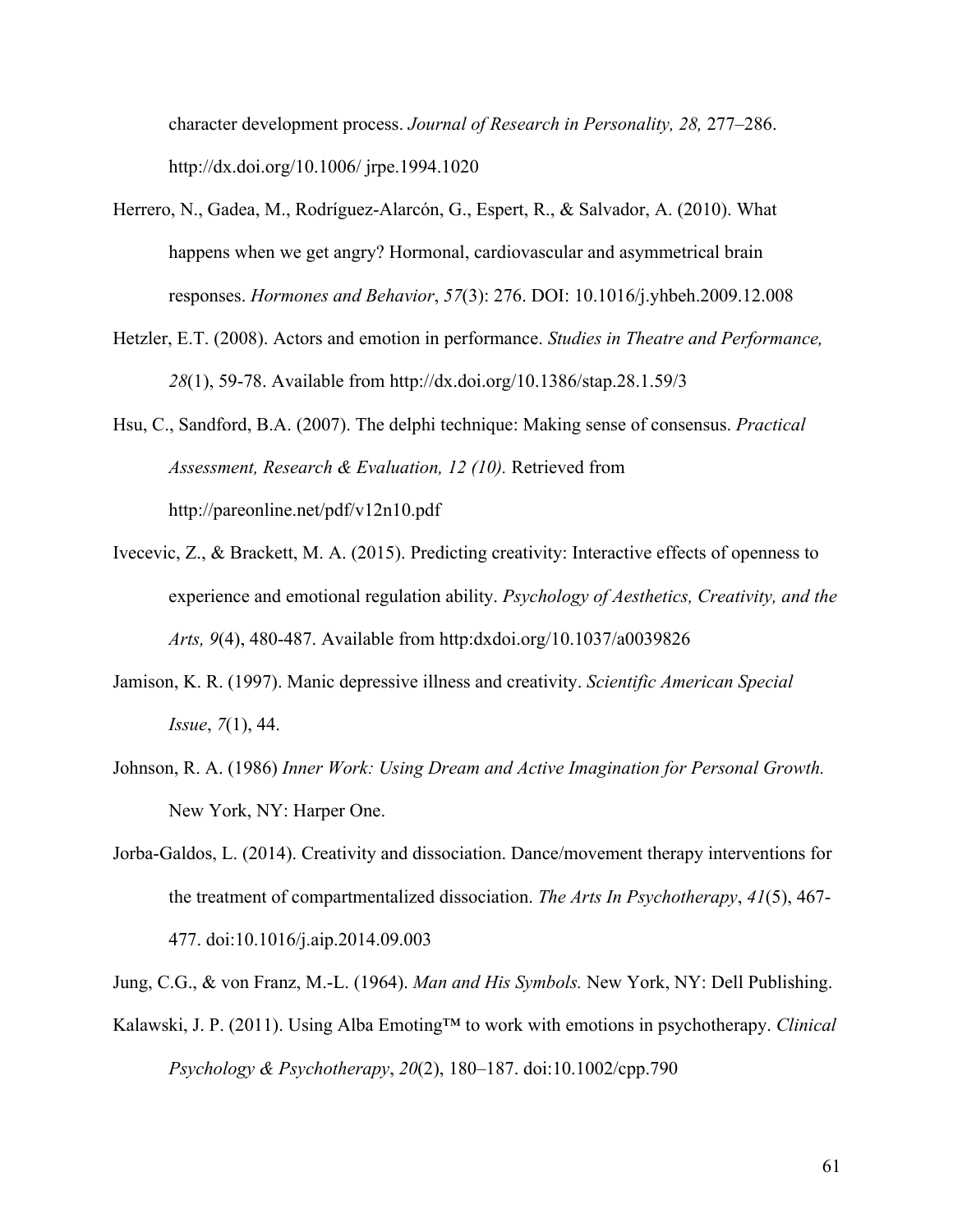character development process. *Journal of Research in Personality, 28,* 277–286. http://dx.doi.org/10.1006/ jrpe.1994.1020

- Herrero, N., Gadea, M., Rodríguez-Alarcón, G., Espert, R., & Salvador, A. (2010). What happens when we get angry? Hormonal, cardiovascular and asymmetrical brain responses. *Hormones and Behavior*, *57*(3): 276. DOI: [10.1016/j.yhbeh.2009.12.008](http://dx.doi.org/10.1016/j.yhbeh.2009.12.008)
- Hetzler, E.T. (2008). Actors and emotion in performance. *Studies in Theatre and Performance, 28*(1), 59-78. Available from http://dx.doi.org/10.1386/stap.28.1.59/3
- Hsu, C., Sandford, B.A. (2007). The delphi technique: Making sense of consensus. *Practical Assessment, Research & Evaluation, 12 (10).* Retrieved from http://pareonline.net/pdf/v12n10.pdf
- Ivecevic, Z., & Brackett, M. A. (2015). Predicting creativity: Interactive effects of openness to experience and emotional regulation ability. *Psychology of Aesthetics, Creativity, and the Arts, 9*(4), 480-487. Available from http:dxdoi.org/10.1037/a0039826
- Jamison, K. R. (1997). Manic depressive illness and creativity. *Scientific American Special Issue*, *7*(1), 44.
- Johnson, R. A. (1986) *Inner Work: Using Dream and Active Imagination for Personal Growth.*  New York, NY: Harper One.
- Jorba-Galdos, L. (2014). Creativity and dissociation. Dance/movement therapy interventions for the treatment of compartmentalized dissociation. *The Arts In Psychotherapy*, *41*(5), 467- 477. doi:10.1016/j.aip.2014.09.003
- Jung, C.G., & von Franz, M.-L. (1964). *Man and His Symbols.* New York, NY: Dell Publishing.
- Kalawski, J. P. (2011). Using Alba Emoting™ to work with emotions in psychotherapy. *Clinical Psychology & Psychotherapy*, *20*(2), 180–187. doi:10.1002/cpp.790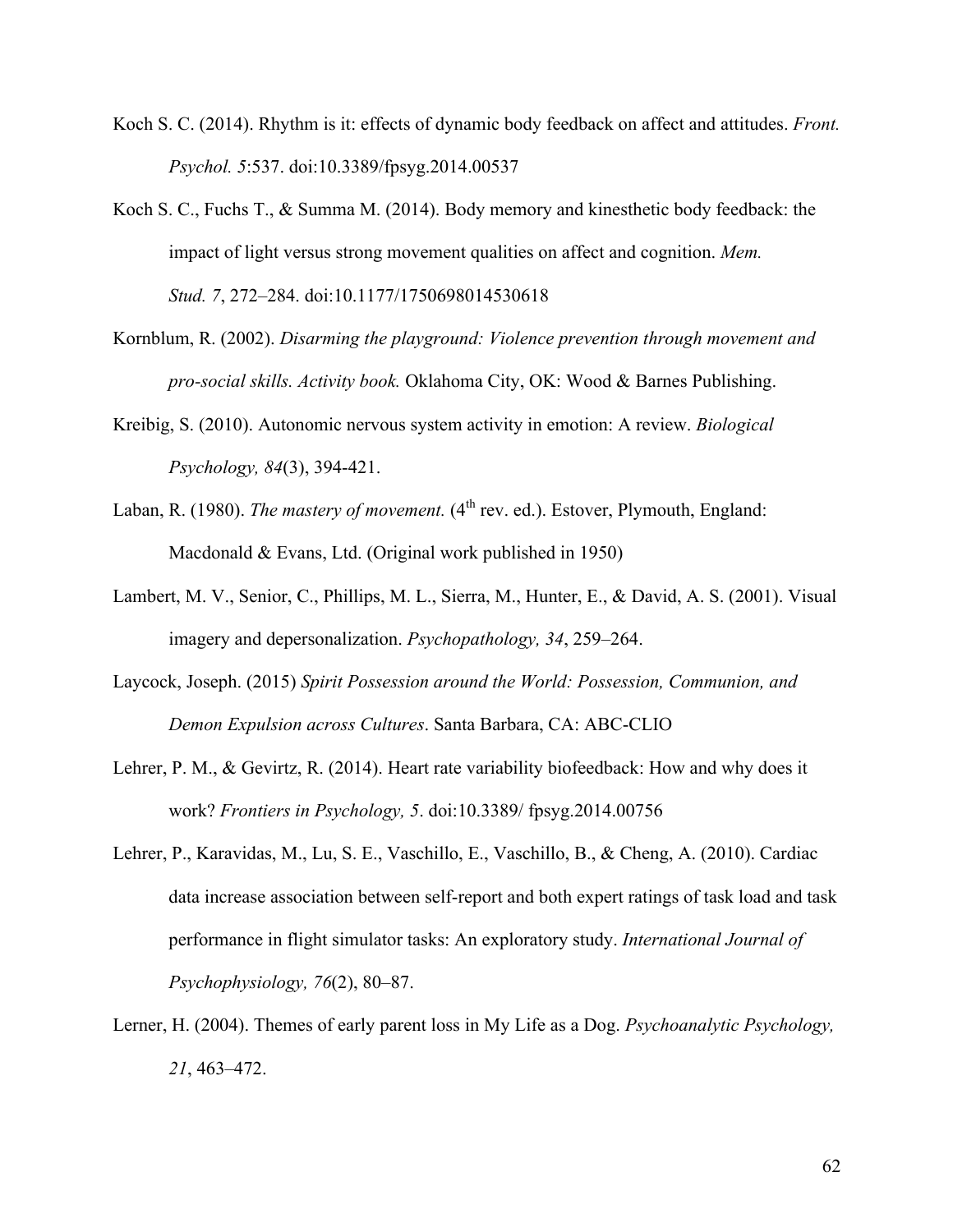- Koch S. C. (2014). Rhythm is it: effects of dynamic body feedback on affect and attitudes. *Front. Psychol. 5*:537. doi:10.3389/fpsyg.2014.00537
- Koch S. C., Fuchs T., & Summa M. (2014). Body memory and kinesthetic body feedback: the impact of light versus strong movement qualities on affect and cognition. *Mem. Stud. 7*, 272–284. doi:10.1177/1750698014530618
- Kornblum, R. (2002). *Disarming the playground: Violence prevention through movement and pro-social skills. Activity book.* Oklahoma City, OK: Wood & Barnes Publishing.
- Kreibig, S. (2010). Autonomic nervous system activity in emotion: A review. *Biological Psychology, 84*(3), 394-421.
- Laban, R. (1980). *The mastery of movement*. (4<sup>th</sup> rev. ed.). Estover, Plymouth, England: Macdonald & Evans, Ltd. (Original work published in 1950)
- Lambert, M. V., Senior, C., Phillips, M. L., Sierra, M., Hunter, E., & David, A. S. (2001). Visual imagery and depersonalization. *Psychopathology, 34*, 259–264.
- Laycock, Joseph. (2015) *Spirit Possession around the World: Possession, Communion, and Demon Expulsion across Cultures*. Santa Barbara, CA: ABC-CLIO
- Lehrer, P. M., & Gevirtz, R. (2014). Heart rate variability biofeedback: How and why does it work? *Frontiers in Psychology, 5*. doi:10.3389/ fpsyg.2014.00756
- Lehrer, P., Karavidas, M., Lu, S. E., Vaschillo, E., Vaschillo, B., & Cheng, A. (2010). Cardiac data increase association between self-report and both expert ratings of task load and task performance in flight simulator tasks: An exploratory study. *International Journal of Psychophysiology, 76*(2), 80–87.
- Lerner, H. (2004). Themes of early parent loss in My Life as a Dog. *Psychoanalytic Psychology, 21*, 463–472.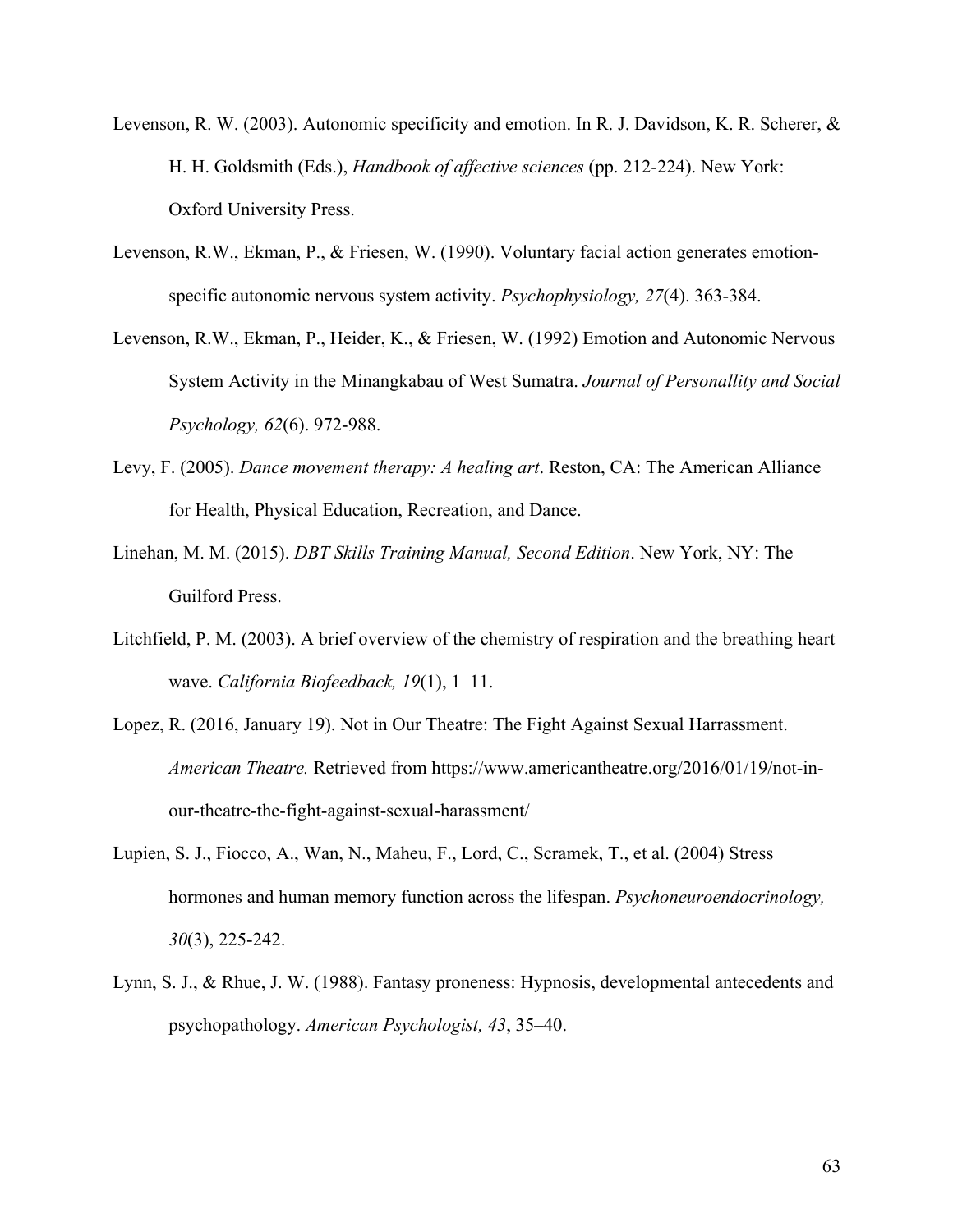- Levenson, R. W. (2003). Autonomic specificity and emotion. In R. J. Davidson, K. R. Scherer, & H. H. Goldsmith (Eds.), *Handbook of affective sciences* (pp. 212-224). New York: Oxford University Press.
- Levenson, R.W., Ekman, P., & Friesen, W. (1990). Voluntary facial action generates emotionspecific autonomic nervous system activity. *Psychophysiology, 27*(4). 363-384.
- Levenson, R.W., Ekman, P., Heider, K., & Friesen, W. (1992) Emotion and Autonomic Nervous System Activity in the Minangkabau of West Sumatra. *Journal of Personallity and Social Psychology, 62*(6). 972-988.
- Levy, F. (2005). *Dance movement therapy: A healing art*. Reston, CA: The American Alliance for Health, Physical Education, Recreation, and Dance.
- Linehan, M. M. (2015). *DBT Skills Training Manual, Second Edition*. New York, NY: The Guilford Press.
- Litchfield, P. M. (2003). A brief overview of the chemistry of respiration and the breathing heart wave. *California Biofeedback, 19*(1), 1–11.
- Lopez, R. (2016, January 19). Not in Our Theatre: The Fight Against Sexual Harrassment. *American Theatre.* Retrieved from https://www.americantheatre.org/2016/01/19/not-inour-theatre-the-fight-against-sexual-harassment/
- Lupien, S. J., Fiocco, A., Wan, N., Maheu, F., Lord, C., Scramek, T., et al. (2004) Stress hormones and human memory function across the lifespan. *Psychoneuroendocrinology, 30*(3), 225-242.
- Lynn, S. J., & Rhue, J. W. (1988). Fantasy proneness: Hypnosis, developmental antecedents and psychopathology. *American Psychologist, 43*, 35–40.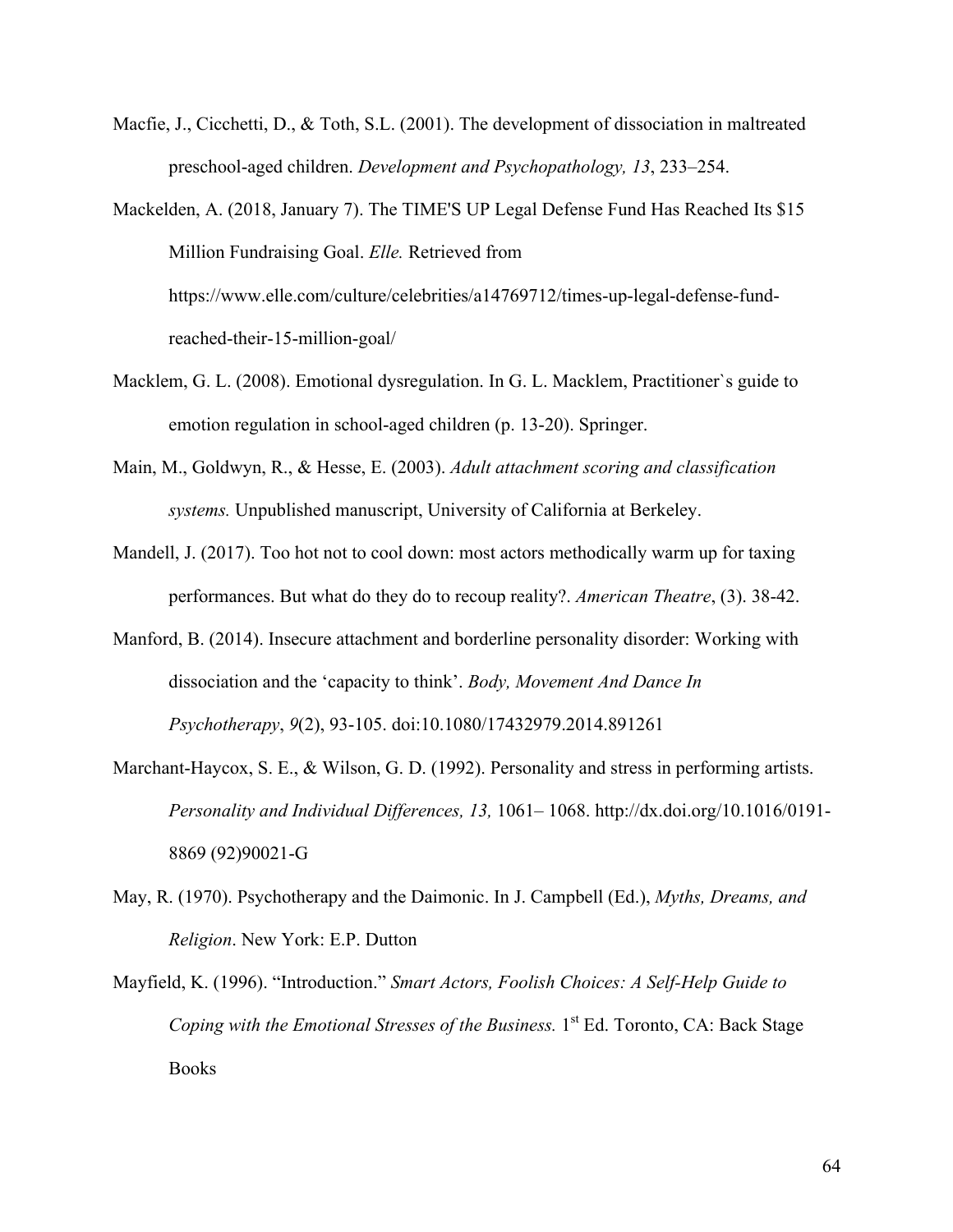- Macfie, J., Cicchetti, D., & Toth, S.L. (2001). The development of dissociation in maltreated preschool-aged children. *Development and Psychopathology, 13*, 233–254.
- Mackelden, A. (2018, January 7). The TIME'S UP Legal Defense Fund Has Reached Its \$15 Million Fundraising Goal. *Elle.* Retrieved from https://www.elle.com/culture/celebrities/a14769712/times-up-legal-defense-fundreached-their-15-million-goal/
- Macklem, G. L. (2008). Emotional dysregulation. In G. L. Macklem, Practitioner`s guide to emotion regulation in school-aged children (p. 13-20). Springer.
- Main, M., Goldwyn, R., & Hesse, E. (2003). *Adult attachment scoring and classification systems.* Unpublished manuscript, University of California at Berkeley.
- Mandell, J. (2017). Too hot not to cool down: most actors methodically warm up for taxing performances. But what do they do to recoup reality?. *American Theatre*, (3). 38-42.
- Manford, B. (2014). Insecure attachment and borderline personality disorder: Working with dissociation and the 'capacity to think'. *Body, Movement And Dance In Psychotherapy*, *9*(2), 93-105. doi:10.1080/17432979.2014.891261
- Marchant-Haycox, S. E., & Wilson, G. D. (1992). Personality and stress in performing artists. *Personality and Individual Differences, 13,* 1061– 1068. http://dx.doi.org/10.1016/0191- 8869 (92)90021-G
- May, R. (1970). Psychotherapy and the Daimonic. In J. Campbell (Ed.), *Myths, Dreams, and Religion*. New York: E.P. Dutton
- Mayfield, K. (1996). "Introduction." *Smart Actors, Foolish Choices: A Self-Help Guide to Coping with the Emotional Stresses of the Business.* 1<sup>st</sup> Ed. Toronto, CA: Back Stage Books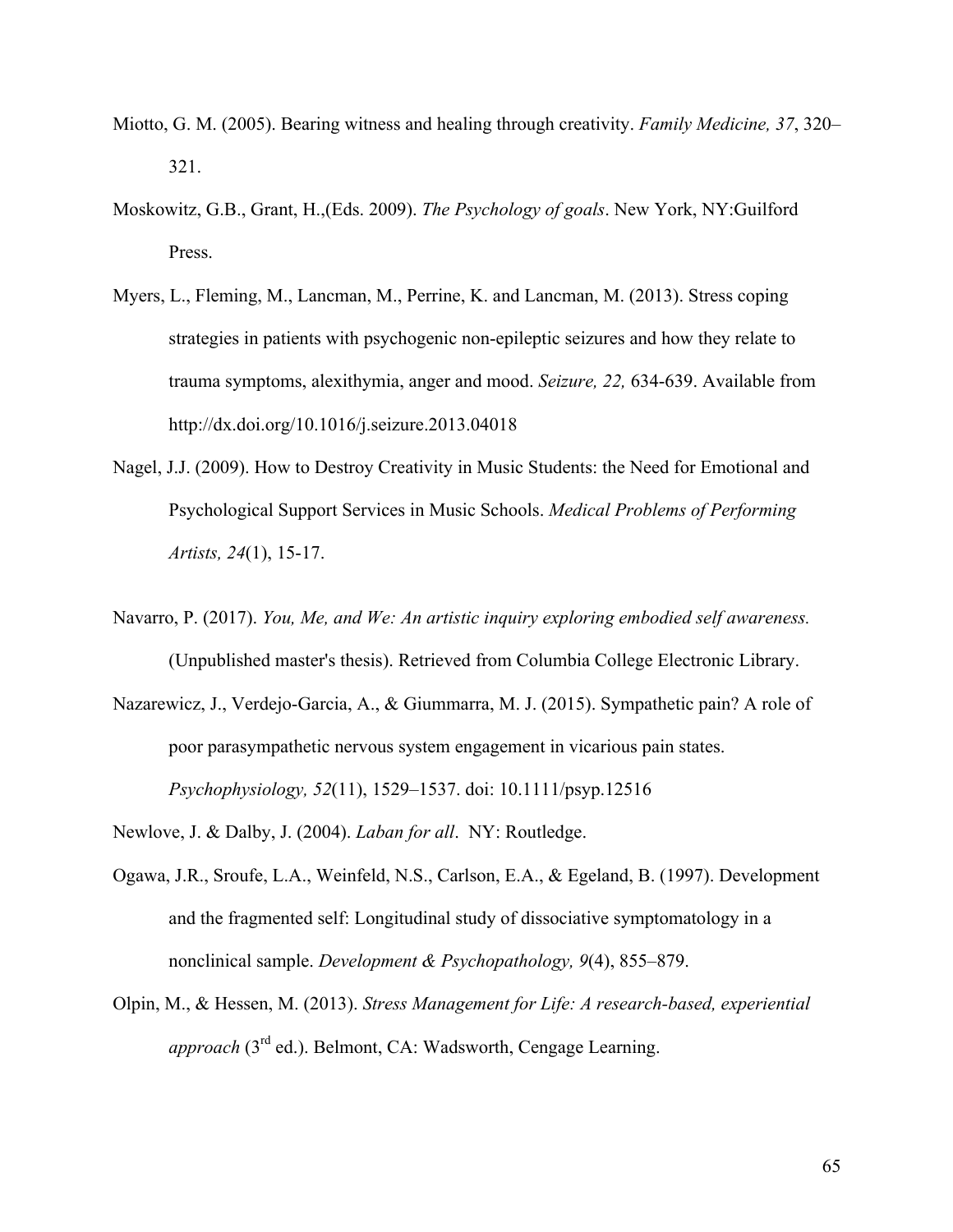- Miotto, G. M. (2005). Bearing witness and healing through creativity. *Family Medicine, 37*, 320– 321.
- Moskowitz, G.B., Grant, H.,(Eds. 2009). *The Psychology of goals*. New York, NY:Guilford Press.
- Myers, L., Fleming, M., Lancman, M., Perrine, K. and Lancman, M. (2013). Stress coping strategies in patients with psychogenic non-epileptic seizures and how they relate to trauma symptoms, alexithymia, anger and mood. *Seizure, 22,* 634-639. Available from http://dx.doi.org/10.1016/j.seizure.2013.04018
- Nagel, J.J. (2009). How to Destroy Creativity in Music Students: the Need for Emotional and Psychological Support Services in Music Schools. *Medical Problems of Performing Artists, 24*(1), 15-17.
- Navarro, P. (2017). *You, Me, and We: An artistic inquiry exploring embodied self awareness.* (Unpublished master's thesis). Retrieved from Columbia College Electronic Library.
- Nazarewicz, J., Verdejo-Garcia, A., & Giummarra, M. J. (2015). Sympathetic pain? A role of poor parasympathetic nervous system engagement in vicarious pain states. *Psychophysiology, 52*(11), 1529–1537. doi: 10.1111/psyp.12516
- Newlove, J. & Dalby, J. (2004). *Laban for all*. NY: Routledge.
- Ogawa, J.R., Sroufe, L.A., Weinfeld, N.S., Carlson, E.A., & Egeland, B. (1997). Development and the fragmented self: Longitudinal study of dissociative symptomatology in a nonclinical sample. *Development & Psychopathology, 9*(4), 855–879.
- Olpin, M., & Hessen, M. (2013). *Stress Management for Life: A research-based, experiential approach* (3<sup>rd</sup> ed.). Belmont, CA: Wadsworth, Cengage Learning.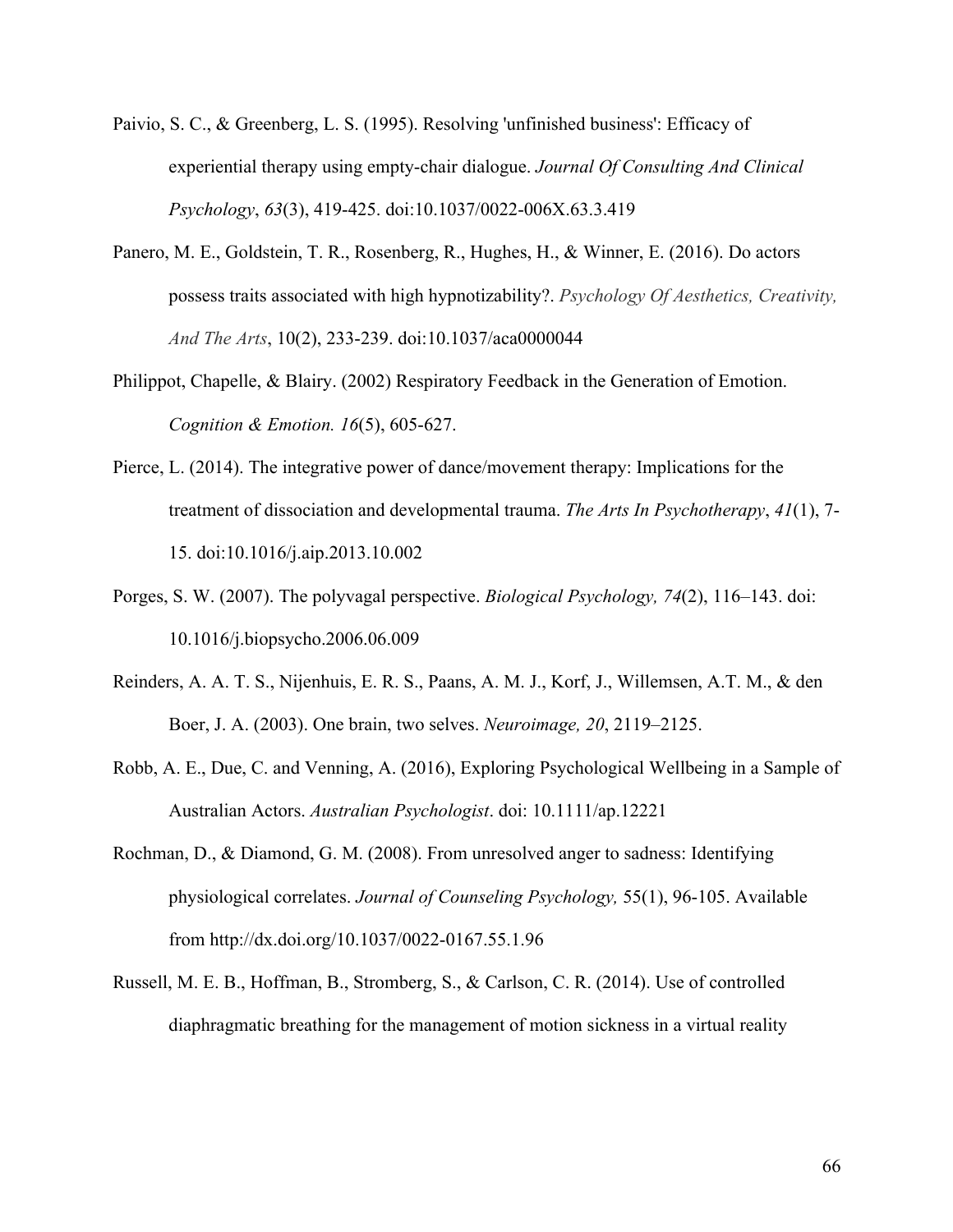- Paivio, S. C., & Greenberg, L. S. (1995). Resolving 'unfinished business': Efficacy of experiential therapy using empty-chair dialogue. *Journal Of Consulting And Clinical Psychology*, *63*(3), 419-425. doi:10.1037/0022-006X.63.3.419
- Panero, M. E., Goldstein, T. R., Rosenberg, R., Hughes, H., & Winner, E. (2016). Do actors possess traits associated with high hypnotizability?. *Psychology Of Aesthetics, Creativity, And The Arts*, 10(2), 233-239. doi:10.1037/aca0000044
- Philippot, Chapelle, & Blairy. (2002) Respiratory Feedback in the Generation of Emotion. *Cognition & Emotion. 16*(5), 605-627.
- Pierce, L. (2014). The integrative power of dance/movement therapy: Implications for the treatment of dissociation and developmental trauma. *The Arts In Psychotherapy*, *41*(1), 7- 15. doi:10.1016/j.aip.2013.10.002
- Porges, S. W. (2007). The polyvagal perspective. *Biological Psychology, 74*(2), 116–143. doi: 10.1016/j.biopsycho.2006.06.009
- Reinders, A. A. T. S., Nijenhuis, E. R. S., Paans, A. M. J., Korf, J., Willemsen, A.T. M., & den Boer, J. A. (2003). One brain, two selves. *Neuroimage, 20*, 2119–2125.
- Robb, A. E., Due, C. and Venning, A. (2016), Exploring Psychological Wellbeing in a Sample of Australian Actors. *Australian Psychologist*. doi: 10.1111/ap.12221
- Rochman, D., & Diamond, G. M. (2008). From unresolved anger to sadness: Identifying physiological correlates. *Journal of Counseling Psychology,* 55(1), 96-105. Available from http://dx.doi.org/10.1037/0022-0167.55.1.96
- Russell, M. E. B., Hoffman, B., Stromberg, S., & Carlson, C. R. (2014). Use of controlled diaphragmatic breathing for the management of motion sickness in a virtual reality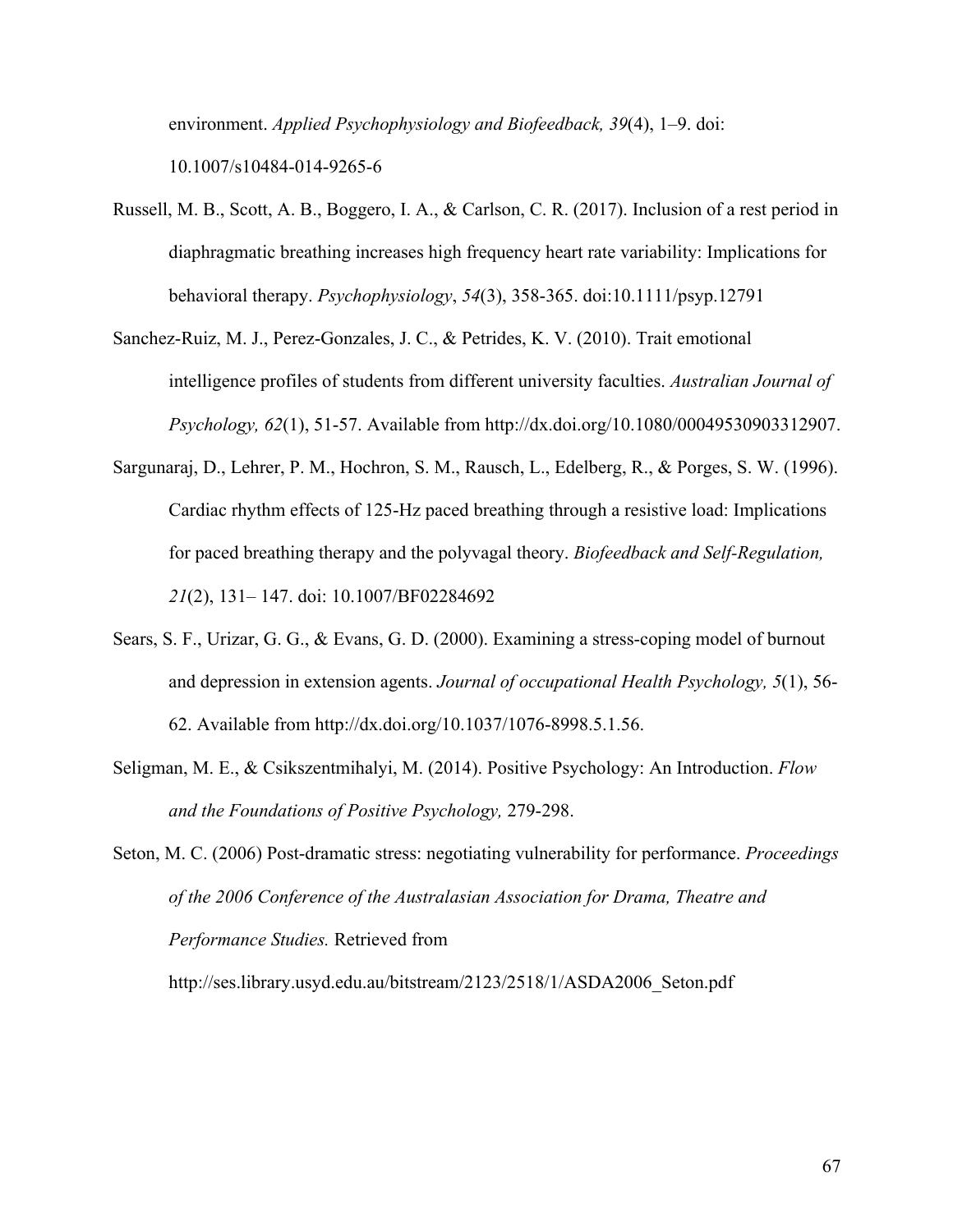environment. *Applied Psychophysiology and Biofeedback, 39*(4), 1–9. doi: 10.1007/s10484-014-9265-6

- Russell, M. B., Scott, A. B., Boggero, I. A., & Carlson, C. R. (2017). Inclusion of a rest period in diaphragmatic breathing increases high frequency heart rate variability: Implications for behavioral therapy. *Psychophysiology*, *54*(3), 358-365. doi:10.1111/psyp.12791
- Sanchez-Ruiz, M. J., Perez-Gonzales, J. C., & Petrides, K. V. (2010). Trait emotional intelligence profiles of students from different university faculties. *Australian Journal of Psychology, 62*(1), 51-57. Available from http://dx.doi.org/10.1080/00049530903312907.
- Sargunaraj, D., Lehrer, P. M., Hochron, S. M., Rausch, L., Edelberg, R., & Porges, S. W. (1996). Cardiac rhythm effects of 125-Hz paced breathing through a resistive load: Implications for paced breathing therapy and the polyvagal theory. *Biofeedback and Self-Regulation, 21*(2), 131– 147. doi: 10.1007/BF02284692
- Sears, S. F., Urizar, G. G., & Evans, G. D. (2000). Examining a stress-coping model of burnout and depression in extension agents. *Journal of occupational Health Psychology, 5*(1), 56- 62. Available from http://dx.doi.org/10.1037/1076-8998.5.1.56.
- Seligman, M. E., & Csikszentmihalyi, M. (2014). Positive Psychology: An Introduction. *Flow and the Foundations of Positive Psychology,* 279-298.

Seton, M. C. (2006) Post-dramatic stress: negotiating vulnerability for performance. *Proceedings of the 2006 Conference of the Australasian Association for Drama, Theatre and Performance Studies.* Retrieved from

http://ses.library.usyd.edu.au/bitstream/2123/2518/1/ASDA2006\_Seton.pdf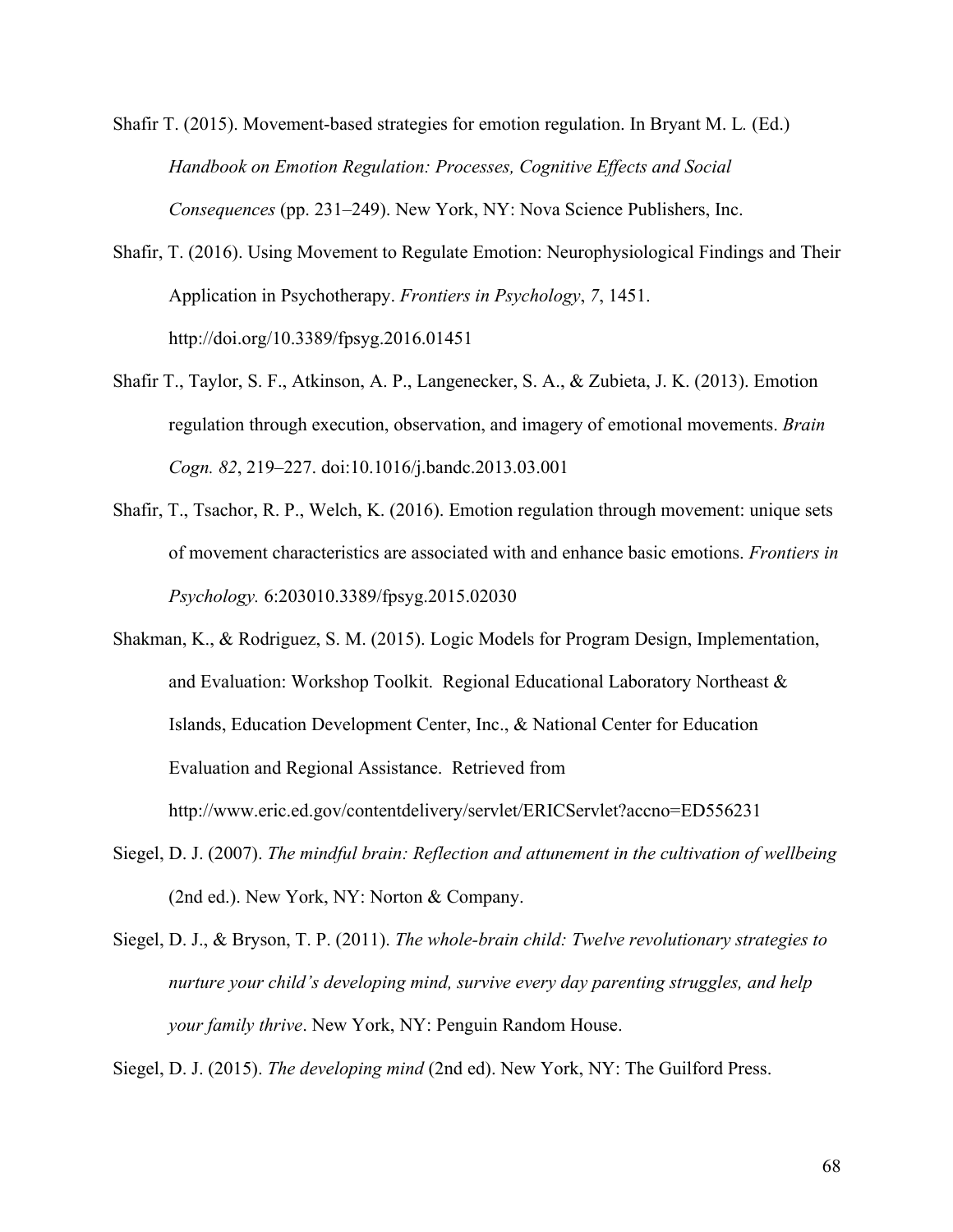Shafir T. (2015). Movement-based strategies for emotion regulation. In Bryant M. L*.* (Ed.) *Handbook on Emotion Regulation: Processes, Cognitive Effects and Social Consequences* (pp. 231–249). New York, NY: Nova Science Publishers, Inc.

- Shafir, T. (2016). Using Movement to Regulate Emotion: Neurophysiological Findings and Their Application in Psychotherapy. *Frontiers in Psychology*, *7*, 1451. http://doi.org/10.3389/fpsyg.2016.01451
- Shafir T., Taylor, S. F., Atkinson, A. P., Langenecker, S. A., & Zubieta, J. K. (2013). Emotion regulation through execution, observation, and imagery of emotional movements. *Brain Cogn. 82*, 219–227. doi:10.1016/j.bandc.2013.03.001
- Shafir, T., Tsachor, R. P., Welch, K. (2016). Emotion regulation through movement: unique sets of movement characteristics are associated with and enhance basic emotions. *Frontiers in Psychology.* 6:203010.3389/fpsyg.2015.02030
- Shakman, K., & Rodriguez, S. M. (2015). Logic Models for Program Design, Implementation, and Evaluation: Workshop Toolkit. Regional Educational Laboratory Northeast & Islands, Education Development Center, Inc., & National Center for Education Evaluation and Regional Assistance. Retrieved from http://www.eric.ed.gov/contentdelivery/servlet/ERICServlet?accno=ED556231
- Siegel, D. J. (2007). *The mindful brain: Reflection and attunement in the cultivation of wellbeing*  (2nd ed.). New York, NY: Norton & Company.
- Siegel, D. J., & Bryson, T. P. (2011). *The whole-brain child: Twelve revolutionary strategies to nurture your child's developing mind, survive every day parenting struggles, and help your family thrive*. New York, NY: Penguin Random House.

Siegel, D. J. (2015). *The developing mind* (2nd ed). New York, NY: The Guilford Press.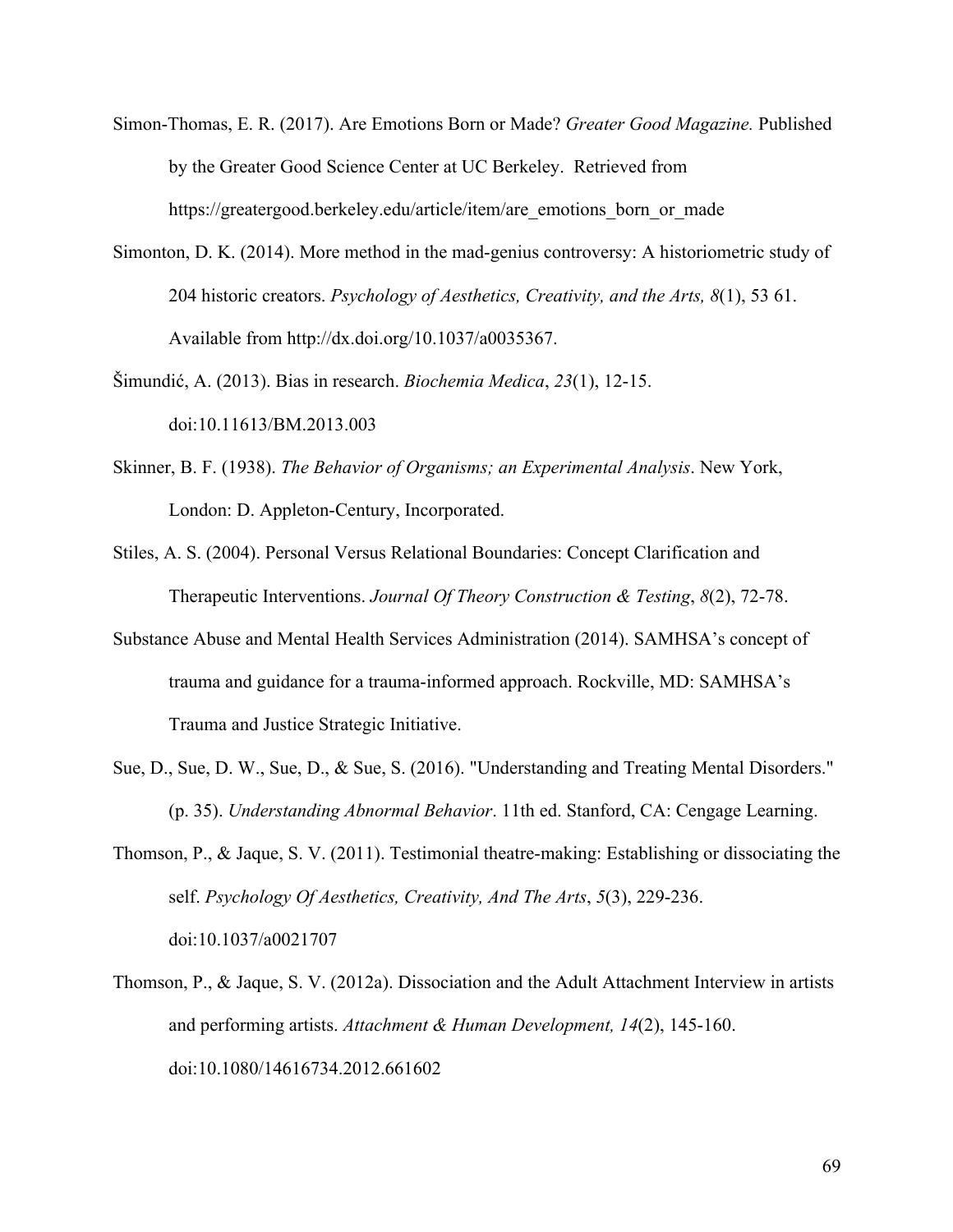- Simon-Thomas, E. R. (2017). Are Emotions Born or Made? *Greater Good Magazine.* Published by the Greater Good Science Center at UC Berkeley. Retrieved from https://greatergood.berkeley.edu/article/item/are\_emotions\_born\_or\_made
- Simonton, D. K. (2014). More method in the mad-genius controversy: A historiometric study of 204 historic creators. *Psychology of Aesthetics, Creativity, and the Arts, 8*(1), 53 61. Available from http://dx.doi.org/10.1037/a0035367.
- Šimundić, A. (2013). Bias in research. *Biochemia Medica*, *23*(1), 12-15. doi:10.11613/BM.2013.003
- Skinner, B. F. (1938). *The Behavior of Organisms; an Experimental Analysis*. New York, London: D. Appleton-Century, Incorporated.
- Stiles, A. S. (2004). Personal Versus Relational Boundaries: Concept Clarification and Therapeutic Interventions. *Journal Of Theory Construction & Testing*, *8*(2), 72-78.
- Substance Abuse and Mental Health Services Administration (2014). SAMHSA's concept of trauma and guidance for a trauma-informed approach. Rockville, MD: SAMHSA's Trauma and Justice Strategic Initiative.
- Sue, D., Sue, D. W., Sue, D., & Sue, S. (2016). "Understanding and Treating Mental Disorders." (p. 35). *Understanding Abnormal Behavior*. 11th ed. Stanford, CA: Cengage Learning.
- Thomson, P., & Jaque, S. V. (2011). Testimonial theatre-making: Establishing or dissociating the self. *Psychology Of Aesthetics, Creativity, And The Arts*, *5*(3), 229-236. doi:10.1037/a0021707
- Thomson, P., & Jaque, S. V. (2012a). Dissociation and the Adult Attachment Interview in artists and performing artists. *Attachment & Human Development, 14*(2), 145-160. doi:10.1080/14616734.2012.661602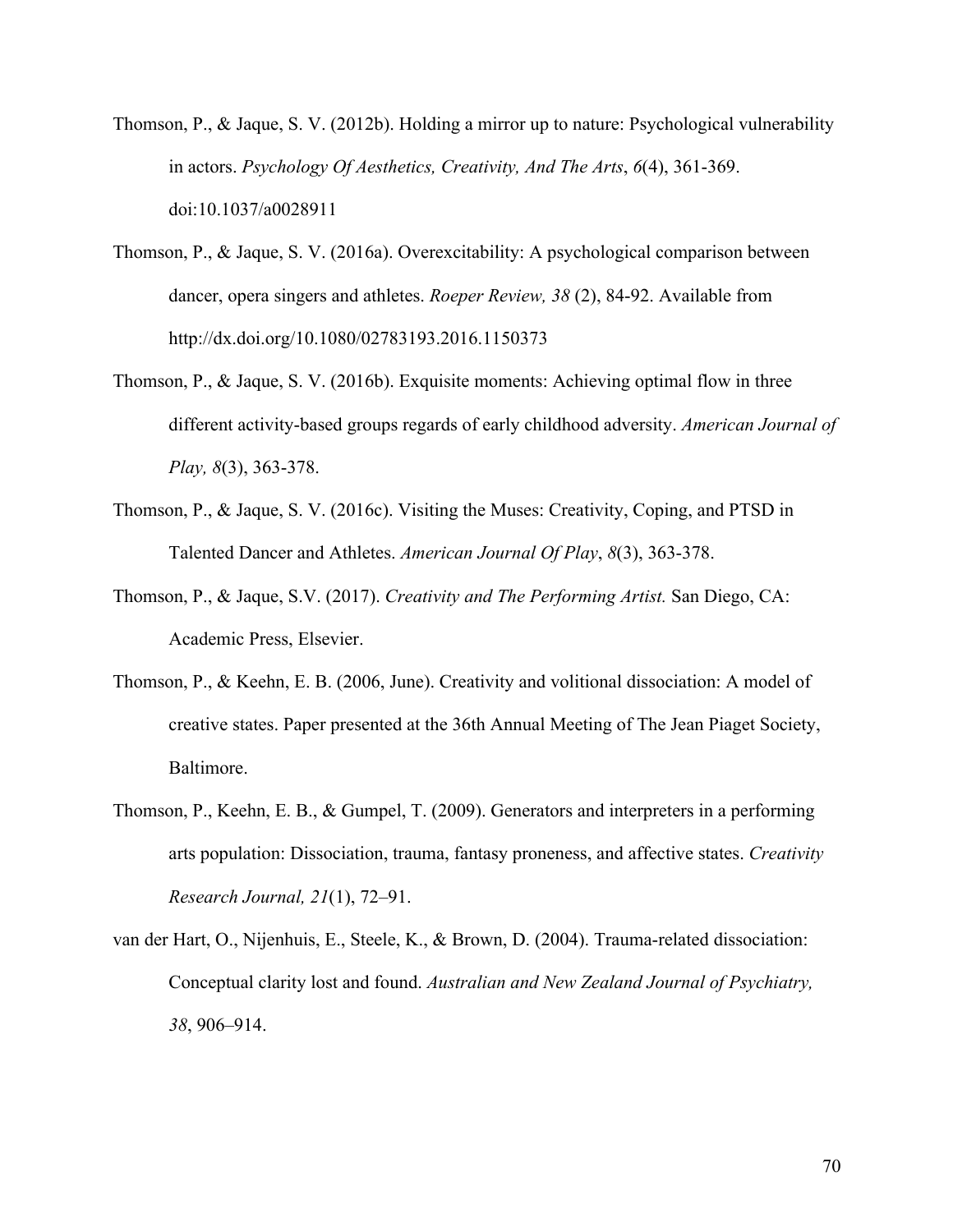- Thomson, P., & Jaque, S. V. (2012b). Holding a mirror up to nature: Psychological vulnerability in actors. *Psychology Of Aesthetics, Creativity, And The Arts*, *6*(4), 361-369. doi:10.1037/a0028911
- Thomson, P., & Jaque, S. V. (2016a). Overexcitability: A psychological comparison between dancer, opera singers and athletes. *Roeper Review, 38* (2), 84-92. Available from http://dx.doi.org/10.1080/02783193.2016.1150373
- Thomson, P., & Jaque, S. V. (2016b). Exquisite moments: Achieving optimal flow in three different activity-based groups regards of early childhood adversity. *American Journal of Play, 8*(3), 363-378.
- Thomson, P., & Jaque, S. V. (2016c). Visiting the Muses: Creativity, Coping, and PTSD in Talented Dancer and Athletes. *American Journal Of Play*, *8*(3), 363-378.
- Thomson, P., & Jaque, S.V. (2017). *Creativity and The Performing Artist.* San Diego, CA: Academic Press, Elsevier.
- Thomson, P., & Keehn, E. B. (2006, June). Creativity and volitional dissociation: A model of creative states. Paper presented at the 36th Annual Meeting of The Jean Piaget Society, Baltimore.
- Thomson, P., Keehn, E. B., & Gumpel, T. (2009). Generators and interpreters in a performing arts population: Dissociation, trauma, fantasy proneness, and affective states. *Creativity Research Journal, 21*(1), 72–91.
- van der Hart, O., Nijenhuis, E., Steele, K., & Brown, D. (2004). Trauma-related dissociation: Conceptual clarity lost and found. *Australian and New Zealand Journal of Psychiatry, 38*, 906–914.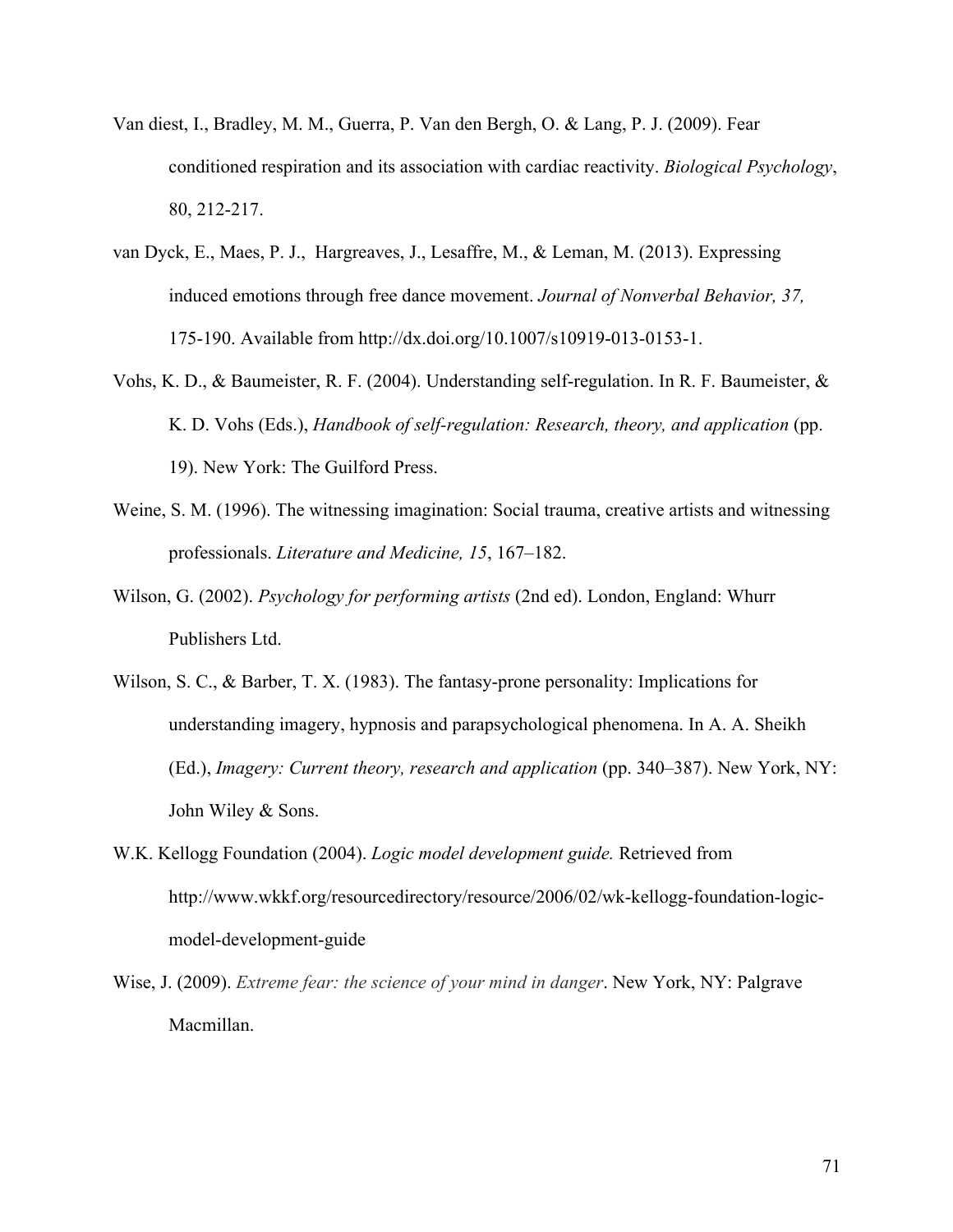- Van diest, I., Bradley, M. M., Guerra, P. Van den Bergh, O. & Lang, P. J. (2009). Fear conditioned respiration and its association with cardiac reactivity. *Biological Psychology*, 80, 212-217.
- van Dyck, E., Maes, P. J., Hargreaves, J., Lesaffre, M., & Leman, M. (2013). Expressing induced emotions through free dance movement. *Journal of Nonverbal Behavior, 37,*  175-190. Available from http://dx.doi.org/10.1007/s10919-013-0153-1.
- Vohs, K. D., & Baumeister, R. F. (2004). Understanding self-regulation. In R. F. Baumeister, & K. D. Vohs (Eds.), *Handbook of self-regulation: Research, theory, and application* (pp. 19). New York: The Guilford Press.
- Weine, S. M. (1996). The witnessing imagination: Social trauma, creative artists and witnessing professionals. *Literature and Medicine, 15*, 167–182.
- Wilson, G. (2002). *Psychology for performing artists* (2nd ed). London, England: Whurr Publishers Ltd.
- Wilson, S. C., & Barber, T. X. (1983). The fantasy-prone personality: Implications for understanding imagery, hypnosis and parapsychological phenomena. In A. A. Sheikh (Ed.), *Imagery: Current theory, research and application* (pp. 340–387). New York, NY: John Wiley & Sons.
- W.K. Kellogg Foundation (2004). *Logic model development guide.* Retrieved from http://www.wkkf.org/resourcedirectory/resource/2006/02/wk-kellogg-foundation-logicmodel-development-guide
- Wise, J. (2009). *Extreme fear: the science of your mind in danger*. New York, NY: Palgrave Macmillan.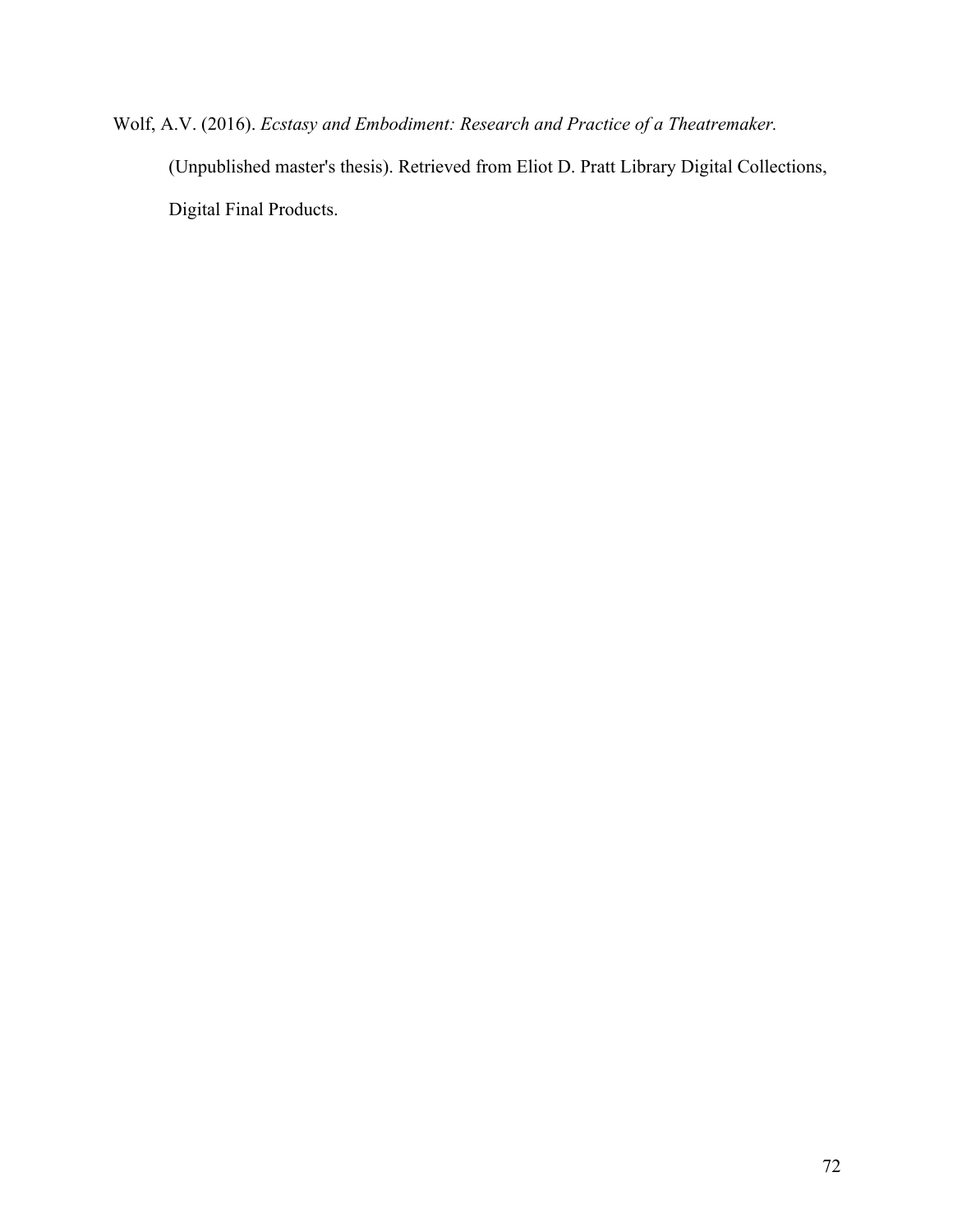Wolf, A.V. (2016). *Ecstasy and Embodiment: Research and Practice of a Theatremaker.*  (Unpublished master's thesis). Retrieved from Eliot D. Pratt Library Digital Collections, Digital Final Products.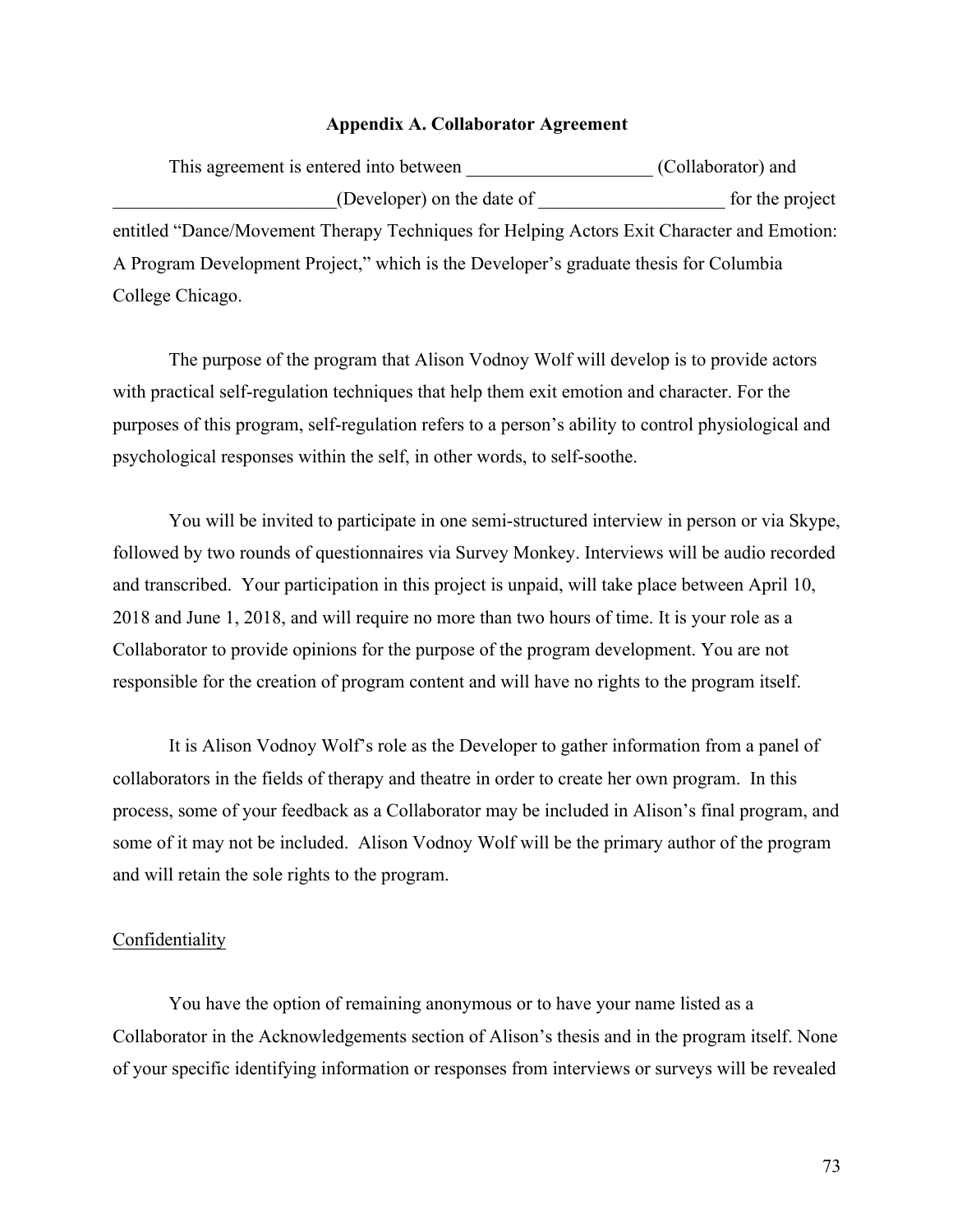## **Appendix A. Collaborator Agreement**

| This agreement is entered into between                                                     | (Collaborator) and |
|--------------------------------------------------------------------------------------------|--------------------|
| (Developer) on the date of                                                                 | for the project    |
| entitled "Dance/Movement Therapy Techniques for Helping Actors Exit Character and Emotion: |                    |
| A Program Development Project," which is the Developer's graduate thesis for Columbia      |                    |
| College Chicago.                                                                           |                    |

The purpose of the program that Alison Vodnoy Wolf will develop is to provide actors with practical self-regulation techniques that help them exit emotion and character. For the purposes of this program, self-regulation refers to a person's ability to control physiological and psychological responses within the self, in other words, to self-soothe.

You will be invited to participate in one semi-structured interview in person or via Skype, followed by two rounds of questionnaires via Survey Monkey. Interviews will be audio recorded and transcribed. Your participation in this project is unpaid, will take place between April 10, 2018 and June 1, 2018, and will require no more than two hours of time. It is your role as a Collaborator to provide opinions for the purpose of the program development. You are not responsible for the creation of program content and will have no rights to the program itself.

It is Alison Vodnoy Wolf's role as the Developer to gather information from a panel of collaborators in the fields of therapy and theatre in order to create her own program. In this process, some of your feedback as a Collaborator may be included in Alison's final program, and some of it may not be included. Alison Vodnoy Wolf will be the primary author of the program and will retain the sole rights to the program.

## **Confidentiality**

You have the option of remaining anonymous or to have your name listed as a Collaborator in the Acknowledgements section of Alison's thesis and in the program itself. None of your specific identifying information or responses from interviews or surveys will be revealed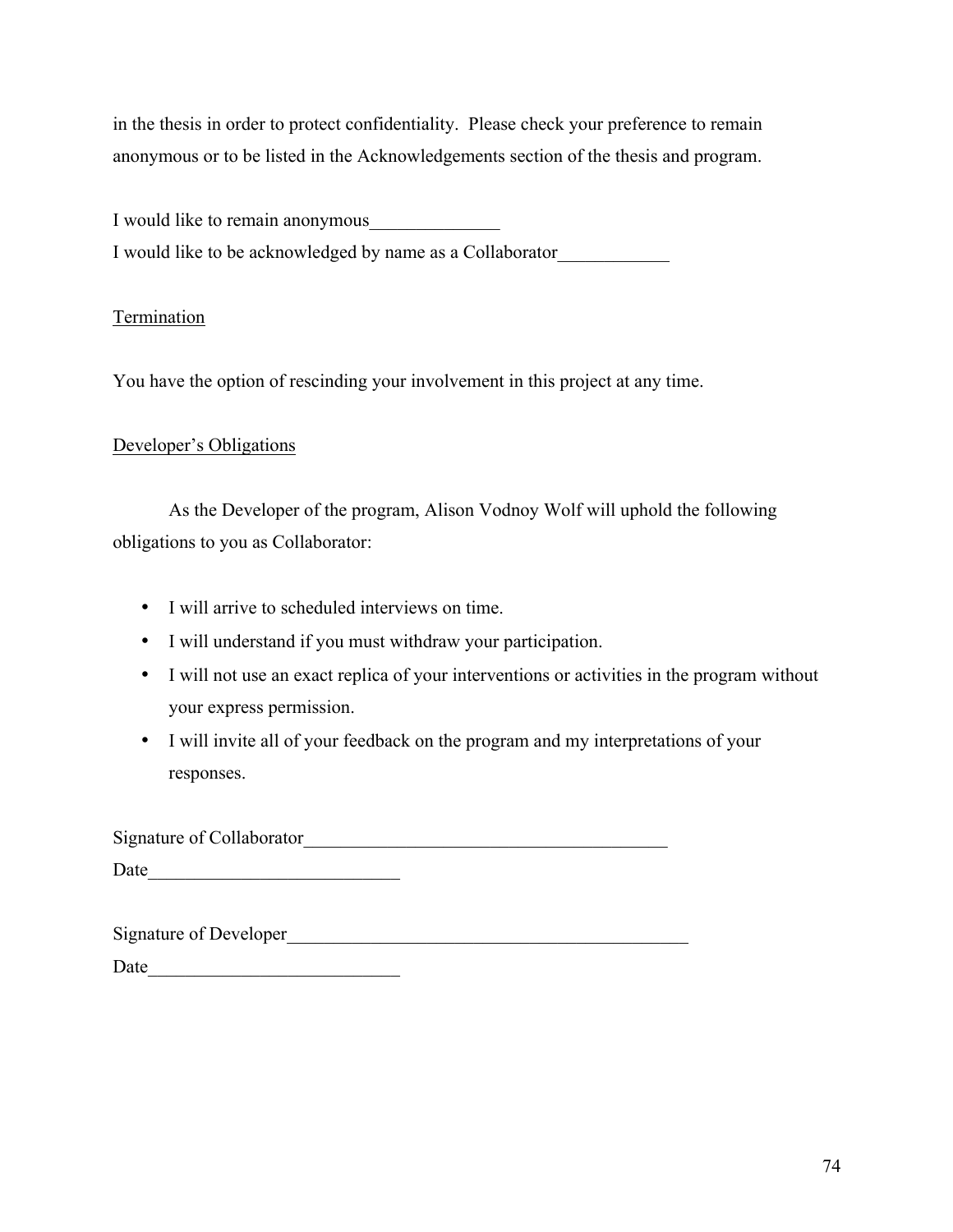in the thesis in order to protect confidentiality. Please check your preference to remain anonymous or to be listed in the Acknowledgements section of the thesis and program.

I would like to remain anonymous I would like to be acknowledged by name as a Collaborator\_\_\_\_\_\_\_\_\_\_\_\_

# Termination

You have the option of rescinding your involvement in this project at any time.

## Developer's Obligations

As the Developer of the program, Alison Vodnoy Wolf will uphold the following obligations to you as Collaborator:

- I will arrive to scheduled interviews on time.
- I will understand if you must withdraw your participation.
- I will not use an exact replica of your interventions or activities in the program without your express permission.
- I will invite all of your feedback on the program and my interpretations of your responses.

Signature of Collaborator

Date\_\_\_\_\_\_\_\_\_\_\_\_\_\_\_\_\_\_\_\_\_\_\_\_\_\_\_

| <b>Signature of Developer</b> |
|-------------------------------|
|-------------------------------|

Date\_\_\_\_\_\_\_\_\_\_\_\_\_\_\_\_\_\_\_\_\_\_\_\_\_\_\_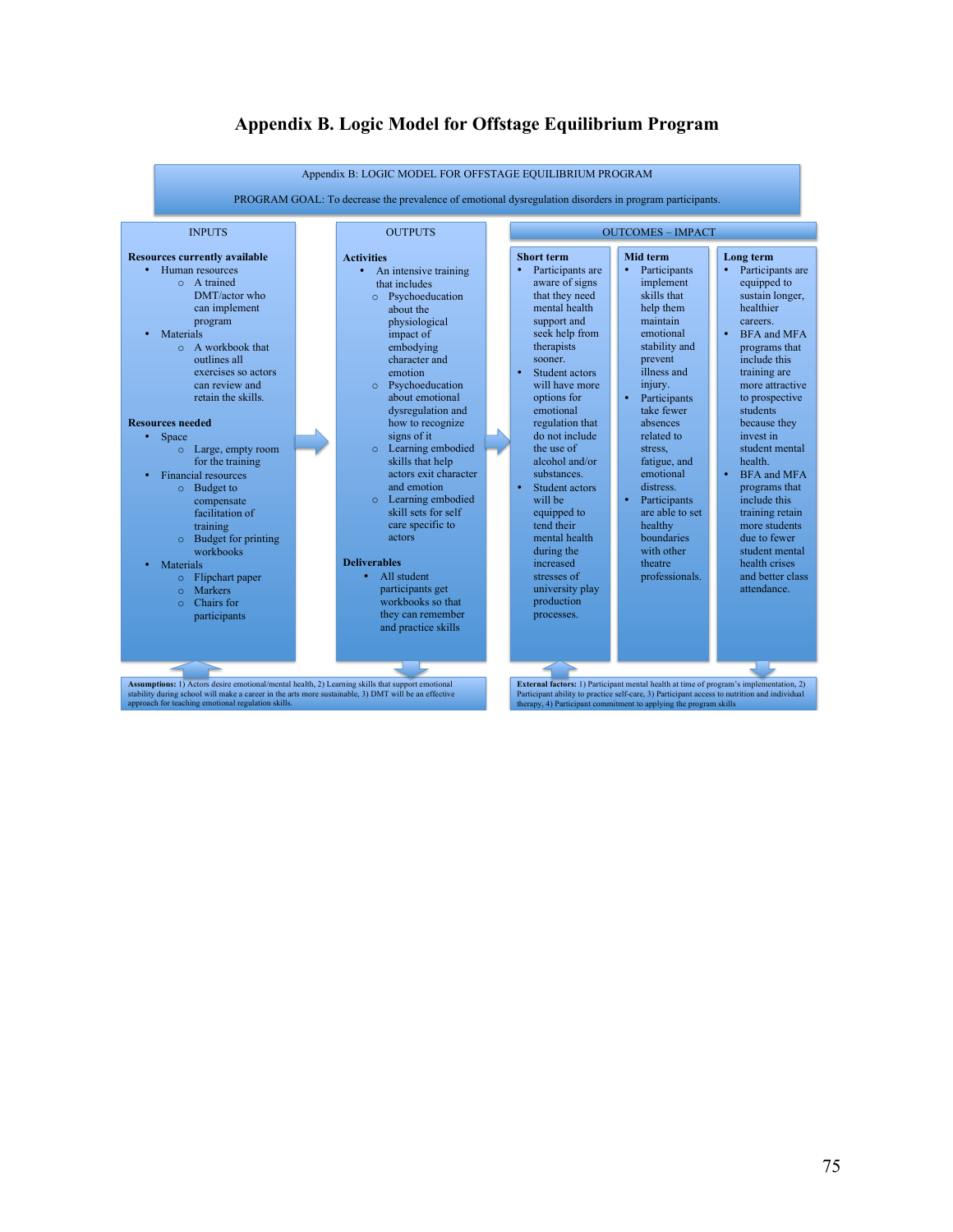

## **Appendix B. Logic Model for Offstage Equilibrium Program**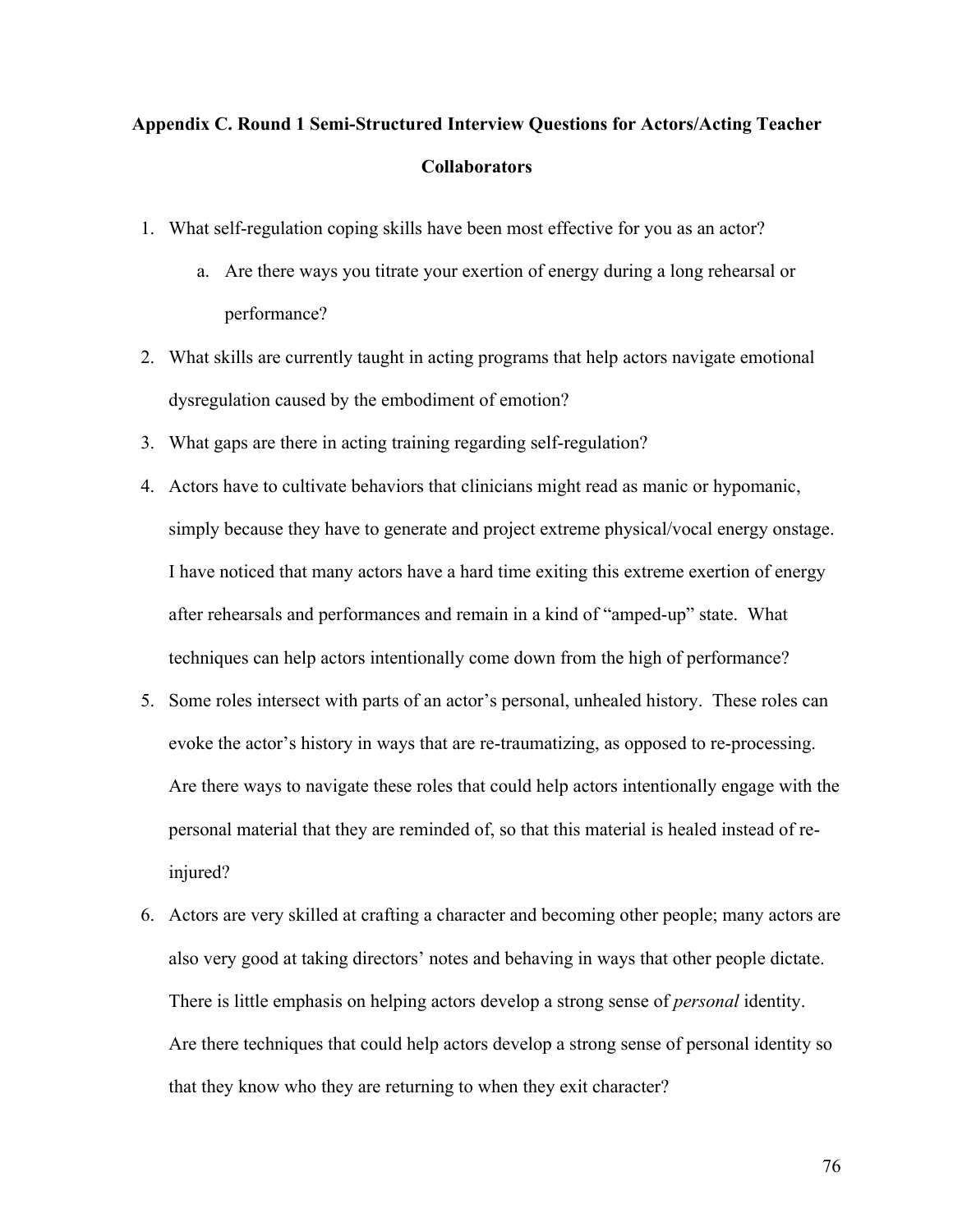# **Appendix C. Round 1 Semi-Structured Interview Questions for Actors/Acting Teacher Collaborators**

- 1. What self-regulation coping skills have been most effective for you as an actor?
	- a. Are there ways you titrate your exertion of energy during a long rehearsal or performance?
- 2. What skills are currently taught in acting programs that help actors navigate emotional dysregulation caused by the embodiment of emotion?
- 3. What gaps are there in acting training regarding self-regulation?
- 4. Actors have to cultivate behaviors that clinicians might read as manic or hypomanic, simply because they have to generate and project extreme physical/vocal energy onstage. I have noticed that many actors have a hard time exiting this extreme exertion of energy after rehearsals and performances and remain in a kind of "amped-up" state. What techniques can help actors intentionally come down from the high of performance?
- 5. Some roles intersect with parts of an actor's personal, unhealed history. These roles can evoke the actor's history in ways that are re-traumatizing, as opposed to re-processing. Are there ways to navigate these roles that could help actors intentionally engage with the personal material that they are reminded of, so that this material is healed instead of reinjured?
- 6. Actors are very skilled at crafting a character and becoming other people; many actors are also very good at taking directors' notes and behaving in ways that other people dictate. There is little emphasis on helping actors develop a strong sense of *personal* identity. Are there techniques that could help actors develop a strong sense of personal identity so that they know who they are returning to when they exit character?

76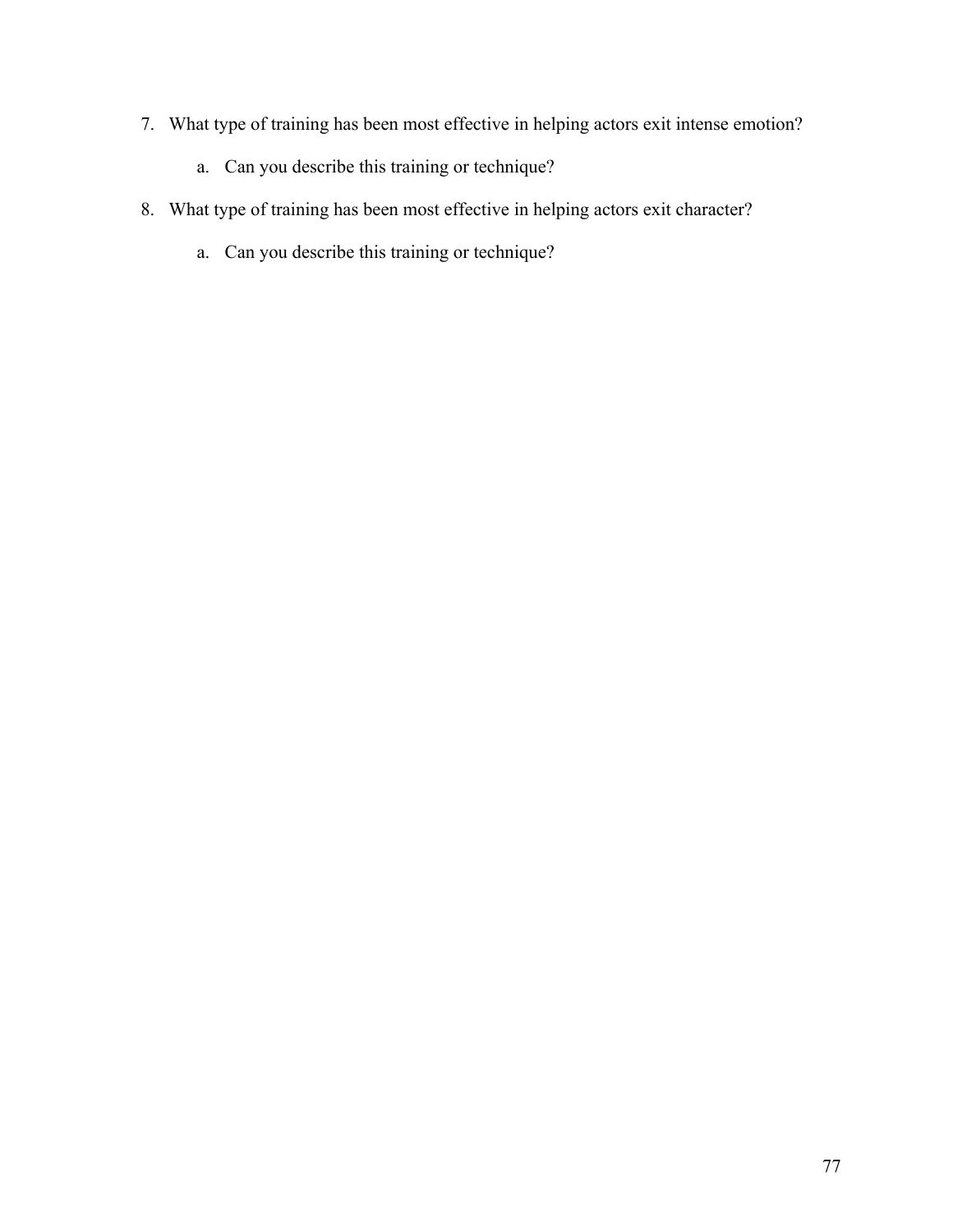- 7. What type of training has been most effective in helping actors exit intense emotion?
	- a. Can you describe this training or technique?
- 8. What type of training has been most effective in helping actors exit character?
	- a. Can you describe this training or technique?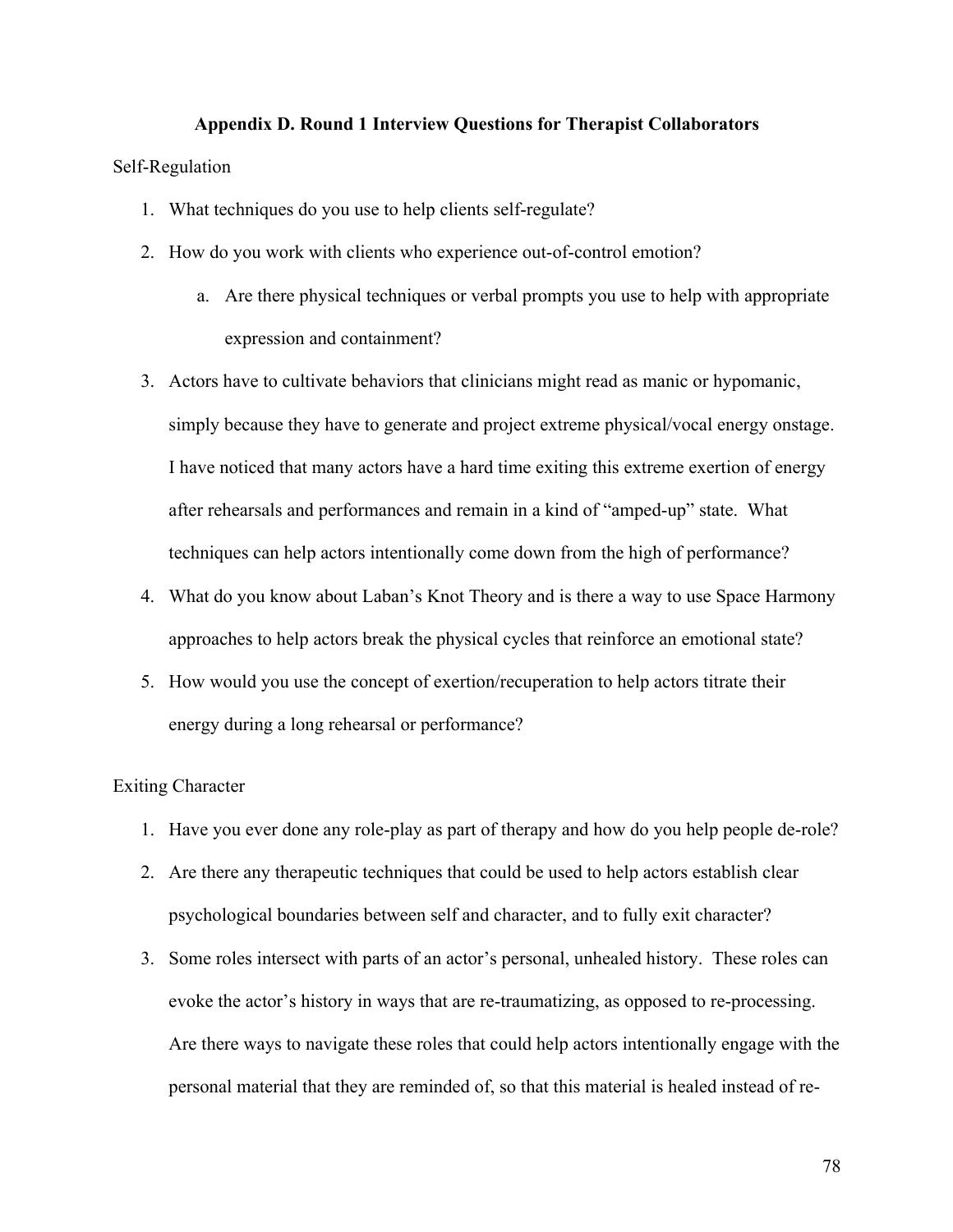## **Appendix D. Round 1 Interview Questions for Therapist Collaborators**

### Self-Regulation

- 1. What techniques do you use to help clients self-regulate?
- 2. How do you work with clients who experience out-of-control emotion?
	- a. Are there physical techniques or verbal prompts you use to help with appropriate expression and containment?
- 3. Actors have to cultivate behaviors that clinicians might read as manic or hypomanic, simply because they have to generate and project extreme physical/vocal energy onstage. I have noticed that many actors have a hard time exiting this extreme exertion of energy after rehearsals and performances and remain in a kind of "amped-up" state. What techniques can help actors intentionally come down from the high of performance?
- 4. What do you know about Laban's Knot Theory and is there a way to use Space Harmony approaches to help actors break the physical cycles that reinforce an emotional state?
- 5. How would you use the concept of exertion/recuperation to help actors titrate their energy during a long rehearsal or performance?

## Exiting Character

- 1. Have you ever done any role-play as part of therapy and how do you help people de-role?
- 2. Are there any therapeutic techniques that could be used to help actors establish clear psychological boundaries between self and character, and to fully exit character?
- 3. Some roles intersect with parts of an actor's personal, unhealed history. These roles can evoke the actor's history in ways that are re-traumatizing, as opposed to re-processing. Are there ways to navigate these roles that could help actors intentionally engage with the personal material that they are reminded of, so that this material is healed instead of re-

78